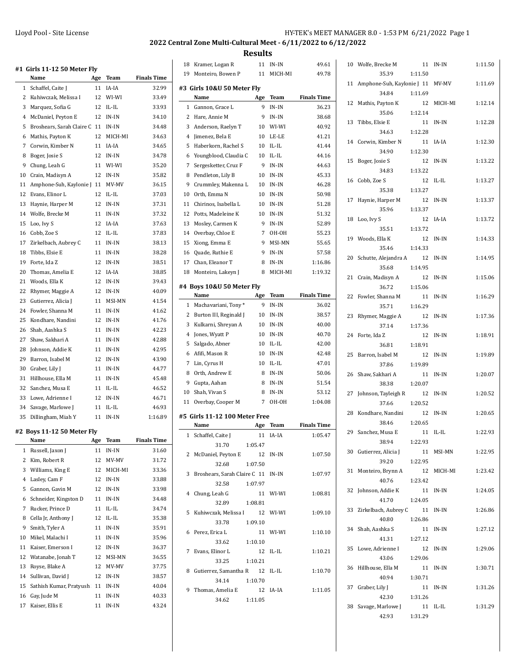**Results** 18 Kramer, Logan R 11 IN-IN 49.61

|                | #1 Girls 11-12 50 Meter Fly |     |             |                    |
|----------------|-----------------------------|-----|-------------|--------------------|
|                | Name                        | Age | Team        | <b>Finals Time</b> |
| $\mathbf{1}$   | Schaffel, Caite J           | 11  | IA-IA       | 32.99              |
| 2              | Kuhiwczak, Melissa I        | 12  | WI-WI       | 33.49              |
| 3              | Marquez, Sofia G            | 12  | IL-IL       | 33.93              |
| $\overline{4}$ | McDaniel, Peyton E          | 12  | $IN-IN$     | 34.10              |
| 5              | Broshears, Sarah Claire C   | 11  | IN-IN       | 34.48              |
| 6              | Mathis, Payton K            | 12  | MICH-MI     | 34.63              |
| 7              | Corwin, Kimber N            | 11  | IA-IA       | 34.65              |
| 8              | Boger, Josie S              | 12  | IN-IN       | 34.78              |
| 9              | Chung, Leah G               | 11  | WI-WI       | 35.20              |
| 10             | Crain, Madisyn A            | 12  | $IN-IN$     | 35.82              |
| 11             | Amphone-Suh, Kaylonie J 11  |     | MV-MV       | 36.15              |
| 12             | Evans, Elinor L             | 12  | IL-IL       | 37.03              |
| 13             | Haynie, Harper M            | 12  | $IN-IN$     | 37.31              |
| 14             | Wolfe, Brecke M             | 11  | IN-IN       | 37.32              |
| 15             | Loo, Ivy S                  | 12  | IA-IA       | 37.63              |
| 16             | Cobb, Zoe S                 | 12  | $IL$ - $IL$ | 37.83              |
| 17             | Zirkelbach, Aubrey C        | 11  | IN-IN       | 38.13              |
| 18             | Tibbs, Elsie E              | 11  | IN-IN       | 38.28              |
| 19             | Forte, Ida Z                | 12  | $IN-IN$     | 38.51              |
| 20             | Thomas, Amelia E            | 12  | IA-IA       | 38.85              |
| 21             | Woods, Ella K               | 12  | IN-IN       | 39.43              |
| 22             | Rhymer, Maggie A            | 12  | $IN-IN$     | 40.09              |
| 23             | Gutierrez, Alicia J         | 11  | MSI-MN      | 41.54              |
| 24             |                             |     | IN-IN       | 41.62              |
|                | Fowler, Shanna M            | 11  |             |                    |
| 25             | Kondhare, Nandini           | 12  | IN-IN       | 41.76              |
| 26             | Shah, Aashka S              | 11  | IN-IN       | 42.23              |
| 27             | Shaw, Sakhari A             | 11  | IN-IN       | 42.88              |
| 28             | Johnson, Addie K            | 11  | IN-IN       | 42.95              |
| 29             | Barron, Isabel M            | 12  | IN-IN       | 43.90              |
| 30             | Graber, Lily J              | 11  | IN-IN       | 44.77              |
| 31             | Hillhouse, Ella M           | 11  | IN-IN       | 45.48              |
| 32             | Sanchez, Musa E             | 11  | IL-IL       | 46.52              |
| 33             | Lowe, Adrienne I            | 12  | $IN-IN$     | 46.71              |
| 34             | Savage, Marlowe J           | 11  | IL-IL       | 46.93              |
| 35             | Dillingham, Miah Y          | 11  | IN-IN       | 1:16.89            |
|                | #2 Boys 11-12 50 Meter Fly  |     |             |                    |
|                | Name                        | Age | <b>Team</b> | Finals Time        |
| 1              | Russell, Jaxon J            | 11  | IN-IN       | 31.60              |
| 2              | Kim, Robert R               | 12  | MV-MV       | 31.72              |
| 3              | Williams, King E            | 12  | MICH-MI     | 33.36              |
| 4              | Lasley, Cam F               | 12  | $IN-IN$     | 33.88              |
| 5              | Gannon, Gavin M             | 12  | IN-IN       | 33.98              |
| 6              | Schneider, Kingston D       | 11  | IN-IN       | 34.48              |
| 7              | Rucker, Prince D            | 11  | IL-IL       | 34.74              |
| 8              | Cella Jr, Anthony J         | 12  | IL-IL       | 35.38              |
| 9              | Smith, Tyler A              | 11  | IN-IN       | 35.91              |
| 10             | Mikel, Malachi I            | 11  | IN-IN       | 35.96              |
| 11             | Kaiser, Emerson I           | 12  | IN-IN       | 36.37              |
| 12             | Watanabe, Jonah T           | 12  | MSI-MN      | 36.55              |
| 13             | Royse, Blake A              | 12  | MV-MV       | 37.75              |
| 14             | Sullivan, David J           | 12  | IN-IN       | 38.57              |
| 15             | Sathish Kumar, Pratyush     | 11  | IN-IN       | 40.04              |
| 16             | Gay, Jude M                 | 11  | IN-IN       | 40.33              |
| 17             | Kaiser, Ellis E             | 11  | IN-IN       | 43.24              |
|                |                             |     |             |                    |

| 19                         | Monteiro, Bowen P                  | 11      | MICH-MI     | 49.78              |  |
|----------------------------|------------------------------------|---------|-------------|--------------------|--|
| #3 Girls 10&U 50 Meter Fly |                                    |         |             |                    |  |
|                            | Name                               | Age     | Team        | <b>Finals Time</b> |  |
| 1                          | Gannon, Grace L                    | 9       | IN-IN       | 36.23              |  |
| 2                          | Hare, Annie M                      | 9       | $IN-IN$     | 38.68              |  |
| 3                          | Anderson, Raelyn T                 | 10      | WI-WI       | 40.92              |  |
| 4                          | Jimenez, Bela E                    | 10      | LE-LE       | 41.21              |  |
| 5                          | Haberkorn, Rachel S                | 10      | $IL$ - $IL$ | 41.44              |  |
| 6                          | Youngblood, Claudia C              | 10      | $IL$ - $IL$ | 44.16              |  |
| 7                          | Sergesketter, Cruz F               | 9       | $IN-IN$     | 44.63              |  |
| 8                          | Pendleton, Lily B                  | 10      | IN-IN       | 45.33              |  |
| 9                          | Crummley, Makenna L                | 10      | IN-IN       | 46.28              |  |
| 10                         | Orth, Emma N                       | 10      | IN-IN       | 50.98              |  |
| 11                         | Chirinos, Isabella L               | 10      | IN-IN       | 51.28              |  |
| 12                         | Potts, Madeleine K                 | 10      | IN-IN       | 51.32              |  |
| 13                         | Mosley, Carmen K                   | 9       | IN-IN       | 52.89              |  |
| 14                         | Overbay, Chloe E                   | 7       | OH-OH       | 55.23              |  |
| 15                         | Xiong, Emma E                      | 9       | MSI-MN      | 55.65              |  |
| 16                         | Quade, Ruthie E                    | 9       | IN-IN       | 57.58              |  |
| 17                         | Chan, Eleanor T                    | 8       | IN-IN       | 1:16.86            |  |
| 18                         | Monteiro, Lakeyn J                 | 8       | MICH-MI     | 1:19.32            |  |
|                            |                                    |         |             |                    |  |
|                            | #4 Boys 10&U 50 Meter Fly          |         |             |                    |  |
|                            | Name                               | Age     | <b>Team</b> | <b>Finals Time</b> |  |
| 1                          | Machavariani, Tony*                | 9       | IN-IN       | 36.02              |  |
| 2                          | Burton III, Reginald J             | 10      | IN-IN       | 38.57              |  |
| 3                          | Kulkarni, Shreyan A                | 10      | IN-IN       | 40.00              |  |
| $\overline{4}$             | Jones, Wyatt P                     | 10      | $IN-IN$     | 40.70              |  |
| 5                          | Salgado, Abner                     | 10      | IL-IL       | 42.00              |  |
| 6                          | Afifi, Mason R                     | 10      | IN-IN       | 42.48              |  |
| 7                          | Lin, Cyrus H                       | 10      | $IL$ - $IL$ | 47.01              |  |
| 8                          | Orth, Andrew E                     | 8       | IN-IN       | 50.06              |  |
| 9                          | Gupta, Aahan                       | 8       | IN-IN       | 51.54              |  |
| 10                         | Shah, Vivan S                      | 8       | IN-IN       | 53.12              |  |
| 11                         | Overbay, Cooper M                  | 7       | OH-OH       | 1:04.08            |  |
|                            | #5 Girls 11-12 100 Meter Free      |         |             |                    |  |
|                            | Name                               | Age     | Team        | <b>Finals Time</b> |  |
| 1                          | Schaffel, Caite J                  | 11      | IA-IA       | 1:05.47            |  |
|                            | 31.70                              | 1:05.47 |             |                    |  |
| 2                          | McDaniel, Peyton E                 | 12      | IN-IN       | 1:07.50            |  |
|                            | 32.68                              | 1:07.50 |             |                    |  |
| 3                          | Broshears, Sarah Claire C 11 IN-IN |         |             | 1:07.97            |  |
|                            | 32.58                              | 1:07.97 |             |                    |  |
| 4                          | Chung, Leah G                      |         | 11 WI-WI    | 1:08.81            |  |
|                            | 32.89   1:08.81                    |         |             |                    |  |
| 5                          | Kuhiwczak, Melissa I 12            |         | WI-WI       | 1:09.10            |  |
|                            | 33.78                              | 1:09.10 |             |                    |  |
| 6                          | Perez, Erica L                     |         | 11 WI-WI    | 1:10.10            |  |
|                            | 33.62 1:10.10                      |         |             |                    |  |
| 7                          | Evans, Elinor L                    | 12      | IL-IL       | 1:10.21            |  |
|                            | 33.25                              | 1:10.21 |             |                    |  |
| 8                          | Gutierrez, Samantha R 12 IL-IL     |         |             | 1:10.70            |  |
|                            | 34.14                              | 1:10.70 |             |                    |  |
| 9                          | Thomas, Amelia E                   |         | 12 IA-IA    | 1:11.05            |  |
|                            | 34.62                              | 1:11.05 |             |                    |  |
|                            |                                    |         |             |                    |  |

|    | 10 Wolfe, Brecke M               | 11      | IN-IN       | 1:11.50 |
|----|----------------------------------|---------|-------------|---------|
|    | 35.39                            | 1:11.50 |             |         |
| 11 | Amphone-Suh, Kaylonie J 11 MV-MV |         |             | 1:11.69 |
|    | 34.84                            | 1:11.69 |             |         |
| 12 | Mathis, Payton K                 |         | 12 MICH-MI  | 1:12.14 |
|    | 35.06                            | 1:12.14 |             |         |
| 13 | Tibbs, Elsie E                   |         | 11 IN-IN    | 1:12.28 |
|    | 34.63                            | 1:12.28 |             |         |
| 14 | Corwin, Kimber N                 | 11      | IA-IA       | 1:12.30 |
|    | 34.90                            | 1:12.30 |             |         |
| 15 | Boger, Josie S                   | 12      | IN-IN       | 1:13.22 |
|    | 34.83                            | 1:13.22 |             |         |
| 16 | Cobb, Zoe S                      | 12      | $IL$ - $IL$ | 1:13.27 |
|    | 35.38                            | 1:13.27 |             |         |
| 17 | Haynie, Harper M                 | - 12    | IN-IN       | 1:13.37 |
|    | 35.96                            | 1:13.37 |             |         |
| 18 | Loo, Ivy S                       | 12      | IA-IA       | 1:13.72 |
|    | 35.51                            | 1:13.72 |             |         |
|    | 19 Woods, Ella K                 | 12      | IN-IN       | 1:14.33 |
|    | 35.46                            | 1:14.33 |             |         |
| 20 | Schutte, Alejandra A             | 12      | IN-IN       | 1:14.95 |
|    | 35.68                            | 1:14.95 |             |         |
|    |                                  |         |             |         |
| 21 | Crain, Madisyn A                 | 12      | $IN-IN$     | 1:15.06 |
|    | 36.72                            | 1:15.06 |             |         |
| 22 | Fowler, Shanna M                 | 11      | IN-IN       | 1:16.29 |
|    | 35.71                            | 1:16.29 |             |         |
| 23 | Rhymer, Maggie A                 | 12      | IN-IN       | 1:17.36 |
|    | 37.14                            | 1:17.36 |             |         |
| 24 | Forte, Ida Z                     | 12      | IN-IN       | 1:18.91 |
|    | 36.81                            | 1:18.91 |             |         |
| 25 | Barron, Isabel M                 | 12      | IN-IN       | 1:19.89 |
|    | 37.86                            | 1:19.89 |             |         |
| 26 | Shaw, Sakhari A                  | 11      | IN-IN       | 1:20.07 |
|    | 38.38                            | 1:20.07 |             |         |
| 27 | Johnson, Tayleigh R              | 12      | IN-IN       | 1:20.52 |
|    | 37.66                            | 1:20.52 |             |         |
|    | 28 Kondhare, Nandini             |         | 12 IN-IN    | 1:20.65 |
|    | 38.46                            | 1:20.65 |             |         |
|    | 29 Sanchez, Musa E               | 11      | IL-IL       | 1:22.93 |
|    | 38.94                            | 1:22.93 |             |         |
|    | 30 Gutierrez, Alicia J           |         | 11 MSI-MN   | 1:22.95 |
|    | 39.20                            | 1:22.95 |             |         |
| 31 | Monteiro, Brynn A                |         | 12 MICH-MI  | 1:23.42 |
|    | 40.76                            | 1:23.42 |             |         |
| 32 | Johnson, Addie K                 |         | 11 IN-IN    | 1:24.05 |
|    | 41.70                            | 1:24.05 |             |         |
| 33 | Zirkelbach, Aubrey C             |         | 11 IN-IN    | 1:26.86 |
|    | 40.80                            | 1:26.86 |             |         |
|    | 34 Shah, Aashka S                |         | 11 IN-IN    | 1:27.12 |
|    | 41.31                            | 1:27.12 |             |         |
| 35 | Lowe, Adrienne I                 |         | 12 IN-IN    | 1:29.06 |
|    | 43.06                            | 1:29.06 |             |         |
| 36 | Hillhouse, Ella M                |         | 11 IN-IN    | 1:30.71 |
|    | 40.94                            | 1:30.71 |             |         |
|    |                                  |         | 11 IN-IN    | 1:31.26 |
|    | 37 Graber, Lily J                |         |             |         |
|    | 42.30                            | 1:31.26 |             |         |
|    | 38 Savage, Marlowe J             |         | 11 IL-IL    | 1:31.29 |
|    | 42.93                            | 1:31.29 |             |         |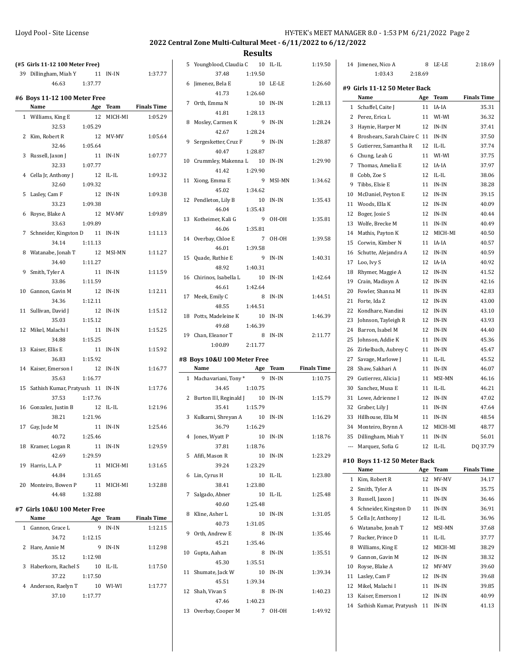5 Youngblood, Claudia C 10 IL-IL 1:19.50

**Results**

| (#5 Girls 11-12 100 Meter Free) |                              |               |          |                    |  |  |
|---------------------------------|------------------------------|---------------|----------|--------------------|--|--|
|                                 | 39 Dillingham, Miah Y        |               | 11 IN-IN | 1:37.77            |  |  |
|                                 | 46.63                        | 1:37.77       |          |                    |  |  |
|                                 |                              |               |          |                    |  |  |
|                                 | #6 Boys 11-12 100 Meter Free |               |          | <b>Finals Time</b> |  |  |
|                                 | Name                         |               | Age Team |                    |  |  |
|                                 | 1 Williams, King E           | 12            | MICH-MI  | 1:05.29            |  |  |
|                                 | 32.53                        | 1:05.29       |          |                    |  |  |
| 2                               | Kim, Robert R                | 12            | MV-MV    | 1:05.64            |  |  |
|                                 | 32.46                        | 1:05.64       |          |                    |  |  |
| 3                               | Russell, Jaxon J             | 11            | IN-IN    | 1:07.77            |  |  |
|                                 | 32.33                        | 1:07.77       |          |                    |  |  |
| 4                               | Cella Jr, Anthony J<br>32.60 | 12<br>1:09.32 | IL-IL    | 1:09.32            |  |  |
| 5                               |                              | 12            |          |                    |  |  |
|                                 | Lasley, Cam F                |               | IN-IN    | 1:09.38            |  |  |
|                                 | 33.23                        | 1:09.38       |          |                    |  |  |
| 6                               | Royse, Blake A               | 12            | MV-MV    | 1:09.89            |  |  |
|                                 | 33.63                        | 1:09.89       |          |                    |  |  |
| 7                               | Schneider, Kingston D 11     |               | IN-IN    | 1:11.13            |  |  |
|                                 | 34.14                        | 1:11.13       |          |                    |  |  |
| 8                               | Watanabe, Jonah T 12         |               | MSI-MN   | 1:11.27            |  |  |
|                                 | 34.40                        | 1:11.27       |          |                    |  |  |
| 9                               | Smith, Tyler A               | 11            | IN-IN    | 1:11.59            |  |  |
|                                 | 33.86                        | 1:11.59       |          |                    |  |  |
| 10                              | Gannon, Gavin M              | 12            | IN-IN    | 1:12.11            |  |  |
|                                 | 34.36                        | 1:12.11       |          |                    |  |  |
| 11                              | Sullivan, David J            | 12            | IN-IN    | 1:15.12            |  |  |
|                                 | 35.03                        | 1:15.12       |          |                    |  |  |
| 12                              | Mikel, Malachi I             | 11            | IN-IN    | 1:15.25            |  |  |
|                                 | 34.88                        | 1:15.25       |          |                    |  |  |
| 13                              | Kaiser, Ellis E              | 11            | IN-IN    | 1:15.92            |  |  |
|                                 | 36.83                        | 1:15.92       |          |                    |  |  |
| 14                              | Kaiser, Emerson I            | 12            | IN-IN    | 1:16.77            |  |  |
|                                 | 35.63                        | 1:16.77       |          |                    |  |  |
| 15                              | Sathish Kumar, Pratyush 11   |               | IN-IN    | 1:17.76            |  |  |
|                                 | 37.53                        | 1:17.76       |          |                    |  |  |
| 16                              | Gonzalez, Justin B           | 12            | IL-IL    | 1:21.96            |  |  |
|                                 | 38.21                        | 1:21.96       |          |                    |  |  |
|                                 | 17 Gay, Jude M               | 11            | $IN-IN$  | 1:25.46            |  |  |
|                                 | 40.72                        | 1:25.46       |          |                    |  |  |
|                                 | 18 Kramer, Logan R           | 11            | IN-IN    | 1:29.59            |  |  |
|                                 | 42.69                        | 1:29.59       |          |                    |  |  |
| 19                              | Harris, L.A. P               | 11            | MICH-MI  | 1:31.65            |  |  |
|                                 | 44.84 1:31.65                |               |          |                    |  |  |
|                                 | 20 Monteiro, Bowen P         | 11            | MICH-MI  | 1:32.88            |  |  |
|                                 | 44.48                        | 1:32.88       |          |                    |  |  |
|                                 | #7 Girls 10&U 100 Meter Free |               |          |                    |  |  |
|                                 | Name                         | Age           | Team     | <b>Finals Time</b> |  |  |
| $\mathbf{1}$                    | Gannon, Grace L              | 9             | IN-IN    | 1:12.15            |  |  |
|                                 | 34.72                        | 1:12.15       |          |                    |  |  |
| 2                               | Hare, Annie M                | 9             | IN-IN    | 1:12.98            |  |  |
|                                 | 35.12                        | 1:12.98       |          |                    |  |  |
| 3                               | Haberkorn, Rachel S          | 10            | IL-IL    | 1:17.50            |  |  |
|                                 | 37.22                        | 1:17.50       |          |                    |  |  |
| $4^{\circ}$                     | Anderson, Raelyn T           | 10            | WI-WI    | 1:17.77            |  |  |
|                                 | 37.10 1:17.77                |               |          |                    |  |  |

|    | 37.48                            | 1:19.50      |         |                    |
|----|----------------------------------|--------------|---------|--------------------|
|    | 6 Jimenez, Bela E                | 10           | LE-LE   | 1:26.60            |
|    | 41.73                            | 1:26.60      |         |                    |
| 7  | Orth, Emma N                     | 10           | IN-IN   | 1:28.13            |
|    | 41.81                            | 1:28.13      |         |                    |
| 8  | Mosley, Carmen K                 | 9            | IN-IN   | 1:28.24            |
|    | 42.67                            | 1:28.24      |         |                    |
|    | 9 Sergesketter, Cruz F 9         |              | IN-IN   | 1:28.87            |
|    | 40.47                            | 1:28.87      |         |                    |
|    | 10 Crummley, Makenna L 10        |              | IN-IN   | 1:29.90            |
|    | 41.42                            | 1:29.90      |         |                    |
| 11 | Xiong, Emma E                    | 9            | MSI-MN  | 1:34.62            |
|    | 45.02                            | 1:34.62      |         |                    |
|    | 12 Pendleton, Lily B             | 10           | IN-IN   | 1:35.43            |
|    | 46.04                            | 1:35.43      |         |                    |
|    | 13 Kotheimer, Kali G             | 9            | OH-OH   | 1:35.81            |
|    | 46.06                            | 1:35.81      |         |                    |
|    | 14 Overbay, Chloe E              | 7            | OH-OH   | 1:39.58            |
|    | 46.01                            |              |         |                    |
|    |                                  | 1:39.58<br>9 | IN-IN   |                    |
|    | 15 Quade, Ruthie E               |              |         | 1:40.31            |
|    | 48.92                            | 1:40.31      |         |                    |
|    | 16 Chirinos, Isabella L<br>46.61 | 10           | IN-IN   | 1:42.64            |
|    |                                  | 1:42.64      |         |                    |
|    | 17 Meek, Emily C                 | 8            | IN-IN   | 1:44.51            |
|    | 48.55                            | 1:44.51      |         |                    |
| 18 | Potts, Madeleine K               | 10           | IN-IN   | 1:46.39            |
|    | 49.68                            | 1:46.39      |         |                    |
|    | 19 Chan, Eleanor T               | - 8          | IN-IN   | 2:11.77            |
|    |                                  |              |         |                    |
|    | 1:00.89                          | 2:11.77      |         |                    |
|    | #8 Boys 10&U 100 Meter Free      |              |         |                    |
|    | Name                             | Age Team     |         | <b>Finals Time</b> |
|    | 1 Machavariani, Tony*            | 9            | $IN-IN$ | 1:10.75            |
|    | 34.45                            | 1:10.75      |         |                    |
|    | 2 Burton III, Reginald J 10      |              | IN-IN   | 1:15.79            |
|    | 35.41                            | 1:15.79      |         |                    |
|    | 3 Kulkarni, Shreyan A            | 10           | IN-IN   | 1:16.29            |
|    | 36.79                            | 1:16.29      |         |                    |
|    | 4 Jones, Wyatt P                 | 10           | IN-IN   | 1:18.76            |
|    | 37.81                            | 1:18.76      |         |                    |
|    | 5 Afifi, Mason R                 | 10           | IN-IN   | 1:23.29            |
|    | 39.24                            | 1:23.29      |         |                    |
| 6  | Lin, Cyrus H                     | 10           | IL-IL   | 1:23.80            |
|    | 38.41 1:23.80                    |              |         |                    |
| 7  | Salgado, Abner                   | 10           | IL-IL   | 1:25.48            |
|    | 40.60                            | 1:25.48      |         |                    |
| 8  | Kline, Asher L                   | 10           | IN-IN   | 1:31.05            |
|    | 40.73                            | 1:31.05      |         |                    |
| 9  | Orth, Andrew E                   | 8            | IN-IN   | 1:35.46            |
|    | 45.21                            | 1:35.46      |         |                    |
|    | 10 Gupta, Aahan                  | 8            | IN-IN   | 1:35.51            |
|    | 45.30                            | 1:35.51      |         |                    |
| 11 | Shumate, Jack W                  | 10           | IN-IN   | 1:39.34            |
|    | 45.51                            | 1:39.34      |         |                    |
|    | 12 Shah, Vivan S                 | 8            | IN-IN   | 1:40.23            |
|    | 47.46                            | 1:40.23      |         |                    |
|    | 13 Overbay, Cooper M             |              | 7 OH-OH | 1:49.92            |

|        | 14 Jimenez, Nico A                   | 8        | LE-LE    | 2:18.69            |  |  |  |
|--------|--------------------------------------|----------|----------|--------------------|--|--|--|
|        | 1:03.43                              | 2:18.69  |          |                    |  |  |  |
|        |                                      |          |          |                    |  |  |  |
|        | #9 Girls 11-12 50 Meter Back<br>Name | Age      | Team     | <b>Finals Time</b> |  |  |  |
| 1      | Schaffel, Caite I                    | 11       | IA-IA    | 35.31              |  |  |  |
| 2      | Perez, Erica L                       | 11       | WI-WI    | 36.32              |  |  |  |
| 3      | Haynie, Harper M                     | 12       | IN-IN    | 37.41              |  |  |  |
| 4      | Broshears, Sarah Claire C 11         |          | IN-IN    | 37.50              |  |  |  |
| 5      |                                      |          | IL-IL    |                    |  |  |  |
| 6      | Gutierrez, Samantha R                | 12<br>11 | WI-WI    | 37.74<br>37.75     |  |  |  |
| 7      | Chung, Leah G                        | 12       | IA-IA    |                    |  |  |  |
|        | Thomas, Amelia E<br>Cobb, Zoe S      |          | IL-IL    | 37.97              |  |  |  |
| 8<br>9 | Tibbs, Elsie E                       | 12<br>11 | IN-IN    | 38.06<br>38.28     |  |  |  |
|        |                                      |          |          |                    |  |  |  |
| 10     | McDaniel, Peyton E                   | 12       | IN-IN    | 39.15              |  |  |  |
| 11     | Woods, Ella K                        | 12       | IN-IN    | 40.09              |  |  |  |
| 12     | Boger, Josie S                       | 12       | IN-IN    | 40.44              |  |  |  |
| 13     | Wolfe, Brecke M                      | 11       | IN-IN    | 40.49              |  |  |  |
| 14     | Mathis, Payton K                     | 12       | MICH-MI  | 40.50              |  |  |  |
| 15     | Corwin, Kimber N                     | 11       | IA-IA    | 40.57              |  |  |  |
| 16     | Schutte, Alejandra A                 | 12       | IN-IN    | 40.59              |  |  |  |
| 17     | Loo, Ivy S                           | 12       | IA-IA    | 40.92              |  |  |  |
| 18     | Rhymer, Maggie A                     | 12       | IN-IN    | 41.52              |  |  |  |
| 19     | Crain, Madisyn A                     | 12       | IN-IN    | 42.16              |  |  |  |
| 20     | Fowler, Shanna M                     | 11       | IN-IN    | 42.83              |  |  |  |
| 21     | Forte, Ida Z                         | 12       | IN-IN    | 43.00              |  |  |  |
| 22     | Kondhare, Nandini                    | 12       | IN-IN    | 43.10              |  |  |  |
| 23     | Johnson, Tayleigh R                  | 12       | IN-IN    | 43.93              |  |  |  |
| 24     | Barron, Isabel M                     | 12       | IN-IN    | 44.40              |  |  |  |
| 25     | Johnson, Addie K                     | 11       | IN-IN    | 45.36              |  |  |  |
| 26     | Zirkelbach, Aubrey C                 | 11       | IN-IN    | 45.47              |  |  |  |
| 27     | Savage, Marlowe J                    | 11       | IL-IL    | 45.52              |  |  |  |
| 28     | Shaw, Sakhari A                      | 11       | IN-IN    | 46.07              |  |  |  |
| 29     | Gutierrez, Alicia J                  | 11       | MSI-MN   | 46.16              |  |  |  |
| 30     | Sanchez, Musa E                      | 11       | IL-IL    | 46.21              |  |  |  |
| 31     | Lowe, Adrienne I                     | 12       | IN-IN    | 47.02              |  |  |  |
| 32     | Graber, Lily J                       | 11       | $IN-IN$  | 47.64              |  |  |  |
| 33     | Hillhouse, Ella M                    | 11       | IN-IN    | 48.54              |  |  |  |
| 34     | Monteiro, Brynn A                    | 12       | MICH-MI  | 48.77              |  |  |  |
| 35     | Dillingham, Miah Y                   |          | 11 IN-IN | 56.01              |  |  |  |
| $---$  | Marquez, Sofia G                     | 12       | IL-IL    | DQ 37.79           |  |  |  |
|        | #10 Boys 11-12 50 Meter Back         |          |          |                    |  |  |  |
|        | Name                                 | Age      | Team     | <b>Finals Time</b> |  |  |  |
| 1      | Kim, Robert R                        | 12       | MV-MV    | 34.17              |  |  |  |
| 2      | Smith, Tyler A                       | 11       | IN-IN    | 35.75              |  |  |  |
| 3      | Russell, Jaxon J                     | 11       | IN-IN    | 36.46              |  |  |  |
| 4      | Schneider, Kingston D                | 11       | IN-IN    | 36.91              |  |  |  |
| 5      | Cella Jr, Anthony J                  | 12       | IL-IL    | 36.96              |  |  |  |
| 6      | Watanabe, Jonah T                    | 12       | MSI-MN   | 37.68              |  |  |  |
| 7      | Rucker, Prince D                     | 11       | IL-IL    | 37.77              |  |  |  |
| 8      | Williams, King E                     | 12       | MICH-MI  | 38.29              |  |  |  |
| 9      | Gannon, Gavin M                      | 12       | IN-IN    | 38.32              |  |  |  |
| 10     | Royse, Blake A                       | 12       | MV-MV    | 39.60              |  |  |  |
| 11     | Lasley, Cam F                        | 12       | IN-IN    | 39.68              |  |  |  |
| 12     | Mikel, Malachi I                     | 11       | IN-IN    | 39.85              |  |  |  |
| 13     | Kaiser, Emerson I                    | 12       | IN-IN    | 40.99              |  |  |  |
| 14     | Sathish Kumar, Pratyush 11           |          | IN-IN    | 41.13              |  |  |  |
|        |                                      |          |          |                    |  |  |  |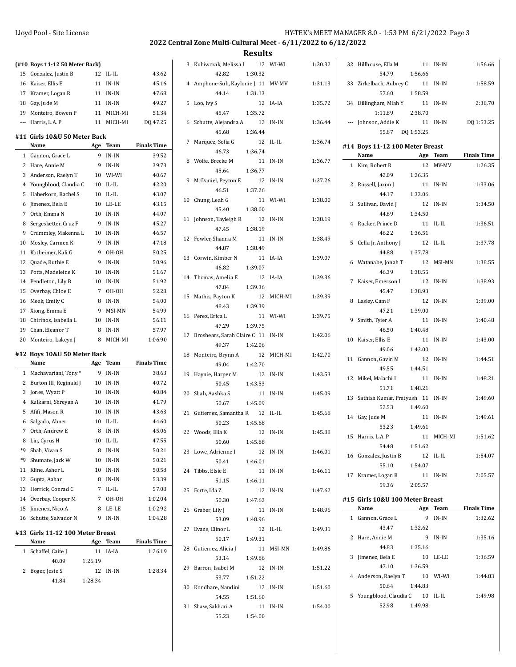# **2022 Central Zone Multi-Cultural Meet - 6/11/2022 to 6/12/2022**

|          | (#10 Boys 11-12 50 Meter Back)        |         |                |                    |
|----------|---------------------------------------|---------|----------------|--------------------|
| 15       | Gonzalez, Justin B                    | 12      | $IL$ - $IL$    | 43.62              |
| 16       | Kaiser, Ellis E                       | 11      | IN-IN          | 45.16              |
| 17       | Kramer, Logan R                       | 11      | IN-IN          | 47.68              |
| 18       | Gay, Jude M                           | 11      | IN-IN          | 49.27              |
| 19       | Monteiro, Bowen P                     | 11      | MICH-MI        | 51.34              |
| ---      | Harris, L.A. P                        | 11      | MICH-MI        | DQ 47.25           |
|          |                                       |         |                |                    |
|          | #11  Girls 10&U 50 Meter Back<br>Name | Age     | Team           | <b>Finals Time</b> |
| 1        | Gannon, Grace L                       | 9       | $IN-IN$        | 39.52              |
| 2        | Hare, Annie M                         | 9       | IN-IN          | 39.73              |
| 3        | Anderson, Raelyn T                    | 10      | WI-WI          | 40.67              |
| 4        | Youngblood, Claudia C                 | 10      | IL-IL          | 42.20              |
| 5        | Haberkorn, Rachel S                   | 10      | IL-IL          | 43.07              |
| 6        | Jimenez, Bela E                       | 10      | LE-LE          | 43.15              |
| 7        | Orth, Emma N                          | 10      | IN-IN          | 44.07              |
| 8        | Sergesketter, Cruz F                  | 9       | IN-IN          | 45.27              |
| 9        | Crummley, Makenna L                   | 10      | IN-IN          | 46.57              |
| 10       | Mosley, Carmen K                      | 9       | IN-IN          | 47.18              |
| 11       | Kotheimer, Kali G                     | 9       | он-он          | 50.25              |
| 12       | Quade, Ruthie E                       | 9       | IN-IN          | 50.96              |
| 13       | Potts, Madeleine K                    | 10      | IN-IN          | 51.67              |
|          |                                       | 10      | IN-IN          | 51.92              |
| 14<br>15 | Pendleton, Lily B                     | 7       |                | 52.28              |
| 16       | Overbay, Chloe E                      | 8       | OH-OH<br>IN-IN | 54.00              |
| 17       | Meek, Emily C                         | 9       | MSI-MN         |                    |
|          | Xiong, Emma E<br>Chirinos, Isabella L |         |                | 54.99              |
| 18<br>19 |                                       | 10<br>8 | IN-IN<br>IN-IN | 56.11<br>57.97     |
|          | Chan, Eleanor T                       |         |                | 1:06.90            |
| 20       | Monteiro, Lakeyn J                    | 8       | MICH-MI        |                    |
|          |                                       |         |                |                    |
| #12      | Boys 10&U 50 Meter Back               |         |                |                    |
|          | Name                                  | Age     | Team           | <b>Finals Time</b> |
| 1        | Machavariani, Tony*                   | 9       | IN-IN          | 38.63              |
| 2        | Burton III, Reginald J                | 10      | IN-IN          | 40.72              |
| 3        | Jones, Wyatt P                        | 10      | IN-IN          | 40.84              |
| 4        | Kulkarni, Shreyan A                   | 10      | IN-IN          | 41.79              |
| 5        | Afifi, Mason R                        | 10      | IN-IN          | 43.63              |
| 6        | Salgado, Abner                        | 10      | IL-IL          | 44.60              |
| 7        | Orth, Andrew E                        | 8       | IN-IN          | 45.06              |
| 8        | Lin, Cyrus H                          | 10      | IL-IL          | 47.55              |
| *9       | Shah, Vivan S                         | 8       | $IN-IN$        | 50.21              |
| $*9$     | Shumate, Jack W                       | 10      | IN-IN          | 50.21              |
| 11       | Kline, Asher L                        | 10      | IN-IN          | 50.58              |
| 12       | Gupta, Aahan                          | 8       | IN-IN          | 53.39              |
| 13       | Herrick, Conrad C                     | 7       | IL-IL          | 57.08              |
| 14       | Overbay, Cooper M                     | 7       | OH-OH          | 1:02.04            |
| 15       | Jimenez, Nico A                       | 8       | LE-LE          | 1:02.92            |
| 16       | Schutte, Salvador N                   | 9       | IN-IN          | 1:04.28            |
|          | #13 Girls 11-12 100 Meter Breast      |         |                |                    |
|          | Name                                  | Age     | Team           | <b>Finals Time</b> |
| 1        | Schaffel, Caite J                     | 11      | IA-IA          | 1:26.19            |
|          | 40.09                                 | 1:26.19 |                |                    |
| 2        | Boger, Josie S                        | 12      | IN-IN          | 1:28.34            |
|          | 41.84                                 | 1:28.34 |                |                    |

| 3  | Kuhiwczak, Melissa I                  |          | 12 WI-WI   | 1:30.32 |
|----|---------------------------------------|----------|------------|---------|
|    | 42.82                                 | 1:30.32  |            |         |
|    | 4 Amphone-Suh, Kaylonie J 11 MV-MV    |          |            | 1:31.13 |
|    | 44.14                                 | 1:31.13  |            |         |
|    | 5 Loo, Ivy S                          | 12       | IA-IA      | 1:35.72 |
|    | 45.47 1:35.72                         |          |            |         |
|    | 6 Schutte, Alejandra A                |          | 12 IN-IN   | 1:36.44 |
|    | 45.68                                 | 1:36.44  |            |         |
| 7  | Marquez, Sofia G                      | 12       | IL-IL      | 1:36.74 |
|    | 46.73                                 | 1:36.74  |            |         |
|    |                                       |          |            |         |
| 8  | Wolfe, Brecke M                       |          | 11 IN-IN   | 1:36.77 |
|    | 45.64                                 | 1:36.77  |            |         |
|    | 9 McDaniel, Peyton E                  |          | 12 IN-IN   | 1:37.26 |
|    | 46.51                                 | 1:37.26  |            |         |
|    | 10 Chung, Leah G                      |          | 11 WI-WI   | 1:38.00 |
|    | 45.40                                 | 1:38.00  |            |         |
|    | 11 Johnson, Tayleigh R                | 12       | IN-IN      | 1:38.19 |
|    | 47.45                                 | 1:38.19  |            |         |
|    | 12 Fowler, Shanna M                   | 11       | IN-IN      | 1:38.49 |
|    | 44.87                                 | 1:38.49  |            |         |
|    | 13 Corwin, Kimber N                   | 11       | IA-IA      | 1:39.07 |
|    | 46.82                                 | 1:39.07  |            |         |
|    | 14 Thomas, Amelia E                   |          | 12 IA-IA   | 1:39.36 |
|    | 47.84                                 | 1:39.36  |            |         |
| 15 | Mathis, Payton K                      |          | 12 MICH-MI | 1:39.39 |
|    | 48.43                                 | 1:39.39  |            |         |
|    |                                       |          |            |         |
|    | 16 Perez, Erica L                     | 11       | WI-WI      | 1:39.75 |
|    | 47.29                                 | 1:39.75  |            |         |
|    | 17 Broshears, Sarah Claire C 11 IN-IN |          |            | 1:42.06 |
|    | 49.37 1:42.06                         |          |            |         |
|    | 18 Monteiro, Brynn A                  |          | 12 MICH-MI | 1:42.70 |
|    | 49.04                                 | 1:42.70  |            |         |
|    | 19 Haynie, Harper M                   |          | 12 IN-IN   | 1:43.53 |
|    | 50.45                                 | 1:43.53  |            |         |
| 20 | Shah, Aashka S                        |          | 11 IN-IN   | 1:45.09 |
|    | 50.67                                 | 1:45.09  |            |         |
|    | 21 Gutierrez, Samantha R 12 IL-IL     |          |            | 1:45.68 |
|    | 50.23                                 | 1:45.68  |            |         |
|    | 22 Woods, Ella K                      | 12 IN-IN |            | 1:45.88 |
|    | 50.60                                 | 1:45.88  |            |         |
|    | 23 Lowe, Adrienne I                   | 12       | IN-IN      | 1:46.01 |
|    | 50.41                                 | 1:46.01  |            |         |
|    | 24 Tibbs, Elsie E                     | 11       | IN-IN      | 1:46.11 |
|    |                                       |          |            |         |
|    | 51.15 1:46.11                         |          |            |         |
|    | 25 Forte, Ida Z                       | 12       | IN-IN      | 1:47.62 |
|    | 50.30                                 | 1:47.62  |            |         |
|    | 26 Graber, Lily J                     | 11       | IN-IN      | 1:48.96 |
|    | 53.09                                 | 1:48.96  |            |         |
|    | 27 Evans, Elinor L                    |          | 12 IL-IL   | 1:49.31 |
|    | 50.17                                 | 1:49.31  |            |         |
|    | 28 Gutierrez, Alicia J                | 11       | MSI-MN     | 1:49.86 |
|    | 53.14                                 | 1:49.86  |            |         |
|    | 29 Barron, Isabel M                   | 12       | IN-IN      | 1:51.22 |
|    | 53.77                                 | 1:51.22  |            |         |
|    | 30 Kondhare, Nandini                  | 12       | IN-IN      | 1:51.60 |
|    | 54.55                                 | 1:51.60  |            |         |
|    | 31 Shaw, Sakhari A                    | 11       | IN-IN      | 1:54.00 |
|    | 55.23 1:54.00                         |          |            |         |

| 32                       | Hillhouse, Ella M                       | 11       | IN-IN     | 1:56.66            |
|--------------------------|-----------------------------------------|----------|-----------|--------------------|
|                          | 54.79                                   | 1:56.66  |           |                    |
| 33                       | Zirkelbach, Aubrey C 11 IN-IN           |          |           | 1:58.59            |
|                          | 57.60 1:58.59                           |          |           |                    |
|                          | 34 Dillingham, Miah Y                   | 11 IN-IN |           | 2:38.70            |
|                          | 1:11.89 2:38.70                         |          |           |                    |
| $\overline{\phantom{a}}$ | Johnson, Addie K                        |          | 11 IN-IN  | DQ 1:53.25         |
|                          | 55.87 DQ 1:53.25                        |          |           |                    |
|                          |                                         |          |           |                    |
|                          | #14 Boys 11-12 100 Meter Breast         |          |           |                    |
|                          | Name Age Team                           |          |           | <b>Finals Time</b> |
|                          | 1 Kim, Robert R                         | 12       | MV-MV     | 1:26.35            |
|                          | 42.09                                   | 1:26.35  |           |                    |
| 2                        | Russell, Jaxon J                        |          | 11 IN-IN  | 1:33.06            |
|                          | 44.17                                   | 1:33.06  |           |                    |
| 3                        | Sullivan, David J                       | 12 IN-IN |           | 1:34.50            |
|                          | 44.69                                   | 1:34.50  |           |                    |
| 4                        | Rucker, Prince D                        |          | 11 IL-IL  | 1:36.51            |
|                          | 46.22                                   | 1:36.51  |           |                    |
| 5                        | Cella Jr, Anthony J                     |          | 12 IL-IL  | 1:37.78            |
|                          | 44.88                                   | 1:37.78  |           |                    |
| 6                        | Watanabe, Jonah T                       |          | 12 MSI-MN | 1:38.55            |
|                          | 46.39                                   | 1:38.55  |           |                    |
| 7                        | Kaiser, Emerson I                       | 12 IN-IN |           | 1:38.93            |
|                          | 45.47                                   | 1:38.93  |           |                    |
| 8                        | Lasley, Cam F                           | 12       | IN-IN     | 1:39.00            |
|                          | 47.21                                   | 1:39.00  |           |                    |
|                          |                                         |          |           |                    |
| 9                        | Smith, Tyler A                          |          | 11 IN-IN  | 1:40.48            |
| 10                       | 46.50                                   | 1:40.48  |           |                    |
|                          |                                         |          |           |                    |
|                          | Kaiser, Ellis E                         | 11       | IN-IN     | 1:43.00            |
|                          | 49.06                                   | 1:43.00  |           |                    |
|                          | 11 Gannon, Gavin M                      | 12       | IN-IN     | 1:44.51            |
|                          | 49.55                                   | 1:44.51  |           |                    |
|                          | 12 Mikel, Malachi I                     | 11       | IN-IN     | 1:48.21            |
|                          | 51.71                                   | 1:48.21  |           |                    |
| 13                       | Sathish Kumar, Pratyush 11              |          | IN-IN     | 1:49.60            |
|                          | 52.53                                   | 1:49.60  |           |                    |
|                          | 14 Gay, Jude M                          |          | 11 IN-IN  | 1:49.61            |
|                          | 53.23                                   | 1:49.61  |           |                    |
| 15                       | Harris, L.A. P                          | 11       | MICH-MI   | 1:51.62            |
|                          | 54.48                                   | 1:51.62  |           |                    |
|                          | 16 Gonzalez, Justin B                   |          | 12 IL-IL  | 1:54.07            |
|                          | 55.10                                   | 1:54.07  |           |                    |
|                          | 17 Kramer, Logan R                      |          | 11 IN-IN  | 2:05.57            |
|                          | 59.36                                   | 2:05.57  |           |                    |
|                          |                                         |          |           |                    |
|                          | #15 Girls 10&U 100 Meter Breast<br>Name |          |           |                    |
|                          |                                         | Age<br>9 | Team      | <b>Finals Time</b> |
|                          | 1 Gannon, Grace L<br>43.47              |          | IN-IN     | 1:32.62            |
| 2                        |                                         | 1:32.62  |           |                    |
|                          | Hare, Annie M                           |          | 9 IN-IN   | 1:35.16            |
|                          | 44.83                                   | 1:35.16  |           |                    |
| 3                        | Jimenez, Bela E                         |          | 10 LE-LE  | 1:36.59            |
|                          | 47.10                                   | 1:36.59  |           |                    |
|                          | 4 Anderson, Raelyn T                    |          | 10 WI-WI  | 1:44.83            |
|                          | 50.64                                   | 1:44.83  |           |                    |
| 5                        | Youngblood, Claudia C 10 IL-IL<br>52.98 | 1:49.98  |           | 1:49.98            |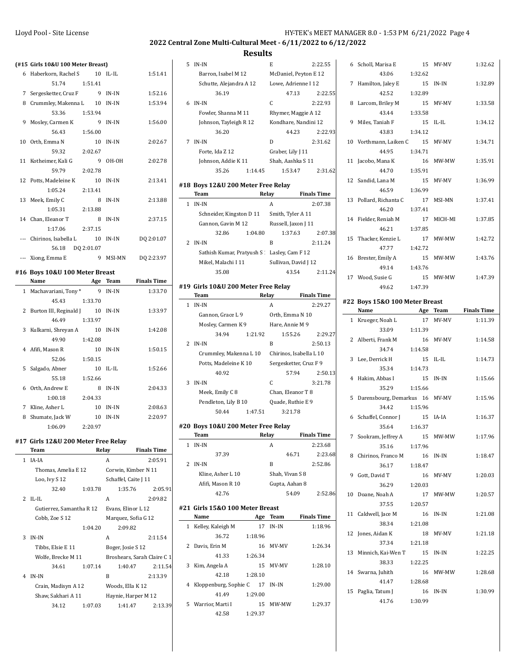6 Scholl, Marisa E 15 MV-MV 1:32.62

7 Hamilton, Jaley E 15 IN-IN 1:32.89

8 Larcom, Briley M 15 MV-MV 1:33.58

9 Miles, Taniah F 15 IL-IL 1:34.12

10 Vorthmann, Laiken C 15 MV-MV 1:34.71

11 Jacobo, Mana K 16 MW-MW 1:35.91

43.06 1:32.62

42.52 1:32.89

43.44 1:33.58

43.83 1:34.12

44.95 1:34.71

### **2022 Central Zone Multi-Cultural Meet - 6/11/2022 to 6/12/2022**

|   | $\pi$ 15 GHTs 1000 100 Meter Breast |            |          |            |
|---|-------------------------------------|------------|----------|------------|
|   | 6 Haberkorn, Rachel S 10 IL-IL      |            |          | 1:51.41    |
|   | 51.74 1:51.41                       |            |          |            |
|   | 7 Sergesketter, Cruz F 9 IN-IN      |            |          | 1:52.16    |
| 8 | Crummley, Makenna L 10 IN-IN        |            |          | 1:53.94    |
|   | 53.36                               | 1:53.94    |          |            |
| 9 | Mosley, Carmen K                    | 9          | IN-IN    | 1:56.00    |
|   | 56.43                               | 1:56.00    |          |            |
|   | 10 Orth, Emma N                     |            | 10 IN-IN | 2:02.67    |
|   | 59.32                               | 2:02.67    |          |            |
|   | 11 Kotheimer, Kali G                | 9          | OH-OH    | 2:02.78    |
|   | 59.79                               | 2:02.78    |          |            |
|   | 12 Potts, Madeleine K               |            | 10 IN-IN | 2:13.41    |
|   | 1:05.24                             | 2:13.41    |          |            |
|   | 13 Meek, Emily C                    | 8          | IN-IN    | 2:13.88    |
|   | 1:05.31                             | 2:13.88    |          |            |
|   | 14 Chan, Eleanor T                  | 8          | $IN-IN$  | 2:37.15    |
|   | 1:17.06 2:37.15                     |            |          |            |
|   | --- Chirinos, Isabella L 10 IN-IN   |            |          | DQ 2:01.07 |
|   | 56.18                               | DQ 2:01.07 |          |            |
|   | --- Xiong, Emma E                   | 9          | MSI-MN   | DQ 2:23.97 |
|   | t16 Rave 108JI 100 Motor Rroact     |            |          |            |

# **#16 Boys 10&U 100 Meter Breast**

|   | Name                   | Age     | Team      | <b>Finals Time</b> |
|---|------------------------|---------|-----------|--------------------|
|   | 1 Machavariani, Tony*  | 9       | IN-IN     | 1:33.70            |
|   | 45.43                  | 1:33.70 |           |                    |
| 2 | Burton III, Reginald J | 10      | IN-IN     | 1:33.97            |
|   | 46.49                  | 1:33.97 |           |                    |
| 3 | Kulkarni, Shreyan A    | 10      | IN-IN     | 1:42.08            |
|   | 49.90                  | 1:42.08 |           |                    |
| 4 | Afifi, Mason R         | 10      | IN-IN     | 1:50.15            |
|   | 52.06                  | 1:50.15 |           |                    |
| 5 | Salgado, Abner         | 10      | $II - II$ | 1:52.66            |
|   | 55.18                  | 1:52.66 |           |                    |
| 6 | Orth, Andrew E         | 8       | IN-IN     | 2:04.33            |
|   | 1:00.18                | 2:04.33 |           |                    |
| 7 | Kline, Asher L         | 10      | IN-IN     | 2:08.63            |
| 8 | Shumate, Jack W        | 10      | IN-IN     | 2:20.97            |
|   | 1:06.09                | 2:20.97 |           |                    |

#### **#17 Girls 12&U 200 Meter Free Relay**

|              | Team                     |         | Relay                | <b>Finals Time</b>          |  |  |  |
|--------------|--------------------------|---------|----------------------|-----------------------------|--|--|--|
| $\mathbf{1}$ | IA-IA                    |         | A                    | 2:05.91                     |  |  |  |
|              | Thomas, Amelia E 12      |         | Corwin, Kimber N 11  |                             |  |  |  |
|              | Loo, Ivy S 12            |         | Schaffel, Caite J 11 |                             |  |  |  |
|              | 32.40                    | 1:03.78 | 1:35.76              | 2:05.91                     |  |  |  |
| $2^{\circ}$  | $II - II$                |         | A                    | 2:09.82                     |  |  |  |
|              | Gutierrez, Samantha R 12 |         | Evans, Elinor L 12   |                             |  |  |  |
|              | Cobb, Zoe S 12           |         | Marquez, Sofia G 12  |                             |  |  |  |
|              |                          | 1:04.20 | 2:09.82              |                             |  |  |  |
| 3            | IN-IN                    |         | A                    | 2:11.54                     |  |  |  |
|              | Tibbs, Elsie E 11        |         | Boger, Josie S 12    |                             |  |  |  |
|              | Wolfe, Brecke M 11       |         |                      | Broshears, Sarah Claire C 1 |  |  |  |
|              | 34.61                    | 1:07.14 | 1:40.47              | 2:11.54                     |  |  |  |
| 4            | IN-IN                    |         | R                    | 2:13.39                     |  |  |  |
|              | Crain, Madisyn A 12      |         | Woods, Ella K 12     |                             |  |  |  |
|              | Shaw, Sakhari A 11       |         | Haynie, Harper M 12  |                             |  |  |  |
|              | 34.12                    | 1:07.03 | 1:41.47              | 2:13.39                     |  |  |  |

|                | <b>Results</b>                             |                         |                    |
|----------------|--------------------------------------------|-------------------------|--------------------|
| 5              | IN-IN                                      | E                       | 2:22.55            |
|                | Barron, Isabel M 12                        | McDaniel, Peyton E 12   |                    |
|                | Schutte, Alejandra A 12                    | Lowe, Adrienne I 12     |                    |
|                | 36.19                                      | 47.13                   | 2:22.55            |
| 6              | IN-IN                                      | C                       | 2:22.93            |
|                | Fowler, Shanna M 11                        | Rhymer, Maggie A 12     |                    |
|                | Johnson, Tayleigh R 12                     | Kondhare, Nandini 12    |                    |
|                | 36.20                                      | 44.23                   | 2:22.93            |
| 7              | $IN-IN$                                    | D                       | 2:31.62            |
|                | Forte, Ida Z 12                            | Graber, Lily J 11       |                    |
|                | Johnson, Addie K 11                        | Shah, Aashka S 11       |                    |
|                | 35.26<br>1:14.45                           | 1:53.47                 | 2:31.62            |
|                | #18 Boys 12&U 200 Meter Free Relay         |                         |                    |
|                | Team                                       | Relay                   | <b>Finals Time</b> |
| 1              | $IN-IN$                                    | A                       | 2:07.38            |
|                | Schneider, Kingston D 11                   | Smith, Tyler A 11       |                    |
|                | Gannon, Gavin M 12                         | Russell, Jaxon J 11     |                    |
|                | 32.86<br>1:04.80                           | 1:37.63                 | 2:07.38            |
| $\overline{2}$ | IN-IN                                      | $\, {\bf B}$            | 2:11.24            |
|                | Sathish Kumar, Pratyush S Lasley, Cam F 12 |                         |                    |
|                | Mikel, Malachi I 11                        | Sullivan, David J 12    |                    |
|                | 35.08                                      | 43.54                   | 2:11.24            |
|                | #19 Girls 10&U 200 Meter Free Relay        |                         |                    |
|                | Team                                       | Relay                   | <b>Finals Time</b> |
| 1              | $IN-IN$                                    | A                       | 2:29.27            |
|                | Gannon, Grace L 9                          | Orth, Emma N 10         |                    |
|                | Mosley, Carmen K 9                         | Hare, Annie M 9         |                    |
|                | 34.94<br>1:21.92                           | 1:55.26                 | 2:29.27            |
| $\overline{2}$ | IN-IN                                      | B                       | 2:50.13            |
|                | Crummley, Makenna L 10                     | Chirinos, Isabella L 10 |                    |
|                | Potts, Madeleine K 10                      | Sergesketter, Cruz F 9  |                    |
|                | 40.92                                      | 57.94                   | 2:50.13            |
| 3              | IN-IN                                      | C                       | 3:21.78            |
|                | Meek, Emily C 8                            | Chan, Eleanor T 8       |                    |
|                | Pendleton, Lily B 10                       | Quade, Ruthie E 9       |                    |
|                | 50.44<br>1:47.51                           | 3:21.78                 |                    |
|                | #20 Boys 10&U 200 Meter Free Relay         |                         |                    |
|                | Team                                       | Relay                   | <b>Finals Time</b> |
| 1              | $IN-IN$                                    | A                       | 2:23.68            |
|                | 37.39                                      | 46.71                   | 2:23.68            |
| 2              | IN-IN                                      | B                       | 2:52.86            |

 $\overline{a}$ 

 $\overline{\phantom{a}}$ 

 $\overline{a}$ 

Kline, Asher L 10 Shah, Vivan S 8 Afifi, Mason R 10 Gupta, Aahan 8

**#21 Girls 15&O 100 Meter Breast**

36.72 1:18.96

41.33 1:26.34

41.49 1:29.00

42.58 1:29.37

42.76 54.09 2:52.86

**Name Age Team Finals Time** 1 Kelley, Kaleigh M 17 IN-IN 1:18.96

2 Davis, Erin M 16 MV-MV 1:26.34

5 Warrior, Marti I 15 MW-MW 1:29.37

|                | 44.70                          | 1:35.91  |          |                    |
|----------------|--------------------------------|----------|----------|--------------------|
|                | 12 Sandid, Lana M              | 15       | MV-MV    | 1:36.99            |
|                | 46.59                          | 1:36.99  |          |                    |
|                | 13 Pollard, Richanta C         | 17       | MSI-MN   | 1:37.41            |
|                | 46.20                          | 1:37.41  |          |                    |
|                | 14 Fielder, Reniah M           | 17       | MICH-MI  | 1:37.85            |
|                | 46.21                          | 1:37.85  |          |                    |
| 15             | Thacker, Kenzie L              | 17       | MW-MW    | 1:42.72            |
|                | 47.77                          | 1:42.72  |          |                    |
| 16             | Brester, Emily A               | 15       | MW-MW    | 1:43.76            |
|                | 49.14                          | 1:43.76  |          |                    |
|                | 17 Wood, Susie G               | 15       | MW-MW    | 1:47.39            |
|                | 49.62                          | 1:47.39  |          |                    |
|                | #22 Boys 15&0 100 Meter Breast |          |          |                    |
|                | Name                           | Age Team |          | <b>Finals Time</b> |
|                | 1 Krueger, Noah L              | 17       | MV-MV    | 1:11.39            |
|                | 33.09                          | 1:11.39  |          |                    |
|                | 2 Alberti, Frank M             |          | 16 MV-MV | 1:14.58            |
|                | 34.74                          | 1:14.58  |          |                    |
| 3              | Lee, Derrick H                 | 15       | IL-IL    | 1:14.73            |
|                | 35.34                          | 1:14.73  |          |                    |
| $\overline{4}$ | Hakim, Abbas I                 |          | 15 IN-IN | 1:15.66            |
|                | 35.29                          | 1:15.66  |          |                    |
| 5              | Darensbourg, Demarkus 16 MV-MV |          |          | 1:15.96            |
|                | 34.42                          | 1:15.96  |          |                    |
|                | 6 Schaffel, Connor J           | 15       | IA-IA    | 1:16.37            |
|                | 35.64                          | 1:16.37  |          |                    |
| 7              | Sookram, Jeffrey A             | 15       | MW-MW    | 1:17.96            |
|                | 35.16                          | 1:17.96  |          |                    |
| 8              | Chirinos, Franco M             | 16       | IN-IN    | 1:18.47            |
|                | 36.17                          | 1:18.47  |          |                    |
| 9              | Gott, David T                  | 16       | MV-MV    | 1:20.03            |
|                | 36.29                          | 1:20.03  |          |                    |
| 10             | Doane, Noah A                  | 17       | MW-MW    | 1:20.57            |
|                | 37.55                          | 1:20.57  |          |                    |
| 11             | Caldwell, Jace M               | 16       | IN-IN    | 1:21.08            |
|                | 38.34                          | 1:21.08  |          |                    |
| 12             | Jones, Aidan K                 |          | 18 MV-MV | 1:21.18            |
|                | 37.34                          | 1:21.18  |          |                    |
|                | 13 Minnich, Kai-Wen T          | 15       | IN-IN    | 1:22.25            |
|                | 38.33                          | 1:22.25  |          |                    |
|                | 14 Swarna Juhith               |          | 16 MW-MW | 1.2868             |

|      |         |                   |         |          | 1.26.34 | 41.33                            |  |
|------|---------|-------------------|---------|----------|---------|----------------------------------|--|
|      | 1:22.25 | 38.33             | 1:28.10 | 15 MV-MV |         | 3 Kim, Angela A                  |  |
| MW-M | 16      | 14 Swarna, Juhith |         |          | 1:28.10 | 42.18                            |  |
|      | 1:28.68 | 41.47             | 1:29.00 |          |         | 4 Kloppenburg, Sophie C 17 IN-IN |  |

| 15 Paglia, Tatum J |         | 16 IN-IN | 1:30.99 |
|--------------------|---------|----------|---------|
| 41.76              | 1:30.99 |          |         |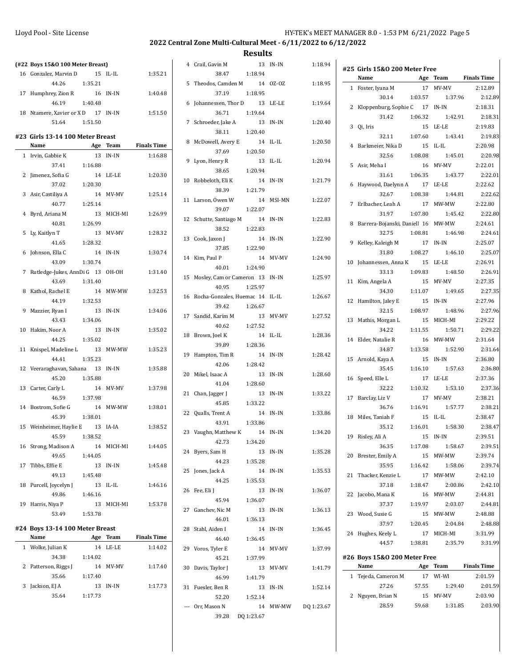|    | (#22 Boys 15&0 100 Meter Breast)   |          |            |                      |
|----|------------------------------------|----------|------------|----------------------|
|    | 16 Gonzalez, Marvin D              | 15       | IL-IL      | 1:35.21              |
|    | 44.26                              | 1:35.21  |            |                      |
| 17 | Humphrey, Zion R                   | 16 IN-IN |            | 1:40.48              |
|    | 46.19                              | 1:40.48  |            |                      |
|    | 18 Ntamere, Xavier or X D 17 IN-IN |          |            | 1:51.50              |
|    | 51.64                              | 1:51.50  |            |                      |
|    |                                    |          |            |                      |
|    | #23 Girls 13-14 100 Meter Breast   |          |            |                      |
|    | Name                               |          |            | Age Team Finals Time |
|    | 1 Irvin, Gabbie K                  |          | 13 IN-IN   | 1:16.88              |
|    | 37.41                              | 1:16.88  |            |                      |
| 2  | Jimenez, Sofia G                   |          | 14 LE-LE   | 1:20.30              |
|    | 37.02                              | 1:20.30  |            |                      |
|    | 3 Asir, Castiliya A                |          | 14 MV-MV   | 1:25.14              |
|    | 40.77 1:25.14                      |          |            |                      |
| 4  | Byrd, Ariana M                     | 13       | MICH-MI    | 1:26.99              |
|    | 40.81                              | 1:26.99  |            |                      |
| 5  | Ly, Kaitlyn T                      |          | 13 MV-MV   | 1:28.32              |
|    | 41.65                              | 1:28.32  |            |                      |
| 6  | Johnson, Ella C                    |          | 14 IN-IN   | 1:30.74              |
|    | 43.09                              | 1:30.74  |            |                      |
| 7  | Rutledge-Jukes, AnnDi G 13 OH-OH   |          |            | 1:31.40              |
|    | 43.69                              | 1:31.40  |            |                      |
| 8  | Kathol, Rachel E                   |          | 14 MW-MW   | 1:32.53              |
|    | 44.19                              | 1:32.53  |            |                      |
| 9  | Mazzier, Ryan I                    | 13       | IN-IN      | 1:34.06              |
|    | 43.43                              | 1:34.06  |            |                      |
| 10 | Hakim, Noor A                      | 13       | IN-IN      | 1:35.02              |
|    | 44.25                              | 1:35.02  |            |                      |
| 11 | Knispel, Madeline L 13 MW-MW       |          |            | 1:35.23              |
|    | 44.41                              | 1:35.23  |            |                      |
|    | 12 Veeraraghavan, Sahana 13 IN-IN  |          |            | 1:35.88              |
|    | 45.20                              | 1:35.88  |            |                      |
|    | 13 Carter, Carly L                 |          | 14 MV-MV   | 1:37.98              |
|    | 46.59                              | 1:37.98  |            |                      |
|    | 14 Bostrom, Sofie G                |          | 14 MW-MW   | 1:38.01              |
|    | 45.39                              | 1:38.01  |            |                      |
|    | 15 Weinheimer, Haylie E 13 IA-IA   |          |            | 1:38.52              |
|    | 45.59                              | 1:38.52  |            |                      |
|    | 16 Strong, Madison A               |          | 14 MICH-MI | 1:44.05              |
|    | 49.65                              | 1:44.05  |            |                      |
|    | 17 Tibbs, Effie E                  | 13       | IN-IN      | 1:45.48              |
|    | 49.13                              | 1:45.48  |            |                      |
| 18 | Purcell, Joycelyn J                | 13       | IL-IL      | 1:46.16              |
|    | 49.86                              | 1:46.16  |            |                      |
|    | 19 Harris, Niya P                  |          | 13 MICH-MI | 1:53.78              |
|    | 53.49                              | 1:53.78  |            |                      |
|    | #24 Boys 13-14 100 Meter Breast    |          |            |                      |
|    | Name                               | Age      |            | Team Finals Time     |
|    | 1 Wolke, Julian K                  |          | 14 LE-LE   | 1:14.02              |
|    | 34.38                              | 1:14.02  |            |                      |
| 2  | Patterson, Riggs J                 |          | 14 MV-MV   | 1:17.40              |
|    | 35.66                              | 1:17.40  |            |                      |
| 3  | Jackson, EJ A                      | 13       | IN-IN      | 1:17.73              |
|    | 35.64                              | 1:17.73  |            |                      |
|    |                                    |          |            |                      |
|    |                                    |          |            |                      |

|    | 4 Crail, Gavin M                   | 13       | IN-IN       | 1:18.94             |
|----|------------------------------------|----------|-------------|---------------------|
|    | 38.47                              | 1:18.94  |             |                     |
|    | 5 Theodos, Camden M                | 14       | $0Z-0Z$     | 1:18.95             |
|    | 37.19                              | 1:18.95  |             |                     |
|    | 6 Johannessen, Thor D 13 LE-LE     |          |             | 1:19.64             |
|    | 36.71                              | 1:19.64  |             |                     |
|    | 7 Schroeder, Jake A                |          | 13 IN-IN    | 1:20.40             |
|    | 38.11                              | 1:20.40  |             |                     |
|    | 8 McDowell, Avery E                |          | 14 IL-IL    | 1:20.50             |
|    | 37.69 1:20.50                      |          |             |                     |
|    | 9 Lyon, Henry R                    | 13       | $IL$ - $IL$ | 1:20.94             |
|    | 38.65                              | 1:20.94  |             |                     |
|    | 10 Robbeloth, Eli K                | 14 IN-IN |             | 1:21.79             |
|    | 38.39                              | 1:21.79  |             |                     |
|    | 11 Larson, Owen W                  |          | 14 MSI-MN   | 1:22.07             |
|    | 39.07                              | 1:22.07  |             |                     |
|    | 12 Schutte, Santiago M             | 14       | IN-IN       | 1:22.83             |
|    | 38.52 1:22.83                      |          |             |                     |
|    | 13 Cook, Jaxon J                   |          | 14 IN-IN    | 1:22.90             |
|    | 37.85 1:22.90                      |          |             |                     |
|    | 14 Kim, Paul P                     |          | 14 MV-MV    | 1:24.90             |
|    | 40.01 1:24.90                      |          |             |                     |
|    | 15 Mosley, Cam or Cameron 13 IN-IN |          |             | 1:25.97             |
|    | 40.95                              | 1:25.97  |             |                     |
|    | 16 Rocha-Gonzales, Huemac 14 IL-IL |          |             | 1:26.67             |
|    | 39.42                              | 1:26.67  |             |                     |
|    | 17 Sandid, Karim M                 | 13       | MV-MV       | 1:27.52             |
|    | 40.62                              | 1:27.52  |             |                     |
|    | 18 Brown, Joel K                   | 14       | IL-IL       | 1:28.36             |
|    | 39.89                              | 1:28.36  |             |                     |
|    | 19 Hampton, Tim R                  |          | 14 IN-IN    | 1:28.42             |
|    | 42.06                              | 1:28.42  |             |                     |
|    | 20 Mikel, Isaac A                  |          | 13 IN-IN    | 1:28.60             |
|    | 41.04 1:28.60                      |          |             |                     |
|    | 21 Chan, Jagger J                  |          | 13 IN-IN    | 1:33.22             |
|    | 45.85                              | 1:33.22  |             |                     |
|    | 22 Qualls, Trent A                 | 14 IN-IN |             | 1:33.86             |
|    | 43.91                              | 1:33.86  |             |                     |
| 23 | Vaughn, Matthew K                  |          | 14 IN-IN    | 1:34.20             |
|    | 42.73                              | 1:34.20  |             |                     |
|    | 24 Byers, Sam H                    |          | 13 IN-IN    | 1:35.28             |
|    | 44.23                              | 1:35.28  |             |                     |
| 25 | Jones, Jack A                      |          | 14 IN-IN    | 1:35.53             |
|    | 44.25                              | 1:35.53  |             |                     |
| 26 | Fee, Eli J                         |          | 13 IN-IN    | 1:36.07             |
|    | 45.94                              | 1:36.07  |             |                     |
|    | 27 Ganchev, Nic M                  | 13       | IN-IN       | 1:36.13             |
|    | 46.01                              | 1:36.13  |             |                     |
|    | 28 Stahl, Aiden I                  | 14       | IN-IN       | 1:36.45             |
|    | 46.40                              | 1:36.45  |             |                     |
| 29 | Voros, Tyler E                     |          | 14 MV-MV    | 1:37.99             |
|    | 45.21                              | 1:37.99  |             |                     |
| 30 | Davis, Taylor J                    |          | 13 MV-MV    | 1:41.79             |
|    | 46.99                              | 1:41.79  |             |                     |
|    | 31 Fuesler, Ben R                  |          | 13 IN-IN    | 1:52.14             |
|    | 52.20                              | 1:52.14  |             |                     |
|    | --- Orr, Mason N                   |          |             | 14 MW-MW DQ 1:23.67 |
|    | 39.28 DQ 1:23.67                   |          |             |                     |

|   | #25 Girls 15&0 200 Meter Free      |          |                      |                      |
|---|------------------------------------|----------|----------------------|----------------------|
|   | Name                               |          | Age Team Finals Time |                      |
|   | 1 Foster, Iyana M                  |          | 17 MV-MV             | 2:12.89              |
|   | 30.14                              | 1:03.57  | 1:37.96              | 2:12.89              |
| 2 | Kloppenburg, Sophie C 17 IN-IN     |          |                      | 2:18.31              |
|   | 31.42                              | 1:06.32  | 1:42.91              | 2:18.31              |
| 3 | Qi, Iris                           |          | 15 LE-LE             | 2:19.83              |
|   | 32.11 1:07.60                      |          | 1:43.41              | 2:19.83              |
|   | 4 Barkmeier, Nika D                | 15 IL-IL |                      | 2:20.98              |
|   | 32.56                              | 1:08.08  | 1:45.01              | 2:20.98              |
|   | 5 Asir, Meha I                     |          | 16 MV-MV             | 2:22.01              |
|   | 31.61                              | 1:06.35  | 1:43.77              | 2:22.01              |
| 6 | Haywood, Daelynn A 17 LE-LE        |          |                      | 2:22.62              |
|   | 32.67                              |          | 1:44.81              |                      |
|   |                                    | 1:08.38  |                      | 2:22.62              |
|   | 7 Erlbacher, Leah A                |          | 17 MW-MW             | 2:22.80              |
|   | 31.97                              | 1:07.80  | 1:45.42              | 2:22.80              |
| 8 | Barrera-Bojanski, Daniell 16 MW-MW |          |                      | 2:24.61              |
|   | 32.75                              | 1:08.81  | 1:46.98              | 2:24.61              |
|   | 9 Kelley, Kaleigh M                | 17       | IN-IN                | 2:25.07              |
|   | 31.80                              | 1:08.27  | 1:46.10              | 2:25.07              |
|   | 10 Johannessen, Anna K 15 LE-LE    |          |                      | 2:26.91              |
|   | 33.13                              | 1:09.83  | 1:48.50              | 2:26.91              |
|   | 11 Kim, Angela A                   |          | 15 MV-MV             | 2:27.35              |
|   | 34.30                              | 1:11.07  | 1:49.65              | 2:27.35              |
|   | 12 Hamilton, Jaley E 15            |          | $IN-IN$              | 2:27.96              |
|   | 32.15                              | 1:08.97  | 1:48.96              | 2:27.96              |
|   | 13 Mathis, Morgan L                |          | 15 MICH-MI           | 2:29.22              |
|   | 34.22                              | 1:11.55  | 1:50.71              | 2:29.22              |
|   | 14 Elder, Natalie R                |          | 16 MW-MW             | 2:31.64              |
|   | 34.87                              | 1:13.58  | 1:52.90              | 2:31.64              |
|   | 15 Arnold, Kaya A                  | 15       | IN-IN                | 2:36.80              |
|   | 35.45                              | 1:16.10  | 1:57.63              | 2:36.80              |
|   | 16 Speed, Elle L                   |          | 17 LE-LE             | 2:37.36              |
|   |                                    | 1:10.32  |                      | 2:37.36              |
|   | 32.22                              |          | 1:53.10              |                      |
|   | 17 Barclay, Liz V                  |          | 17 MV-MV             | 2:38.21              |
|   | 36.76                              | 1:16.91  | 1:57.77              | 2:38.21              |
|   | 18 Miles, Taniah F                 | 15       | $IL$ - $IL$          | 2:38.47              |
|   | 35.12                              | 1:16.01  | 1:58.30              | 2:38.47              |
|   | 19 Risley, Ali A                   | 15       | IN-IN                | 2:39.51              |
|   | 36.35                              | 1:17.08  | 1:58.67              | 2:39.51              |
|   | 20 Brester, Emily A                |          | 15 MW-MW             | 2:39.74              |
|   | 35.95                              | 1:16.42  | 1:58.06              | 2:39.74              |
|   | 21 Thacker, Kenzie L               |          | 17 MW-MW             | 2:42.10              |
|   | 37.18                              | 1:18.47  | 2:00.86              | 2:42.10              |
|   | 22 Jacobo, Mana K                  |          | 16 MW-MW             | 2:44.81              |
|   | 37.37                              | 1:19.97  | 2:03.07              | 2:44.81              |
|   | 23 Wood, Susie G                   |          | 15 MW-MW             | 2:48.88              |
|   | 37.97                              | 1:20.45  | 2:04.84              | 2:48.88              |
|   | 24 Hughes, Keely L                 |          | 17 MICH-MI           | 3:31.99              |
|   | 44.57                              | 1:38.81  | 2:35.79              | 3:31.99              |
|   |                                    |          |                      |                      |
|   | #26 Boys 15&0 200 Meter Free       |          |                      |                      |
|   | Name                               |          |                      | Age Team Finals Time |
|   |                                    |          |                      |                      |
|   | 1 Tejeda, Cameron M                |          | 17 WI-WI             | 2:01.59              |
|   | 27.26                              | 57.55    | 1:29.40              |                      |
|   | 2 Nguyen, Brian N                  |          | 15 MV-MV             | 2:01.59<br>2:03.90   |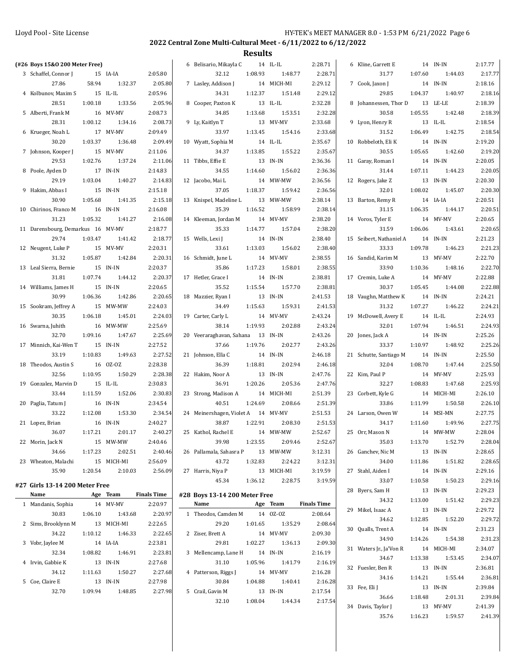| (#26 Boys 15&0 200 Meter Free)    |         |                     |                    | 6 Belisario, Mikayla C             |         | 14 IL-IL            | 2:28.71            | 6 Kline, Garrett E          |         | 14 IN-IN            | 2:17.77            |
|-----------------------------------|---------|---------------------|--------------------|------------------------------------|---------|---------------------|--------------------|-----------------------------|---------|---------------------|--------------------|
| 3 Schaffel, Connor J              |         | 15 IA-IA            | 2:05.80            | 32.12                              | 1:08.93 | 1:48.77             | 2:28.71            | 31.77                       | 1:07.60 | 1:44.03             | 2:17.77            |
| 27.86                             | 58.94   | 1:32.37             | 2:05.80            | 7 Lasley, Addison J                |         | 14 MICH-MI          | 2:29.12            | 7 Cook, Jaxon J             |         | 14 IN-IN            | 2:18.16            |
| 4 Kolbunov, Maxim S               |         | 15 IL-IL            | 2:05.96            | 34.31                              | 1:12.37 | 1:51.48             | 2:29.12            | 29.85                       | 1:04.37 | 1:40.97             | 2:18.16            |
| 28.51                             | 1:00.18 | 1:33.56             | 2:05.96            | 8 Cooper, Paxton K                 |         | 13 IL-IL            | 2:32.28            | 8 Johannessen, Thor D       |         | 13 LE-LE            | 2:18.39            |
| 5 Alberti, Frank M                |         | 16 MV-MV            | 2:08.73            | 34.85                              | 1:13.68 | 1:53.51             | 2:32.28            | 30.58                       | 1:05.55 | 1:42.48             | 2:18.39            |
| 28.31                             | 1:00.12 | 1:34.16             | 2:08.73            | 9 Ly, Kaitlyn T                    |         | 13 MV-MV            | 2:33.68            | 9 Lyon, Henry R             |         | 13 IL-IL            | 2:18.54            |
| 6 Krueger, Noah L                 |         | 17 MV-MV            | 2:09.49            | 33.97                              | 1:13.45 | 1:54.16             | 2:33.68            | 31.52                       | 1:06.49 | 1:42.75             | 2:18.54            |
| 30.20                             | 1:03.37 | 1:36.48             | 2:09.49            | 10 Wyatt, Sophia M                 |         | 14 IL-IL            | 2:35.67            | 10 Robbeloth, Eli K         |         | 14 IN-IN            | 2:19.20            |
| 7 Johnson, Kooper J               |         | 15 MV-MV            | 2:11.06            | 34.37                              | 1:13.85 | 1:55.22             | 2:35.67            | 30.55                       | 1:05.65 | 1:42.60             | 2:19.20            |
| 29.53                             | 1:02.76 | 1:37.24             | 2:11.06            | 11 Tibbs, Effie E                  |         | 13 IN-IN            | 2:36.36            | 11 Garay, Roman I           |         | 14 IN-IN            | 2:20.05            |
| 8 Poole, Ayden D                  |         | 17 IN-IN            | 2:14.83            | 34.55                              | 1:14.60 | 1:56.02             | 2:36.36            | 31.44                       | 1:07.11 | 1:44.23             | 2:20.05            |
|                                   |         | 1:40.27             | 2:14.83            |                                    |         |                     |                    |                             |         |                     |                    |
| 29.19                             | 1:03.04 |                     |                    | 12 Jacobo, Mai L                   |         | 14 MW-MW            | 2:36.56            | 12 Rogers, Jake Z           |         | 13 IN-IN            | 2:20.30            |
| 9 Hakim, Abbas I                  |         | 15 IN-IN            | 2:15.18            | 37.05                              | 1:18.37 | 1:59.42             | 2:36.56            | 32.01                       | 1:08.02 | 1:45.07             | 2:20.30            |
| 30.90                             | 1:05.68 | 1:41.35             | 2:15.18            | 13 Knispel, Madeline L             |         | 13 MW-MW            | 2:38.14            | 13 Barton, Remy R           |         | 14 IA-IA            | 2:20.51            |
| 10 Chirinos, Franco M             |         | 16 IN-IN            | 2:16.08            | 35.39                              | 1:16.52 | 1:58.99             | 2:38.14            | 31.15                       | 1:06.35 | 1:44.17             | 2:20.51            |
| 31.23                             | 1:05.32 | 1:41.27             | 2:16.08            | 14 Kleeman, Jordan M               |         | 14 MV-MV            | 2:38.20            | 14 Voros, Tyler E           |         | 14 MV-MV            | 2:20.65            |
| 11 Darensbourg, Demarkus 16 MV-MV |         |                     | 2:18.77            | 35.33                              | 1:14.77 | 1:57.04             | 2:38.20            | 31.59                       | 1:06.06 | 1:43.61             | 2:20.65            |
| 29.74                             | 1:03.47 | 1:41.42             | 2:18.77            | 15 Wells, Lexi J                   |         | 14 IN-IN            | 2:38.40            | 15 Seibert, Nathaniel A     |         | 14 IN-IN            | 2:21.23            |
| 12 Neugent, Luke P                |         | 15 MV-MV            | 2:20.31            | 33.61                              | 1:13.03 | 1:56.02             | 2:38.40            | 33.33                       | 1:09.78 | 1:46.23             | 2:21.23            |
| 31.32                             | 1:05.87 | 1:42.84             | 2:20.31            | 16 Schmidt, June L                 |         | 14 MV-MV            | 2:38.55            | 16 Sandid, Karim M          |         | 13 MV-MV            | 2:22.70            |
| 13 Leal Sierra, Bernie            |         | 15 IN-IN            | 2:20.37            | 35.86                              | 1:17.23 | 1:58.01             | 2:38.55            | 33.90                       | 1:10.36 | 1:48.16             | 2:22.70            |
| 31.81                             | 1:07.74 | 1:44.12             | 2:20.37            | 17 Hetler, Grace I                 |         | 14 IN-IN            | 2:38.81            | 17 Cremin, Luke A           |         | 14 MV-MV            | 2:22.88            |
| 14 Williams, James H              |         | 15 IN-IN            | 2:20.65            | 35.52                              | 1:15.54 | 1:57.70             | 2:38.81            | 30.37                       | 1:05.45 | 1:44.08             | 2:22.88            |
| 30.99                             | 1:06.36 | 1:42.86             | 2:20.65            | 18 Mazzier, Ryan I                 |         | 13 IN-IN            | 2:41.53            | 18 Vaughn, Matthew K        |         | 14 IN-IN            | 2:24.21            |
| 15 Sookram, Jeffrey A             |         | 15 MW-MW            | 2:24.03            | 34.49                              | 1:15.63 | 1:59.31             | 2:41.53            | 31.32                       | 1:07.27 | 1:46.22             | 2:24.21            |
| 30.35                             | 1:06.18 | 1:45.01             | 2:24.03            | 19 Carter, Carly L                 |         | 14 MV-MV            | 2:43.24            | 19 McDowell, Avery E        |         | 14 IL-IL            | 2:24.93            |
| 16 Swarna, Juhith                 |         | 16 MW-MW            | 2:25.69            | 38.14                              | 1:19.93 | 2:02.88             | 2:43.24            | 32.01                       | 1:07.94 | 1:46.51             | 2:24.93            |
| 32.70                             | 1:09.16 | 1:47.67             | 2:25.69            | 20 Veeraraghavan, Sahana           |         | 13 IN-IN            | 2:43.26            | 20 Jones, Jack A            |         | 14 IN-IN            | 2:25.26            |
| 17 Minnich, Kai-Wen T             |         | 15 IN-IN            | 2:27.52            | 37.66                              | 1:19.76 | 2:02.77             | 2:43.26            | 33.37                       | 1:10.97 | 1:48.92             | 2:25.26            |
| 33.19                             | 1:10.83 | 1:49.63             | 2:27.52            | 21 Johnson, Ella C                 |         | 14 IN-IN            | 2:46.18            | 21 Schutte, Santiago M      |         | 14 IN-IN            | 2:25.50            |
| 18 Theodos, Austin S<br>32.56     | 1:10.95 | 16 OZ-OZ<br>1:50.29 | 2:28.38            | 36.39                              | 1:18.81 | 2:02.94             | 2:46.18            | 32.04                       | 1:08.70 | 1:47.44<br>14 MV-MV | 2:25.50<br>2:25.93 |
|                                   |         |                     | 2:28.38            | 22 Hakim, Noor A<br>36.91          | 1:20.26 | 13 IN-IN<br>2:05.36 | 2:47.76            | 22 Kim, Paul P<br>32.27     | 1:08.83 | 1:47.68             |                    |
| 19 Gonzalez, Marvin D             |         | 15 IL-IL            | 2:30.83            |                                    |         |                     | 2:47.76            |                             |         |                     | 2:25.93            |
| 33.44                             | 1:11.59 | 1:52.06             | 2:30.83            | 23 Strong, Madison A               |         | 14 MICH-MI          | 2:51.39            | 23 Corbett, Kyle G          |         | 14 MICH-MI          | 2:26.10            |
| 20 Paglia, Tatum J                |         | 16 IN-IN            | 2:34.54            | 40.51                              | 1:24.69 | 2:08.66             | 2:51.39            | 33.86                       | 1:11.99 | 1:50.58             | 2:26.10            |
| 33.22                             | 1:12.08 | 1:53.30             | 2:34.54            | 24 Meinershagen, Violet A 14 MV-MV |         |                     | 2:51.53            | 24 Larson, Owen W           |         | 14 MSI-MN           | 2:27.75            |
| 21 Lopez, Brian                   |         | 16 IN-IN            | 2:40.27            | 38.87                              | 1:22.91 | 2:08.30             | 2:51.53            | 34.17                       | 1:11.60 | 1:49.96             | 2:27.75            |
| 36.07                             | 1:17.21 | 2:01.17             | 2:40.27            | 25 Kathol, Rachel E                |         | 14 MW-MW            | 2:52.67            | 25 Orr, Mason N             |         | 14 MW-MW            | 2:28.04            |
| 22 Morin, Jack N                  |         | 15 MW-MW            | 2:40.46            | 39.98                              | 1:23.55 | 2:09.46             | 2:52.67            | 35.03                       | 1:13.70 | 1:52.79             | 2:28.04            |
| 34.66                             | 1:17.23 | 2:02.51             | 2:40.46            | 26 Pallamala, Sahasra P            |         | 13 MW-MW            | 3:12.31            | 26 Ganchev, Nic M           |         | 13 IN-IN            | 2:28.65            |
| 23 Wheaton, Malachi               |         | 15 MICH-MI          | 2:56.09            | 43.72                              | 1:32.83 | 2:24.22             | 3:12.31            | 34.00                       | 1:11.86 | 1:51.82             | 2:28.65            |
| 35.90                             | 1:20.54 | 2:10.03             | 2:56.09            | 27 Harris, Niya P                  |         | 13 MICH-MI          | 3:19.59            | 27 Stahl, Aiden I           |         | 14 IN-IN            | 2:29.16            |
| #27 Girls 13-14 200 Meter Free    |         |                     |                    | 45.34                              | 1:36.12 | 2:28.75             | 3:19.59            | 33.07                       | 1:10.58 | 1:50.23             | 2:29.16            |
| Name                              |         | Age Team            | <b>Finals Time</b> | #28 Boys 13-14 200 Meter Free      |         |                     |                    | 28 Byers, Sam H             |         | 13 IN-IN            | 2:29.23            |
| 1 Mandanis, Sophia                |         | 14 MV-MV            | 2:20.97            | Name                               |         | Age Team            | <b>Finals Time</b> | 34.32                       | 1:13.00 | 1:51.42             | 2:29.23            |
| 30.83                             | 1:06.10 | 1:43.68             | 2:20.97            | 1 Theodos, Camden M                |         | 14 OZ-OZ            | 2:08.64            | 29 Mikel, Isaac A<br>34.62  |         | 13 IN-IN<br>1:52.20 | 2:29.72<br>2:29.72 |
| 2 Sims, Brooklynn M               |         | 13 MICH-MI          | 2:22.65            | 29.20                              | 1:01.65 | 1:35.29             | 2:08.64            | 30 Qualls, Trent A          | 1:12.85 |                     |                    |
| 34.22                             | 1:10.12 | 1:46.33             | 2:22.65            | 2 Ziser, Brett A                   |         | 14 MV-MV            | 2:09.30            |                             |         | 14 IN-IN            | 2:31.23            |
| 3 Vobr, Jaylee M                  |         | 14 IA-IA            | 2:23.81            | 29.81                              | 1:02.27 | 1:36.13             | 2:09.30            | 34.90                       | 1:14.26 | 1:54.38             | 2:31.23            |
| 32.34                             | 1:08.82 | 1:46.91             | 2:23.81            | 3 Mellencamp, Lane H               |         | 14 IN-IN            | 2:16.19            | 31 Waters Jr., Ja'Von R     |         | 14 MICH-MI          | 2:34.07            |
| 4 Irvin, Gabbie K                 |         | 13 IN-IN            | 2:27.68            | 31.10                              | 1:05.96 | 1:41.79             | 2:16.19            | 34.67                       | 1:13.38 | 1:53.45             | 2:34.07            |
| 34.12                             | 1:11.63 | 1:50.27             | 2:27.68            | 4 Patterson, Riggs J               |         | 14 MV-MV            | 2:16.28            | 32 Fuesler, Ben R           |         | 13 IN-IN            | 2:36.81            |
| 5 Coe, Claire E                   |         | 13 IN-IN            | 2:27.98            | 30.84                              | 1:04.88 | 1:40.41             | 2:16.28            | 34.16                       | 1:14.21 | 1:55.44             | 2:36.81            |
| 32.70                             | 1:09.94 | 1:48.85             | 2:27.98            | 5 Crail, Gavin M                   |         | 13 IN-IN            | 2:17.54            | 33 Fee, Eli J               |         | 13 IN-IN            | 2:39.84            |
|                                   |         |                     |                    | 32.10                              | 1:08.04 | 1:44.34             | 2:17.54            | 36.66<br>34 Davis, Taylor J | 1:18.48 | 2:01.31<br>13 MV-MV | 2:39.84<br>2:41.39 |
|                                   |         |                     |                    |                                    |         |                     |                    |                             |         |                     |                    |
|                                   |         |                     |                    |                                    |         |                     |                    | 35.76                       | 1:16.23 | 1:59.57             | 2:41.39            |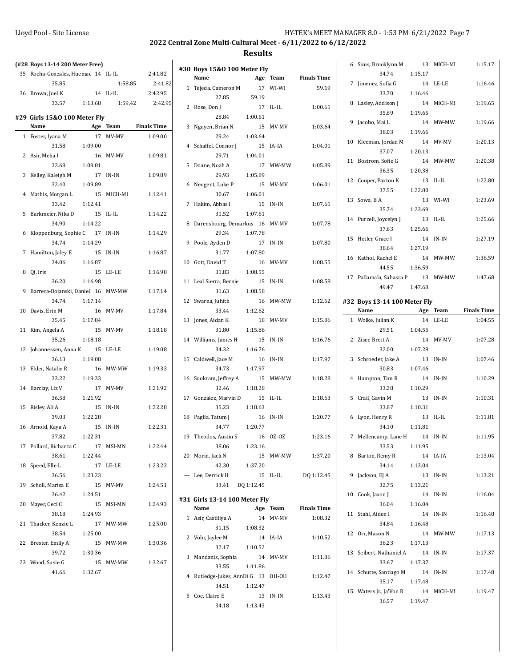### **2022 Central Zone Multi-Cultural Meet - 6/11/2022 to 6/12/2022**

5 Coe, Claire E 13 IN-IN 1:13.43

34.18 1:13.43

| (#28 Boys 13-14 200 Meter Free)<br>35 Rocha-Gonzales, Huemac 14 IL-IL |         |            | 2:41.82            | #30 Boys 15&0 100 Meter Fly        |            |          |                    |
|-----------------------------------------------------------------------|---------|------------|--------------------|------------------------------------|------------|----------|--------------------|
| 35.85                                                                 |         | 1:58.85    | 2:41.82            | Name                               |            | Age Team | <b>Finals Time</b> |
|                                                                       |         | 14 IL-IL   | 2:42.95            | 1 Tejeda, Cameron M                |            | 17 WI-WI | 59.19              |
| 36 Brown, Joel K                                                      |         |            | 2:42.95            | 27.85                              | 59.19      |          |                    |
| 33.57                                                                 | 1:13.68 | 1:59.42    |                    | 2 Rose, Don J                      |            | 17 IL-IL | 1:00.61            |
| #29 Girls 15&0 100 Meter Fly                                          |         |            |                    | 28.84                              | 1:00.61    |          |                    |
| Name                                                                  |         | Age Team   | <b>Finals Time</b> | 3 Nguyen, Brian N                  |            | 15 MV-MV | 1:03.64            |
| 1 Foster, Iyana M                                                     |         | 17 MV-MV   | 1:09.00            | 29.24                              | 1:03.64    |          |                    |
| 31.58                                                                 | 1:09.00 |            |                    | 4 Schaffel, Connor J               |            | 15 IA-IA | 1:04.01            |
| 2 Asir, Meha I                                                        |         | 16 MV-MV   | 1:09.81            | 29.71                              | 1:04.01    |          |                    |
| 32.68                                                                 | 1:09.81 |            |                    | 5 Doane, Noah A                    |            | 17 MW-MW | 1:05.89            |
| 3 Kelley, Kaleigh M                                                   |         | 17 IN-IN   | 1:09.89            | 29.93                              | 1:05.89    |          |                    |
| 32.40                                                                 | 1:09.89 |            |                    | 6 Neugent, Luke P                  |            | 15 MV-MV | 1:06.01            |
| 4 Mathis, Morgan L                                                    |         | 15 MICH-MI | 1:12.41            | 30.67                              | 1:06.01    |          |                    |
| 33.42                                                                 | 1:12.41 |            |                    | 7 Hakim, Abbas I                   |            | 15 IN-IN | 1:07.61            |
| 5 Barkmeier, Nika D                                                   |         | 15 IL-IL   | 1:14.22            | 31.52                              | 1:07.61    |          |                    |
| 34.90                                                                 | 1:14.22 |            |                    | 8 Darensbourg, Demarkus 16 MV-MV   |            |          | 1:07.78            |
| 6 Kloppenburg, Sophie C                                               |         | 17 IN-IN   | 1:14.29            | 29.34                              | 1:07.78    |          |                    |
| 34.74                                                                 | 1:14.29 |            |                    | 9 Poole, Ayden D                   |            | 17 IN-IN | 1:07.80            |
| 7 Hamilton, Jaley E                                                   |         | 15 IN-IN   | 1:16.87            | 31.77                              | 1:07.80    |          |                    |
| 34.06                                                                 | 1:16.87 |            |                    | 10 Gott, David T                   |            | 16 MV-MV | 1:08.55            |
| 8 Qi, Iris                                                            |         | 15 LE-LE   | 1:16.98            | 31.83                              | 1:08.55    |          |                    |
|                                                                       | 1:16.98 |            |                    |                                    |            |          |                    |
| 36.20                                                                 |         |            |                    | 11 Leal Sierra, Bernie             |            | 15 IN-IN | 1:08.58            |
| 9 Barrera-Bojanski, Daniell 16 MW-MW                                  |         |            | 1:17.14            | 31.63                              | 1:08.58    |          |                    |
| 34.74                                                                 | 1:17.14 |            |                    | 12 Swarna, Juhith                  |            | 16 MW-MW | 1:12.62            |
| 10 Davis, Erin M                                                      |         | 16 MV-MV   | 1:17.84            | 33.44                              | 1:12.62    |          |                    |
| 35.45                                                                 | 1:17.84 |            |                    | 13 Jones, Aidan K                  |            | 18 MV-MV | 1:15.86            |
| 11 Kim, Angela A                                                      |         | 15 MV-MV   | 1:18.18            | 31.80                              | 1:15.86    |          |                    |
| 35.26                                                                 | 1:18.18 |            |                    | 14 Williams, James H               |            | 15 IN-IN | 1:16.76            |
| 12 Johannessen, Anna K                                                |         | 15 LE-LE   | 1:19.08            | 34.32                              | 1:16.76    |          |                    |
| 36.13                                                                 | 1:19.08 |            |                    | 15 Caldwell, Jace M                |            | 16 IN-IN | 1:17.97            |
| 13 Elder, Natalie R                                                   |         | 16 MW-MW   | 1:19.33            | 34.73                              | 1:17.97    |          |                    |
| 33.22                                                                 | 1:19.33 |            |                    | 16 Sookram, Jeffrey A              |            | 15 MW-MW | 1:18.28            |
| 14 Barclay, Liz V                                                     |         | 17 MV-MV   | 1:21.92            | 32.46                              | 1:18.28    |          |                    |
| 36.58                                                                 | 1:21.92 |            |                    | 17 Gonzalez, Marvin D              |            | 15 IL-IL | 1:18.63            |
| 15 Risley, Ali A                                                      |         | 15 IN-IN   | 1:22.28            | 35.23                              | 1:18.63    |          |                    |
| 39.03                                                                 | 1:22.28 |            |                    | 18 Paglia, Tatum J                 |            | 16 IN-IN | 1:20.77            |
| 16 Arnold, Kaya A                                                     |         | 15 IN-IN   | 1:22.31            | 34.77                              | 1:20.77    |          |                    |
| 37.82                                                                 | 1:22.31 |            |                    | 19 Theodos, Austin S               |            | 16 OZ-OZ | 1:23.16            |
| 17 Pollard, Richanta C                                                |         | 17 MSI-MN  | 1:22.44            | 38.06                              | 1:23.16    |          |                    |
| 38.61                                                                 | 1:22.44 |            |                    | 20 Morin, Jack N                   |            | 15 MW-MW | 1:37.20            |
| 18 Speed, Elle L                                                      |         | 17 LE-LE   | 1:23.23            | 42.30                              | 1:37.20    |          |                    |
| 36.56                                                                 | 1:23.23 |            |                    | --- Lee, Derrick H                 |            | 15 IL-IL | DQ 1:12.45         |
| 19 Scholl, Marisa E                                                   |         | 15 MV-MV   | 1:24.51            | 33.41                              | DQ 1:12.45 |          |                    |
| 36.42                                                                 | 1:24.51 |            |                    |                                    |            |          |                    |
| 20 Mayer, Ceci C                                                      |         | 15 MSI-MN  | 1:24.93            | #31 Girls 13-14 100 Meter Fly      |            |          |                    |
| 38.18                                                                 | 1:24.93 |            |                    | Name                               |            | Age Team | <b>Finals Time</b> |
| 21 Thacker, Kenzie L                                                  |         | 17 MW-MW   | 1:25.00            | 1 Asir, Castiliya A                |            | 14 MV-MV | 1:08.32            |
| 38.54                                                                 | 1:25.00 |            |                    | 31.15                              | 1:08.32    |          |                    |
| 22 Brester, Emily A                                                   |         | 15 MW-MW   | 1:30.36            | 2 Vobr, Jaylee M                   |            | 14 IA-IA | 1:10.52            |
| 39.72                                                                 | 1:30.36 |            |                    | 32.17                              | 1:10.52    |          |                    |
| 23 Wood, Susie G                                                      |         | 15 MW-MW   | 1:32.67            | 3 Mandanis, Sophia                 |            | 14 MV-MV | 1:11.86            |
|                                                                       |         |            |                    | 33.55                              | 1:11.86    |          |                    |
| 41.66                                                                 | 1:32.67 |            |                    | 4 Rutledge-Jukes, AnnDi G 13 OH-OH |            |          | 1:12.47            |
|                                                                       |         |            |                    | 34.51                              | 1:12.47    |          |                    |

| 6  | Sims, Brooklynn M<br>34.74                         | 13<br>1:15.17            | MICH-MI     | 1:15.17            |
|----|----------------------------------------------------|--------------------------|-------------|--------------------|
| 7  | Jimenez, Sofia G<br>33.70                          | 14<br>1:16.46            | LE-LE       | 1:16.46            |
| 8  | Lasley, Addison J<br>35.69                         | 14<br>1:19.65            | MICH-MI     | 1:19.65            |
| 9  | Jacobo, Mai L<br>38.03                             | 14<br>1:19.66            | MW-MW       | 1:19.66            |
| 10 | Kleeman, Jordan M<br>37.07                         | 14<br>1:20.13            | MV-MV       | 1:20.13            |
| 11 | Bostrom, Sofie G<br>36.35                          | 14<br>1:20.38            | MW-MW       | 1:20.38            |
|    | 12 Cooper, Paxton K<br>37.55                       | 13<br>1:22.80            | $IL$ - $IL$ | 1:22.80            |
|    | 13 Sowa, B A                                       |                          | 13 WI-WI    | 1:23.69            |
| 14 | 35.74<br>Purcell, Joycelyn J<br>37.63              | 1:23.69<br>13<br>1:25.66 | $IL$ - $IL$ | 1:25.66            |
| 15 | Hetler, Grace I<br>38.64                           | 14                       | IN-IN       | 1:27.19            |
| 16 | Kathol, Rachel E                                   | 1:27.19<br>14            | MW-MW       | 1:36.59            |
|    | 44.55<br>17 Pallamala, Sahasra P 13 MW-MW<br>49.47 | 1:36.59<br>1:47.68       |             | 1:47.68            |
|    | #32 Boys 13-14 100 Meter Fly                       |                          |             |                    |
|    | Name                                               | Age Team                 |             | <b>Finals Time</b> |
|    | 1 Wolke, Julian K                                  |                          | 14 LE-LE    | 1:04.55            |
|    | 29.51                                              | 1:04.55                  |             |                    |
|    |                                                    |                          |             |                    |
| 2  | Ziser, Brett A<br>32.00                            | 14<br>1:07.28            | MV-MV       | 1:07.28            |
| 3  | Schroeder, Jake A                                  | 13                       | IN-IN       | 1:07.46            |
| 4  | 30.83<br>Hampton, Tim R<br>33.28                   | 1:07.46<br>14<br>1:10.29 | IN-IN       | 1:10.29            |
| 5  | Crail, Gavin M                                     | - 13                     | IN-IN       | 1:10.31            |
| 6  | 33.87<br>Lyon, Henry R                             | 1:10.31<br>13            | $IL$ - $IL$ | 1:11.81            |
| 7  | 34.10<br>Mellencamp, Lane H 14 IN-IN               | 1:11.81                  |             | 1:11.95            |
| 8  | 33.53<br>Barton, Remy R                            | 1:11.95                  | 14 IA-IA    | 1:13.04            |
|    | 34.14<br>9 Jackson, EJ A                           | 1:13.04                  | 13 IN-IN    | 1:13.21            |
|    | 32.75<br>10 Cook, Jaxon J                          | 1:13.21                  | 14 IN-IN    | 1:16.04            |
|    | 36.04 1:16.04<br>11 Stahl, Aiden I                 |                          | 14 IN-IN    | 1:16.48            |
|    | 34.84 1:16.48<br>12 Orr, Mason N                   |                          | 14 MW-MW    | 1:17.13            |
|    | 36.23 1:17.13<br>13 Seibert, Nathaniel A           |                          | 14 IN-IN    | 1:17.37            |
|    | 33.67<br>14 Schutte, Santiago M                    | 1:17.37                  | 14 IN-IN    | 1:17.48            |
|    | 35.17<br>15 Waters Jr., Ja'Von R<br>36.57          | 1:17.48<br>1:19.47       | 14 MICH-MI  | 1:19.47            |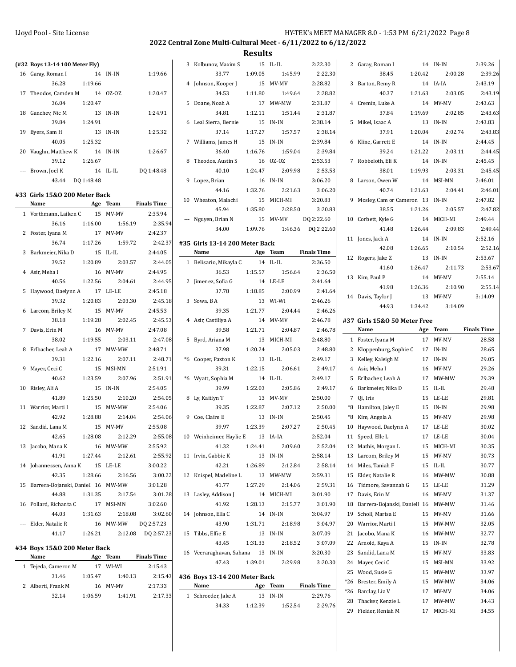| (#32 Boys 13-14 100 Meter Fly)        |         |           |                    | 3 Kolbunov, Maxim S            |         | 15 IL-IL   | 2:22.30            | 2 Garay, Roman I                      |         | 14 IN-IN   | 2:39.26            |
|---------------------------------------|---------|-----------|--------------------|--------------------------------|---------|------------|--------------------|---------------------------------------|---------|------------|--------------------|
| 16 Garay, Roman I                     |         | 14 IN-IN  | 1:19.66            | 33.77                          | 1:09.05 | 1:45.99    | 2:22.30            | 38.45                                 | 1:20.42 | 2:00.28    | 2:39.26            |
| 36.28                                 | 1:19.66 |           |                    | 4 Johnson, Kooper J            |         | 15 MV-MV   | 2:28.82            | 3 Barton, Remy R                      |         | 14 IA-IA   | 2:43.19            |
| 17 Theodos, Camden M                  |         | 14 0Z-0Z  | 1:20.47            | 34.53                          | 1:11.80 | 1:49.64    | 2:28.82            | 40.37                                 | 1:21.63 | 2:03.05    | 2:43.19            |
| 36.04                                 | 1:20.47 |           |                    | 5 Doane, Noah A                |         | 17 MW-MW   | 2:31.87            | 4 Cremin, Luke A                      |         | 14 MV-MV   | 2:43.63            |
|                                       |         |           |                    |                                |         |            |                    |                                       |         |            |                    |
| 18 Ganchev, Nic M                     |         | 13 IN-IN  | 1:24.91            | 34.81                          | 1:12.11 | 1:51.44    | 2:31.87            | 37.84                                 | 1:19.69 | 2:02.85    | 2:43.63            |
| 39.84                                 | 1:24.91 |           |                    | 6 Leal Sierra, Bernie          |         | 15 IN-IN   | 2:38.14            | 5 Mikel, Isaac A                      |         | 13 IN-IN   | 2:43.83            |
| 19 Byers, Sam H                       |         | 13 IN-IN  | 1:25.32            | 37.14                          | 1:17.27 | 1:57.57    | 2:38.14            | 37.91                                 | 1:20.04 | 2:02.74    | 2:43.83            |
| 40.05                                 | 1:25.32 |           |                    | 7 Williams, James H            |         | 15 IN-IN   | 2:39.84            | 6 Kline, Garrett E                    |         | 14 IN-IN   | 2:44.45            |
| 20 Vaughn, Matthew K                  |         | 14 IN-IN  | 1:26.67            | 36.40                          | 1:16.76 | 1:59.04    | 2:39.84            | 39.24                                 | 1:21.22 | 2:03.11    | 2:44.45            |
| 39.12                                 | 1:26.67 |           |                    | 8 Theodos, Austin S            |         | 16 OZ-OZ   | 2:53.53            | 7 Robbeloth, Eli K                    |         | 14 IN-IN   | 2:45.45            |
| --- Brown, Joel K                     |         | 14 IL-IL  | DO 1:48.48         | 40.10                          | 1:24.47 | 2:09.98    | 2:53.53            | 38.01                                 | 1:19.93 | 2:03.31    | 2:45.45            |
| 43.44 DQ 1:48.48                      |         |           |                    | 9 Lopez, Brian                 |         | 16 IN-IN   | 3:06.20            | 8 Larson, Owen W                      |         | 14 MSI-MN  | 2:46.01            |
|                                       |         |           |                    | 44.16                          | 1:32.76 | 2:21.63    | 3:06.20            | 40.74                                 | 1:21.63 | 2:04.41    | 2:46.01            |
| #33 Girls 15&0 200 Meter Back         |         |           |                    | 10 Wheaton, Malachi            |         | 15 MICH-MI | 3:20.83            | 9 Mosley, Cam or Cameron 13 IN-IN     |         |            | 2:47.82            |
| Name                                  |         | Age Team  | <b>Finals Time</b> | 45.94                          | 1:35.80 | 2:28.50    | 3:20.83            | 38.55                                 | 1:21.26 | 2:05.57    | 2:47.82            |
| 1 Vorthmann, Laiken C                 |         | 15 MV-MV  | 2:35.94            | --- Nguyen, Brian N            |         | 15 MV-MV   | DQ 2:22.60         | 10 Corbett, Kyle G                    |         | 14 MICH-MI | 2:49.44            |
| 36.16                                 | 1:16.00 | 1:56.19   | 2:35.94            | 34.00                          | 1:09.76 | 1:46.36    | DQ 2:22.60         | 41.48                                 | 1:26.44 | 2:09.83    | 2:49.44            |
| 2 Foster, Iyana M                     |         | 17 MV-MV  | 2:42.37            |                                |         |            |                    |                                       |         |            |                    |
| 36.74                                 | 1:17.26 | 1:59.72   | 2:42.37            | #35 Girls 13-14 200 Meter Back |         |            |                    | 11 Jones, Jack A                      |         | 14 IN-IN   | 2:52.16            |
| 3 Barkmeier, Nika D                   |         | 15 IL-IL  | 2:44.05            | Name                           |         | Age Team   | <b>Finals Time</b> | 42.08                                 | 1:26.65 | 2:10.54    | 2:52.16            |
| 39.52                                 | 1:20.89 | 2:03.57   | 2:44.05            | 1 Belisario, Mikayla C         |         | 14 IL-IL   | 2:36.50            | 12 Rogers, Jake Z                     |         | 13 IN-IN   | 2:53.67            |
| 4 Asir, Meha I                        |         | 16 MV-MV  | 2:44.95            | 36.53                          | 1:15.57 | 1:56.64    | 2:36.50            | 41.60                                 | 1:26.47 | 2:11.73    | 2:53.67            |
| 40.56                                 | 1:22.56 | 2:04.61   | 2:44.95            | 2 Jimenez, Sofia G             |         | 14 LE-LE   | 2:41.64            | 13 Kim, Paul P                        |         | 14 MV-MV   | 2:55.14            |
| 5 Haywood, Daelynn A                  |         | 17 LE-LE  | 2:45.18            | 37.78                          | 1:18.85 | 2:00.99    | 2:41.64            | 41.98                                 | 1:26.36 | 2:10.90    | 2:55.14            |
| 39.32                                 | 1:20.83 | 2:03.30   | 2:45.18            | 3 Sowa, B A                    |         | 13 WI-WI   | 2:46.26            | 14 Davis, Taylor J                    |         | 13 MV-MV   | 3:14.09            |
|                                       |         |           |                    |                                |         |            |                    | 44.93                                 | 1:34.42 | 3:14.09    |                    |
| 6 Larcom, Briley M                    |         | 15 MV-MV  | 2:45.53            | 39.35                          | 1:21.77 | 2:04.44    | 2:46.26            |                                       |         |            |                    |
| 38.18                                 | 1:19.28 | 2:02.45   | 2:45.53            | 4 Asir, Castiliya A            |         | 14 MV-MV   | 2:46.78            | #37 Girls 15&0 50 Meter Free          |         |            |                    |
| 7 Davis, Erin M                       |         | 16 MV-MV  | 2:47.08            | 39.58                          | 1:21.71 | 2:04.87    | 2:46.78            | Name                                  |         | Age Team   | <b>Finals Time</b> |
| 38.02                                 | 1:19.55 | 2:03.11   | 2:47.08            | 5 Byrd, Ariana M               |         | 13 MICH-MI | 2:48.80            | 1 Foster, Iyana M                     |         | 17 MV-MV   |                    |
|                                       |         |           |                    |                                |         |            |                    |                                       |         |            | 28.58              |
| 8 Erlbacher, Leah A                   |         | 17 MW-MW  | 2:48.71            | 37.98                          | 1:20.24 | 2:05.03    | 2:48.80            | 2 Kloppenburg, Sophie C               |         | 17 IN-IN   | 28.65              |
| 39.31                                 | 1:22.16 | 2:07.11   | 2:48.71            | *6 Cooper, Paxton K            |         | 13 IL-IL   | 2:49.17            | 3 Kelley, Kaleigh M                   |         | 17 IN-IN   | 29.05              |
| 9 Mayer, Ceci C                       |         | 15 MSI-MN | 2:51.91            | 39.31                          | 1:22.15 | 2:06.61    | 2:49.17            | 4 Asir, Meha I                        |         | 16 MV-MV   | 29.26              |
| 40.62                                 | 1:23.59 | 2:07.96   | 2:51.91            | *6 Wyatt, Sophia M             |         | 14 IL-IL   | 2:49.17            | 5 Erlbacher, Leah A                   |         | 17 MW-MW   | 29.39              |
| 10 Risley, Ali A                      |         | 15 IN-IN  | 2:54.05            | 39.99                          | 1:22.03 | 2:05.86    | 2:49.17            | 6 Barkmeier, Nika D                   |         | 15 IL-IL   | 29.48              |
| 41.89                                 | 1:25.50 | 2:10.20   | 2:54.05            |                                |         | 13 MV-MV   | 2:50.00            | 7 Qi, Iris                            |         | 15 LE-LE   | 29.81              |
|                                       |         |           |                    | 8 Ly, Kaitlyn T                |         |            |                    |                                       |         |            |                    |
| 11 Warrior, Marti I                   |         | 15 MW-MW  | 2:54.06            | 39.35                          | 1:22.87 | 2:07.12    | 2:50.00            | *8 Hamilton, Jaley E                  |         | 15 IN-IN   | 29.98              |
| 42.92                                 | 1:28.88 | 2:14.04   | 2:54.06            | 9 Coe, Claire E                |         | 13 IN-IN   | 2:50.45            | *8 Kim, Angela A                      |         | 15 MV-MV   | 29.98              |
| 12 Sandid, Lana M                     |         | 15 MV-MV  | 2:55.08            | 39.97                          | 1:23.39 | 2:07.27    | 2:50.45            | 10 Haywood, Daelynn A                 |         | 17 LE-LE   | 30.02              |
| 42.65                                 | 1:28.08 | 2:12.29   | 2:55.08            | 10 Weinheimer, Haylie E        | 13      | IA-IA      | 2:52.04            | 11 Speed, Elle L                      |         | 17 LE-LE   | 30.04              |
| 13 Jacobo, Mana K                     |         | 16 MW-MW  | 2:55.92            | 41.32                          | 1:24.41 | 2:09.60    | 2:52.04            | 12 Mathis, Morgan L                   |         | 15 MICH-MI | 30.35              |
| 41.91                                 | 1:27.44 | 2:12.61   | 2:55.92            | 11 Irvin, Gabbie K             |         | 13 IN-IN   | 2:58.14            | 13 Larcom, Briley M                   |         | 15 MV-MV   | 30.73              |
| 14 Johannessen, Anna K                |         | 15 LE-LE  | 3:00.22            | 42.21                          | 1:26.89 | 2:12.84    | 2:58.14            | 14 Miles, Taniah F                    |         | 15 IL-IL   | 30.77              |
| 42.35                                 | 1:28.66 | 2:16.56   | 3:00.22            | 12 Knispel, Madeline L         |         | 13 MW-MW   | 2:59.31            | 15 Elder, Natalie R                   | 16      | MW-MW      | 30.88              |
| 15 Barrera-Bojanski, Daniell 16 MW-MW |         |           | 3:01.28            | 41.77                          | 1:27.29 | 2.14.06    | 2:59.31            | 16 Tidmore, Savannah G                | 15      | LE-LE      | 31.29              |
| 44.88                                 | 1:31.35 | 2:17.54   | 3:01.28            | 13 Lasley, Addison J           |         | 14 MICH-MI | 3:01.90            | 17 Davis, Erin M                      |         | 16 MV-MV   | 31.37              |
| 16 Pollard, Richanta C                |         | 17 MSI-MN | 3:02.60            | 41.92                          | 1:28.13 | 2:15.77    | 3:01.90            | 18 Barrera-Bojanski, Daniell 16 MW-MW |         |            | 31.46              |
| 44.03                                 | 1:31.63 | 2:18.08   | 3:02.60            | 14 Johnson, Ella C             |         | 14 IN-IN   | 3:04.97            | 19 Scholl, Marisa E                   |         | 15 MV-MV   | 31.66              |
| --- Elder, Natalie R                  |         | 16 MW-MW  | DQ 2:57.23         | 43.90                          | 1:31.71 | 2:18.98    | 3:04.97            | 20 Warrior, Marti I                   |         | 15 MW-MW   | 32.05              |
| 41.17                                 | 1:26.21 | 2:12.08   | DQ 2:57.23         | 15 Tibbs, Effie E              |         | 13 IN-IN   | 3:07.09            | 21 Jacobo, Mana K                     |         | 16 MW-MW   | 32.77              |
|                                       |         |           |                    |                                |         |            |                    |                                       |         |            |                    |
| #34 Boys 15&0 200 Meter Back          |         |           |                    | 43.45                          | 1:31.33 | 2:18.52    | 3:07.09            | 22 Arnold, Kaya A                     |         | 15 IN-IN   | 32.78              |
| Name                                  |         | Age Team  | <b>Finals Time</b> | 16 Veeraraghavan, Sahana       |         | 13 IN-IN   | 3:20.30            | 23 Sandid, Lana M                     |         | 15 MV-MV   | 33.83              |
| 1 Tejeda, Cameron M                   |         | 17 WI-WI  | 2:15.43            | 47.43                          | 1:39.01 | 2:29.98    | 3:20.30            | 24 Mayer, Ceci C                      | 15      | MSI-MN     | 33.92              |
| 31.46                                 | 1:05.47 | 1:40.13   | 2:15.43            | #36 Boys 13-14 200 Meter Back  |         |            |                    | 25 Wood, Susie G                      | 15      | MW-MW      | 33.97              |
| 2 Alberti, Frank M                    |         | 16 MV-MV  | 2:17.33            | Name                           |         | Age Team   | <b>Finals Time</b> | *26 Brester, Emily A                  | 15      | MW-MW      | 34.06              |
| 32.14                                 | 1:06.59 | 1:41.91   | 2:17.33            | 1 Schroeder, Jake A            |         | 13 IN-IN   | 2:29.76            | *26 Barclay, Liz V                    | 17      | MV-MV      | 34.06              |
|                                       |         |           |                    | 34.33                          | 1:12.39 | 1:52.54    | 2:29.76            | 28 Thacker, Kenzie L                  |         | 17 MW-MW   | 34.43<br>34.55     |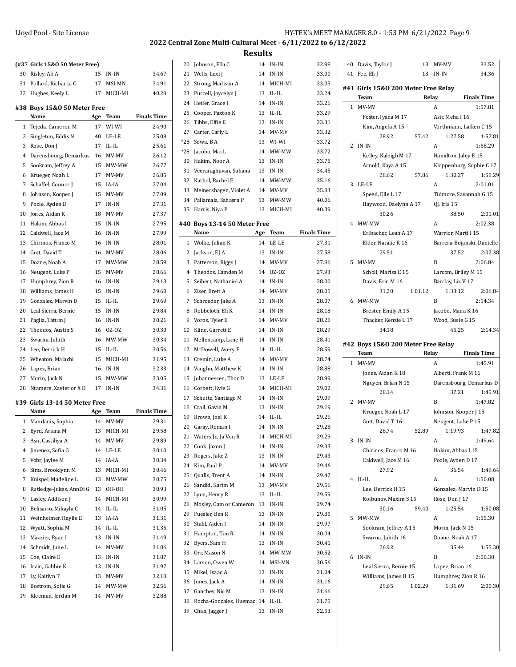| Lloyd Pool - Site License | HY-TEK's MEET MANAGER                                          |
|---------------------------|----------------------------------------------------------------|
|                           | 2022 Central Zone Multi-Cultural Meet - 6/11/2022 to 6/12/2022 |
|                           | <b>Results</b>                                                 |

 $\overline{\phantom{0}}$ 

|                | (#37 Girls 15&0 50 Meter Free) |     |             |                    |
|----------------|--------------------------------|-----|-------------|--------------------|
| 30             | Risley, Ali A                  | 15  | IN-IN       | 34.67              |
| 31             | Pollard, Richanta C            | 17  | MSI-MN      | 34.91              |
|                | 32 Hughes, Keely L             | 17  | MICH-MI     | 40.28              |
|                | #38 Boys 15&0 50 Meter Free    |     |             |                    |
|                | Name                           | Age | Team        | <b>Finals Time</b> |
| $\mathbf{1}$   | Tejeda, Cameron M              | 17  | WI-WI       | 24.90              |
| 2              | Singleton, Eddis N             | 40  | LE-LE       | 25.08              |
| 3              | Rose, Don J                    | 17  | IL-IL       | 25.61              |
| 4              | Darensbourg, Demarkus          | 16  | MV-MV       | 26.12              |
| 5              | Sookram, Jeffrey A             | 15  | MW-MW       | 26.77              |
| 6              | Krueger, Noah L                | 17  | MV-MV       | 26.85              |
| 7              | Schaffel, Connor J             | 15  | IA-IA       | 27.04              |
| 8              | Johnson, Kooper J              | 15  | MV-MV       | 27.09              |
| 9              | Poole, Ayden D                 | 17  | IN-IN       | 27.31              |
| 10             | Jones, Aidan K                 | 18  | MV-MV       | 27.37              |
| 11             | Hakim, Abbas I                 | 15  | IN-IN       | 27.95              |
| 12             | Caldwell, Jace M               | 16  | IN-IN       | 27.99              |
| 13             | Chirinos, Franco M             | 16  | IN-IN       | 28.01              |
| 14             | Gott, David T                  | 16  | MV-MV       | 28.06              |
| 15             | Doane, Noah A                  | 17  | MW-MW       | 28.59              |
| 16             | Neugent, Luke P                | 15  | MV-MV       | 28.66              |
| 17             | Humphrey, Zion R               | 16  | IN-IN       | 29.13              |
| 18             | Williams, James H              | 15  | $IN-IN$     | 29.60              |
| 19             | Gonzalez, Marvin D             | 15  | IL-IL       | 29.69              |
| 20             | Leal Sierra, Bernie            | 15  | IN-IN       | 29.84              |
| 21             | Paglia, Tatum J                | 16  | IN-IN       | 30.21              |
| 22             | Theodos, Austin S              | 16  | OZ-OZ       | 30.30              |
| 23             | Swarna, Juhith                 | 16  | MW-MW       | 30.34              |
| 24             | Lee, Derrick H                 | 15  | IL-IL       | 30.56              |
| 25             | Wheaton, Malachi               | 15  | MICH-MI     | 31.95              |
| 26             | Lopez, Brian                   | 16  | IN-IN       | 32.33              |
| 27             | Morin, Jack N                  | 15  | MW-MW       | 33.05              |
| 28             | Ntamere, Xavier or XD          | 17  | IN-IN       | 34.31              |
|                | #39 Girls 13-14 50 Meter Free  |     |             |                    |
|                | Name                           | Age | Team        | <b>Finals Time</b> |
| 1              | Mandanis, Sophia               | 14  | MV-MV       | 29.31              |
|                | 2 Byrd, Ariana M               |     | 13 MICH-MI  | 29.58              |
| 3              | Asir, Castiliya A              | 14  | MV-MV       | 29.89              |
| $\overline{4}$ | Jimenez, Sofia G               | 14  | LE-LE       | 30.10              |
| 5              | Vobr, Jaylee M                 | 14  | IA-IA       | 30.34              |
| 6              | Sims, Brooklynn M              | 13  | MICH-MI     | 30.46              |
| 7              | Knispel, Madeline L            | 13  | MW-MW       | 30.75              |
| 8              | Rutledge-Jukes, AnnDi G        | 13  | OH-OH       | 30.93              |
| 9              | Lasley, Addison J              | 14  | MICH-MI     | 30.99              |
| 10             | Belisario, Mikayla C           | 14  | $IL$ - $IL$ | 31.05              |
| 11             | Weinheimer, Haylie E           | 13  | IA-IA       | 31.31              |
|                |                                | 14  | $IL$ - $IL$ | 31.35              |
| 12<br>13       | Wyatt, Sophia M                |     | $IN-IN$     | 31.49              |
|                | Mazzier, Ryan I                | 13  |             |                    |
| 14             | Schmidt, June L                | 14  | MV-MV       | 31.86              |
| 15             | Coe, Claire E                  | 13  | IN-IN       | 31.87              |
| 16             | Irvin, Gabbie K                | 13  | IN-IN       | 31.97              |
| 17             | Ly, Kaitlyn T                  | 13  | MV-MV       | 32.18              |

 Bostrom, Sofie G 14 MW-MW 32.56 Kleeman, Jordan M 14 MV-MV 32.88

| 20           | Johnson, Ella C              | 14  | IN-IN    | 32.98              |
|--------------|------------------------------|-----|----------|--------------------|
| 21           | Wells, Lexi J                | 14  | IN-IN    | 33.00              |
| 22           | Strong, Madison A            | 14  | MICH-MI  | 33.03              |
| 23           | Purcell, Joycelyn J          | 13  | IL-IL    | 33.24              |
| 24           | Hetler, Grace I              | 14  | IN-IN    | 33.26              |
| 25           | Cooper, Paxton K             | 13  | IL-IL    | 33.29              |
| 26           | Tibbs, Effie E               | 13  | IN-IN    | 33.31              |
| 27           | Carter, Carly L              | 14  | MV-MV    | 33.32              |
| $*28$        | Sowa, BA                     | 13  | WI-WI    | 33.72              |
| *28          | Jacobo, Mai L                | 14  | MW-MW    | 33.72              |
| 30           | Hakim, Noor A                | 13  | IN-IN    | 33.75              |
| 31           | Veeraraghavan, Sahana        | 13  | IN-IN    | 34.45              |
| 32           | Kathol, Rachel E             |     | 14 MW-MW | 35.16              |
| 33           | Meinershagen, Violet A       |     | 14 MV-MV | 35.83              |
| 34           | Pallamala, Sahasra P         | 13  | MW-MW    | 40.06              |
| 35           | Harris, Niya P               | 13  | MICH-MI  | 40.39              |
|              |                              |     |          |                    |
|              | #40 Boys 13-14 50 Meter Free |     |          |                    |
|              | Name                         | Age | Team     | <b>Finals Time</b> |
| $\mathbf{1}$ | Wolke, Julian K              | 14  | LE-LE    | 27.31              |
| 2            | Jackson, EJ A                | 13  | IN-IN    | 27.58              |
| 3            | Patterson, Riggs J           |     | 14 MV-MV | 27.86              |
| 4            | Theodos, Camden M            | 14  | OZ-OZ    | 27.93              |
| 5            | Seibert, Nathaniel A         | 14  | $IN-IN$  | 28.00              |
| 6            | Ziser, Brett A               | 14  | MV-MV    | 28.05              |
| 7            | Schroeder, Jake A            | 13  | IN-IN    | 28.07              |
| 8            | Robbeloth, Eli K             | 14  | IN-IN    | 28.18              |
| 9            | Voros, Tyler E               | 14  | MV-MV    | 28.28              |
| 10           | Kline, Garrett E             | 14  | IN-IN    | 28.29              |
| 11           | Mellencamp, Lane H           | 14  | IN-IN    | 28.41              |
| 12           | McDowell, Avery E            | 14  | IL-IL    | 28.59              |
| 13           | Cremin, Luke A               | 14  | MV-MV    | 28.74              |
| 14           | Vaughn, Matthew K            | 14  | IN-IN    | 28.88              |
| 15           | Johannessen, Thor D          | 13  | LE-LE    | 28.99              |
| 16           | Corbett, Kyle G              | 14  | MICH-MI  | 29.02              |
| 17           | Schutte, Santiago M          | 14  | IN-IN    | 29.09              |
| 18           | Crail, Gavin M               | 13  | IN-IN    | 29.19              |
| 19           | Brown, Joel K                | 14  | IL-IL    | 29.26              |
| 20           | Garay, Roman I               | 14  | IN-IN    | 29.28              |
| 21           | Waters Jr., Ja'Von R         | 14  | MICH-MI  | 29.29              |
| 22           | Cook, Jaxon J                | 14  | IN-IN    | 29.33              |
| 23           | Rogers, Jake Z               | 13  | IN-IN    | 29.43              |
| 24           | Kim, Paul P                  | 14  |          | 29.46              |
| 25           | Qualls, Trent A              |     | MV-MV    |                    |
|              |                              | 14  | IN-IN    | 29.47              |
| 26           | Sandid, Karim M              | 13  | MV-MV    | 29.56              |
| 27           | Lyon, Henry R                | 13  | IL-IL    | 29.59              |
| 28           | Mosley, Cam or Cameron       | 13  | IN-IN    | 29.74              |
| 29           | Fuesler, Ben R               | 13  | $IN-IN$  | 29.85              |
| 30           | Stahl, Aiden I               | 14  | IN-IN    | 29.97              |
| 31           | Hampton, Tim R               | 14  | IN-IN    | 30.04              |
| 32           | Byers, Sam H                 | 13  | IN-IN    | 30.41              |
| 33           | Orr, Mason N                 | 14  | MW-MW    | 30.52              |
| 34           | Larson, Owen W               | 14  | MSI-MN   | 30.56              |
| 35           | Mikel, Isaac A               | 13  | IN-IN    | 31.04              |
| 36           | Jones, Jack A                | 14  | IN-IN    | 31.16              |
| 37           | Ganchev, Nic M               | 13  | IN-IN    | 31.66              |
| 38           | Rocha-Gonzales, Huemac 14    |     | IL-IL    | 31.75              |
| 39           | Chan, Jagger J               | 13  | IN-IN    | 32.53              |

| MEET MANAGER 8.0 - 1:53 PM 6/21/2022 Page 9 |  |
|---------------------------------------------|--|
| 2 to 6/12/2022                              |  |

| 40 | Davis, Taylor J                              | 13      | MV-MV                  | 33.52                      |
|----|----------------------------------------------|---------|------------------------|----------------------------|
| 41 | Fee, Eli J                                   | 13      | IN-IN                  | 34.36                      |
|    | #41  Girls 15&0 200 Meter Free Relay<br>Team | Relay   |                        | <b>Finals Time</b>         |
| 1  | MV-MV                                        |         | A                      | 1:57.81                    |
|    | Foster, Iyana M 17                           |         | Asir, Meha I 16        |                            |
|    | Kim, Angela A 15                             |         | Vorthmann, Laiken C 15 |                            |
|    | 28.92                                        | 57.42   | 1:27.58                | 1:57.81                    |
| 2  | IN-IN                                        |         | A                      | 1:58.29                    |
|    | Kelley, Kaleigh M 17                         |         | Hamilton, Jaley E 15   |                            |
|    | Arnold, Kaya A 15                            |         |                        | Kloppenburg, Sophie C 17   |
|    | 28.62                                        | 57.86   | 1:30.27                | 1:58.29                    |
| 3  | LE-LE                                        |         | A                      | 2:01.01                    |
|    | Speed, Elle L 17                             |         | Tidmore, Savannah G 15 |                            |
|    | Haywood, Daelynn A 17                        |         | Qi, Iris 15            |                            |
|    | 30.26                                        |         | 38.50                  | 2:01.01                    |
|    | 4 MW-MW                                      |         | A                      | 2:02.38                    |
|    | Erlbacher, Leah A 17                         |         | Warrior, Marti I 15    |                            |
|    | Elder, Natalie R 16                          |         |                        | Barrera-Bojanski, Danielle |
|    | 29.51                                        |         | 37.52                  | 2:02.38                    |
| 5  | MV-MV                                        |         | B                      | 2:06.84                    |
|    | Scholl, Marisa E 15                          |         | Larcom, Briley M 15    |                            |
|    | Davis, Erin M 16                             |         | Barclay, Liz V 17      |                            |
|    | 31.20                                        | 1:01.12 | 1:33.12                | 2:06.84                    |
| 6  | MW-MW                                        |         | B                      | 2:14.34                    |
|    | Brester, Emily A 15                          |         | Jacobo, Mana K 16      |                            |
|    | Thacker, Kenzie L 17                         |         | Wood, Susie G 15       |                            |
|    | 34.18                                        |         | 45.25                  | 2:14.34                    |
|    |                                              |         |                        |                            |
|    | #42 Boys 15&0 200 Meter Free Relay<br>Team   |         | Relay                  | <b>Finals Time</b>         |
| 1  | MV-MV                                        |         | A                      | 1:45.91                    |
|    | Jones, Aidan K 18                            |         | Alberti, Frank M 16    |                            |
|    | Nguyen, Brian N 15                           |         |                        | Darensbourg, Demarkus D    |
|    | 28.14                                        |         | 37.21                  | 1:45.91                    |
| 2  | MV-MV                                        |         | B                      | 1:47.82                    |
|    | Krueger, Noah L 17                           |         | Johnson, Kooper J 15   |                            |
|    | Gott, David T 16                             |         | Neugent, Luke P 15     |                            |
|    | 26.74                                        | 52.89   | 1:19.93                | 1:47.82                    |
|    | 3 IN-IN                                      |         |                        | 1:49.64                    |
|    | Chirinos, Franco M 16                        |         | Hakim, Abbas I 15      |                            |
|    | Caldwell, Jace M 16                          |         | Poole, Ayden D 17      |                            |
|    | 27.92                                        |         | 36.54                  | 1:49.64                    |
| 4  | IL-IL                                        |         | A                      | 1:50.08                    |
|    | Lee, Derrick H 15                            |         | Gonzalez, Marvin D 15  |                            |
|    | Kolbunov, Maxim S 15                         |         | Rose, Don J 17         |                            |
|    | 30.16                                        | 59.40   | 1:25.54                | 1:50.08                    |
| 5  | MW-MW                                        |         | A                      | 1:55.30                    |
|    | Sookram, Jeffrey A 15                        |         | Morin, Jack N 15       |                            |
|    | Swarna, Juhith 16                            |         | Doane, Noah A 17       |                            |
|    |                                              |         |                        | 1:55.30                    |
|    | 26.92                                        |         | 35.44                  |                            |
| 6  | IN-IN                                        |         | B                      | 2:00.30                    |
|    | Leal Sierra, Bernie 15                       |         | Lopez, Brian 16        |                            |
|    | Williams, James H 15                         |         | Humphrey, Zion R 16    |                            |
|    | 29.65                                        | 1:02.29 | 1:31.69                | 2:00.30                    |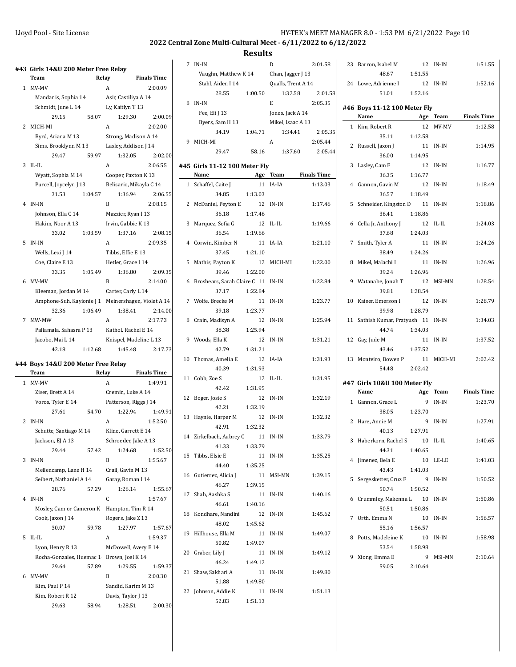$\overline{a}$ 

 $\overline{a}$ 

### **2022 Central Zone Multi-Cultural Meet - 6/11/2022 to 6/12/2022**

|              | #43  Girls 14&U 200 Meter Free Relay                |         |                               |                         |
|--------------|-----------------------------------------------------|---------|-------------------------------|-------------------------|
|              | Team                                                |         | Relay                         | <b>Finals Time</b>      |
| $\mathbf{1}$ | MV-MV                                               |         | A                             | 2:00.09                 |
|              | Mandanis, Sophia 14                                 |         | Asir, Castiliya A 14          |                         |
|              | Schmidt, June L 14                                  |         | Ly, Kaitlyn T 13              |                         |
|              | 29.15                                               | 58.07   | 1:29.30                       | 2:00.09                 |
| 2            | MICH-MI                                             |         | A                             | 2:02.00                 |
|              | Byrd, Ariana M 13                                   |         |                               | Strong, Madison A 14    |
|              | Sims, Brooklynn M 13                                |         | Lasley, Addison J 14          |                         |
|              | 29.47                                               | 59.97   | 1:32.05                       | 2:02.00                 |
| 3            | $II - II$                                           |         | A                             | 2:06.55                 |
|              | Wyatt, Sophia M 14                                  |         | Cooper, Paxton K 13           |                         |
|              | Purcell, Joycelyn J 13                              |         |                               | Belisario, Mikayla C 14 |
|              | 31.53                                               | 1:04.57 | 1:36.94                       | 2:06.55                 |
| 4            | IN-IN                                               |         | B                             | 2:08.15                 |
|              | Johnson, Ella C 14                                  |         |                               |                         |
|              | Hakim, Noor A 13                                    |         | Mazzier, Ryan I 13            |                         |
|              |                                                     | 1:03.59 | Irvin, Gabbie K 13<br>1:37.16 |                         |
|              | 33.02                                               |         |                               | 2:08.15                 |
| 5            | IN-IN                                               |         | A                             | 2:09.35                 |
|              | Wells, Lexi J 14                                    |         | Tibbs, Effie E 13             |                         |
|              | Coe, Claire E 13                                    |         | Hetler. Grace I 14            |                         |
|              | 33.35                                               | 1:05.49 | 1:36.80                       | 2:09.35                 |
| 6            | MV-MV                                               |         | B                             | 2:14.00                 |
|              | Kleeman, Jordan M 14                                |         | Carter, Carly L 14            |                         |
|              | Amphone-Suh, Kaylonie J 1 Meinershagen, Violet A 14 |         |                               |                         |
|              | 32.36                                               | 1:06.49 | 1:38.41                       | 2:14.00                 |
| 7            | MW-MW                                               |         | A                             | 2:17.73                 |
|              | Pallamala, Sahasra P 13                             |         | Kathol, Rachel E 14           |                         |
|              | Jacobo, Mai L 14                                    |         |                               | Knispel, Madeline L 13  |
|              | 42.18                                               | 1:12.68 | 1:45.48                       | 2:17.73                 |
|              | #44 Boys 14&U 200 Meter Free Relay                  |         |                               |                         |
|              | Team                                                |         | Relay                         | <b>Finals Time</b>      |
| 1            | MV-MV                                               |         | A                             | 1:49.91                 |
|              | Ziser, Brett A 14                                   |         | Cremin, Luke A 14             |                         |
|              | Voros, Tyler E 14                                   |         | Patterson, Riggs J 14         |                         |
|              | 27.61                                               | 54.70   | 1:22.94                       | 1:49.91                 |
| 2            | IN-IN                                               |         | A                             | 1:52.50                 |
|              | Schutte, Santiago M 14                              |         | Kline, Garrett E 14           |                         |
|              | Jackson, EJ A 13                                    |         | Schroeder, Jake A 13          |                         |
|              | 29.44                                               | 57.42   | 1:24.68                       | 1:52.50                 |
| 3            | IN-IN                                               |         | B                             | 1:55.67                 |
|              |                                                     |         | Crail, Gavin M 13             |                         |
|              | Mellencamp, Lane H 14                               |         |                               |                         |
|              | Seibert, Nathaniel A 14                             |         | Garay, Roman I 14             |                         |
|              | 28.76                                               | 57.29   | 1:26.14                       | 1:55.67                 |
| 4            | IN-IN                                               |         | C                             | 1:57.67                 |
|              | Mosley, Cam or Cameron K                            |         | Hampton, Tim R 14             |                         |
|              | Cook, Jaxon J 14                                    |         | Rogers, Jake Z 13             |                         |
|              | 30.07                                               | 59.78   | 1:27.97                       | 1:57.67                 |
| 5            | $IL$ - $IL$                                         |         | A                             | 1:59.37                 |
|              | Lyon, Henry R 13                                    |         |                               | McDowell, Avery E 14    |
|              | Rocha-Gonzales, Huemac 1                            |         | Brown, Joel K 14              |                         |
|              | 29.64                                               | 57.89   | 1:29.55                       | 1:59.37                 |
| 6            | MV-MV                                               |         | B                             | 2:00.30                 |
|              | Kim, Paul P 14                                      |         | Sandid, Karim M 13            |                         |
|              | Kim, Robert R 12                                    |         | Davis, Taylor J 13            |                         |
|              | 29.63                                               | 58.94   | 1:28.51                       | 2:00.30                 |

| 7  | IN-IN                                 |           | D                  | 2:01.58            |
|----|---------------------------------------|-----------|--------------------|--------------------|
|    | Vaughn, Matthew K 14                  |           | Chan, Jagger J 13  |                    |
|    | Stahl, Aiden I 14                     |           | Qualls, Trent A 14 |                    |
|    | 28.55                                 | 1:00.50   | 1:32.58            | 2:01.58            |
| 8  | IN-IN                                 |           | E                  | 2:05.35            |
|    | Fee, Eli J 13                         |           | Jones, Jack A 14   |                    |
|    | Byers, Sam H 13                       |           | Mikel, Isaac A 13  |                    |
|    | 34.19                                 | 1:04.71   | 1:34.41            | 2:05.35            |
| 9  | MICH-MI                               |           | A                  | 2:05.44            |
|    | 29.47                                 | 58.16     | 1:37.60            | 2:05.44            |
|    |                                       |           |                    |                    |
|    | #45 Girls 11-12 100 Meter Fly<br>Name |           |                    | <b>Finals Time</b> |
| 1  | Schaffel, Caite J                     | Age<br>11 | Team<br>IA-IA      | 1:13.03            |
|    | 34.85                                 |           |                    |                    |
| 2  |                                       | 1:13.03   |                    |                    |
|    | McDaniel, Peyton E                    | 12        | IN-IN              | 1:17.46            |
|    | 36.18                                 | 1:17.46   |                    |                    |
| 3  | Marquez, Sofia G                      | 12        | IL-IL              | 1:19.66            |
|    | 36.54                                 | 1:19.66   |                    |                    |
|    | 4 Corwin, Kimber N                    | 11        | IA-IA              | 1:21.10            |
|    | 37.45                                 | 1:21.10   |                    |                    |
| 5  | Mathis, Payton K                      | 12        | MICH-MI            | 1:22.00            |
|    | 39.46                                 | 1:22.00   |                    |                    |
| 6  | Broshears, Sarah Claire C 11          |           | IN-IN              | 1:22.84            |
|    | 37.17                                 | 1:22.84   |                    |                    |
| 7  | Wolfe, Brecke M                       | 11        | IN-IN              | 1:23.77            |
|    | 39.18                                 | 1:23.77   |                    |                    |
| 8  | Crain, Madisyn A                      | 12        | IN-IN              | 1:25.94            |
|    | 38.38                                 | 1:25.94   |                    |                    |
|    | 9 Woods, Ella K                       | 12        | IN-IN              | 1:31.21            |
|    | 42.79                                 | 1:31.21   |                    |                    |
| 10 | Thomas, Amelia E                      | 12        | IA-IA              | 1:31.93            |
|    | 40.39                                 | 1:31.93   |                    |                    |
| 11 | Cobb, Zoe S                           | 12        | IL-IL              | 1:31.95            |
|    | 42.42                                 | 1:31.95   |                    |                    |
| 12 | Boger, Josie S                        |           | 12 IN-IN           | 1:32.19            |
|    | 42.21                                 | 1:32.19   |                    |                    |
| 13 | Haynie, Harper M                      |           | 12 IN-IN           | 1:32.32            |
|    | 42.91                                 | 1:32.32   |                    |                    |
|    | 14 Zirkelbach, Aubrey C 11 IN-IN      |           |                    | 1:33.79            |
|    | 41.33                                 | 1:33.79   |                    |                    |
|    | 15 Tibbs, Elsie E                     |           | 11 IN-IN           | 1:35.25            |
|    | 44.40  1:35.25                        |           |                    |                    |
|    | 16 Gutierrez, Alicia J                |           | 11 MSI-MN          | 1:39.15            |
|    | 46.27    1:39.15                      |           |                    |                    |
|    | 17 Shah, Aashka S                     |           | 11 IN-IN           | 1:40.16            |
|    | 46.61                                 | 1:40.16   |                    |                    |
| 18 | Kondhare, Nandini                     |           | 12 IN-IN           | 1:45.62            |
|    |                                       |           |                    |                    |
| 19 | 48.02                                 | 1:45.62   | 11 IN-IN           | 1:49.07            |
|    | Hillhouse, Ella M                     |           |                    |                    |
|    | 50.82                                 | 1:49.07   |                    |                    |
|    | 20 Graber, Lily J                     |           | 11 IN-IN           | 1:49.12            |
|    | 46.24 1:49.12                         |           |                    |                    |
|    | 21 Shaw, Sakhari A                    |           | 11 IN-IN           | 1:49.80            |
|    | 51.88                                 | 1:49.80   |                    |                    |
| 22 | Johnson, Addie K                      |           | 11 IN-IN           | 1:51.13            |
|    | 52.83                                 | 1:51.13   |                    |                    |

| 23 | Barron, Isabel M                                             | 12                  | IN-IN      | 1:51.55            |
|----|--------------------------------------------------------------|---------------------|------------|--------------------|
|    | 48.67                                                        | 1:51.55             |            |                    |
|    | 24 Lowe, Adrienne I                                          | 12 IN-IN            |            | 1:52.16            |
|    | 51.01                                                        | 1:52.16             |            |                    |
|    |                                                              |                     |            |                    |
|    | #46 Boys 11-12 100 Meter Fly<br>Name Age Team                |                     |            | <b>Finals Time</b> |
|    |                                                              | 12                  | MV-MV      | 1:12.58            |
|    | 1 Kim, Robert R<br>35.11                                     | 1:12.58             |            |                    |
|    | 2 Russell, Jaxon J                                           | 11 IN-IN            |            |                    |
|    | 36.00                                                        | 1:14.95             |            | 1:14.95            |
|    |                                                              | 12 IN-IN            |            | 1:16.77            |
|    | 3 Lasley, Cam F<br>36.35                                     |                     |            |                    |
|    |                                                              | 1:16.77<br>12 IN-IN |            | 1:18.49            |
|    | 4 Gannon, Gavin M                                            |                     |            |                    |
|    | 36.57                                                        | 1:18.49             |            |                    |
|    | 5 Schneider, Kingston D 11 IN-IN                             |                     |            | 1:18.86            |
|    | 36.41<br>6 Cella Jr, Anthony J<br>$\frac{12}{27.68}$ 1:24.03 | 1:18.86             |            |                    |
|    |                                                              | 12                  | IL-IL      | 1:24.03            |
|    |                                                              |                     |            |                    |
|    | 7 Smith, Tyler A                                             | 11<br>1:24.26       | $IN-IN$    | 1:24.26            |
|    | 38.49                                                        |                     |            |                    |
| 8  | Mikel, Malachi I<br>39.24                                    | 11<br>1:26.96       | IN-IN      | 1:26.96            |
|    |                                                              |                     |            |                    |
|    | 9 Watanabe, Jonah T<br>39.81                                 | 12<br>1:28.54       | MSI-MN     | 1:28.54            |
|    |                                                              |                     |            | 1:28.79            |
|    | 10 Kaiser, Emerson I<br>39.98                                | 12                  | IN-IN      |                    |
|    |                                                              | 1:28.79             |            |                    |
|    | 11 Sathish Kumar, Pratyush 11 IN-IN                          |                     |            | 1:34.03            |
|    |                                                              |                     |            |                    |
|    | 44.74 1:34.03                                                |                     |            |                    |
|    | 12 Gay, Jude M                                               | 11                  | $IN-IN$    | 1:37.52            |
|    | 43.46                                                        | 1:37.52             |            |                    |
|    | 13 Monteiro, Bowen P                                         |                     | 11 MICH-MI | 2:02.42            |
|    | 54.48                                                        | 2:02.42             |            |                    |
|    | #47 Girls 10&U 100 Meter Fly                                 |                     |            |                    |
|    | Name                                                         | Age                 | Team       | <b>Finals Time</b> |
|    | 1 Gannon, Grace L                                            | 9                   | $IN-IN$    | 1:23.70            |
|    | 38.05                                                        | 1:23.70             |            |                    |
|    | 2 Hare, Annie M                                              |                     | 9 IN-IN    | 1:27.91            |
|    | 40.13                                                        | 1:27.91             |            |                    |
|    | 3 Haberkorn, Rachel S 10 IL-IL                               |                     |            | 1:40.65            |
|    | 44.31                                                        | 1:40.65             |            |                    |
|    | 4 Jimenez, Bela E                                            |                     | 10 LE-LE   | 1:41.03            |
|    | 43.43                                                        | 1:41.03             |            |                    |
|    | 5 Sergesketter, Cruz F                                       | 9                   | IN-IN      | 1:50.52            |
|    | 50.74                                                        | 1:50.52             |            |                    |
| 6  | Crummley, Makenna L 10                                       |                     | IN-IN      | 1:50.86            |
|    | 50.51                                                        | 1:50.86             |            |                    |
|    | 7 Orth, Emma N                                               |                     | 10 IN-IN   | 1:56.57            |
|    | 55.16                                                        | 1:56.57             |            |                    |
| 8  | Potts, Madeleine K                                           | 10                  | IN-IN      | 1:58.98            |
|    | 53.54                                                        | 1:58.98             |            |                    |
| 9  | Xiong, Emma E<br>59.05                                       | 2:10.64             | 9 MSI-MN   | 2:10.64            |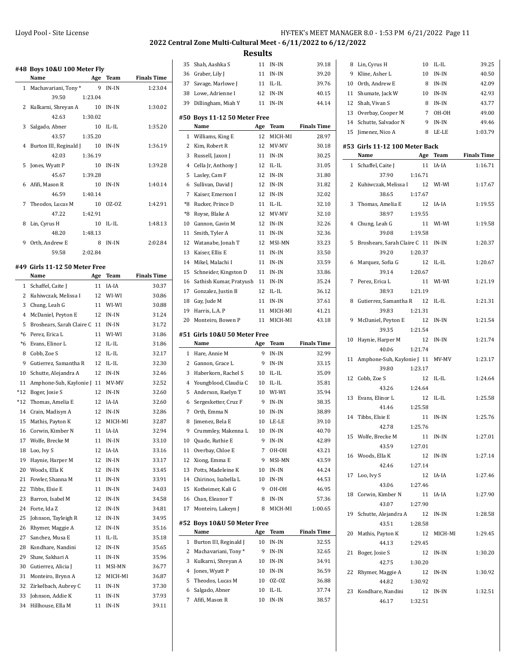8 Lin, Cyrus H 10 IL-IL 39.25

## **2022 Central Zone Multi-Cultural Meet - 6/11/2022 to 6/12/2022**

**Results**

 $\overline{\phantom{a}}$ 

|                | #48 Boys 10&U 100 Meter Fly<br>Name | Age     | Team        | <b>Finals Time</b> |
|----------------|-------------------------------------|---------|-------------|--------------------|
| $\mathbf 1$    | Machavariani, Tony*                 | 9       | IN-IN       | 1:23.04            |
|                | 39.50                               | 1:23.04 |             |                    |
| 2              | Kulkarni, Shreyan A                 | 10      | IN-IN       | 1:30.02            |
|                | 42.63                               | 1:30.02 |             |                    |
| 3              | Salgado, Abner                      | 10      | IL-IL       | 1:35.20            |
|                | 43.57                               | 1:35.20 |             |                    |
| 4              | Burton III, Reginald J              | 10      | IN-IN       | 1:36.19            |
|                | 42.03                               | 1:36.19 |             |                    |
| 5              | Jones, Wyatt P                      | 10      | IN-IN       | 1:39.28            |
|                | 45.67                               | 1:39.28 |             |                    |
| 6              | Afifi, Mason R                      | 10      | IN-IN       | 1:40.14            |
|                | 46.59                               | 1:40.14 |             |                    |
| 7              | Theodos, Lucas M                    | 10      | OZ-OZ       | 1:42.91            |
|                | 47.22                               | 1:42.91 |             |                    |
| 8              | Lin, Cyrus H                        | 10      | IL-IL       | 1:48.13            |
|                | 48.20                               | 1:48.13 |             |                    |
| 9              | Orth. Andrew E                      | 8       | $IN-IN$     | 2:02.84            |
|                | 59.58                               | 2:02.84 |             |                    |
|                |                                     |         |             |                    |
|                | #49 Girls 11-12 50 Meter Free       |         |             |                    |
|                | Name                                | Age     | Team        | <b>Finals Time</b> |
| $\mathbf{1}$   | Schaffel, Caite J                   | 11      | IA-IA       | 30.37              |
| $\overline{2}$ | Kuhiwczak, Melissa I                | 12      | WI-WI       | 30.86              |
| 3              | Chung, Leah G                       | 11      | WI-WI       | 30.88              |
| 4              | McDaniel, Peyton E                  | 12      | IN-IN       | 31.24              |
| 5              | Broshears, Sarah Claire C 11        |         | IN-IN       | 31.72              |
| $*6$           | Perez, Erica L                      | 11      | WI-WI       | 31.86              |
| $*6$           | Evans, Elinor L                     | 12      | IL-IL       | 31.86              |
| 8              | Cobb, Zoe S                         | 12      | $IL$ - $IL$ | 32.17              |
| 9              | Gutierrez, Samantha R               | 12      | $IL$ - $IL$ | 32.30              |
| 10             | Schutte, Alejandra A                | 12      | IN-IN       | 32.46              |
| 11             | Amphone-Suh, Kaylonie J 11          |         | MV-MV       | 32.52              |
| *12            | Boger, Josie S                      | 12      | IN-IN       | 32.60              |
| $*12$          | Thomas, Amelia E                    | 12      | IA-IA       | 32.60              |
| 14             | Crain, Madisyn A                    | 12      | IN-IN       | 32.86              |
| 15             | Mathis, Payton K                    | 12      | MICH-MI     | 32.87              |
| 16             | Corwin, Kimber N                    | 11      | IA-IA       | 32.94              |
| 17             | Wolfe, Brecke M                     | 11      | $IN-IN$     | 33.10              |
| 18             | Loo, Ivy S                          | 12      | IA-IA       | 33.16              |
| 19             | Haynie, Harper M                    | 12      | IN-IN       | 33.17              |
| 20             | Woods, Ella K                       | 12      | IN-IN       | 33.45              |
| 21             | Fowler, Shanna M                    | 11      | IN-IN       | 33.91              |
| 22             | Tibbs, Elsie E                      | 11      | IN-IN       | 34.03              |
| 23             | Barron, Isabel M                    | 12      | IN-IN       | 34.58              |
| 24             | Forte, Ida Z                        | 12      | IN-IN       | 34.81              |
| 25             | Johnson, Tayleigh R                 | 12      | $IN-IN$     | 34.95              |
| 26             | Rhymer, Maggie A                    | 12      | IN-IN       | 35.16              |
| 27             | Sanchez, Musa E                     | 11      | IL-IL       | 35.18              |
| 28             | Kondhare, Nandini                   | 12      | IN-IN       | 35.65              |
| 29             | Shaw, Sakhari A                     | 11      | IN-IN       | 35.96              |
| 30             | Gutierrez, Alicia J                 | 11      | MSI-MN      | 36.77              |
| 31             | Monteiro, Brynn A                   | 12      | MICH-MI     | 36.87              |
| 32             | Zirkelbach, Aubrey C                | 11      | IN-IN       | 37.30              |
| 33             | Johnson, Addie K                    | 11      | IN-IN       | 37.93              |

34 Hillhouse, Ella M 11 IN-IN 39.11

| 35           | Shah, Aashka S                        | 11     | IN-IN            | 39.18              |
|--------------|---------------------------------------|--------|------------------|--------------------|
| 36           | Graber, Lily J                        | 11     | IN-IN            | 39.20              |
| 37           | Savage, Marlowe J                     | 11     | $IL$ - $IL$      | 39.76              |
| 38           | Lowe, Adrienne I                      | 12     | $IN-IN$          | 40.15              |
| 39           | Dillingham, Miah Y                    | 11     | IN-IN            | 44.14              |
|              |                                       |        |                  |                    |
|              | #50 Boys 11-12 50 Meter Free<br>Name  | Age    | Team             | <b>Finals Time</b> |
| 1            | Williams, King E                      | 12     | MICH-MI          | 28.97              |
| 2            | Kim, Robert R                         | 12     | MV-MV            | 30.18              |
| 3            | Russell, Jaxon J                      | 11     | IN-IN            | 30.25              |
| 4            | Cella Jr, Anthony J                   | 12     | $IL$ - $IL$      | 31.05              |
| 5            | Lasley, Cam F                         | 12     | $IN-IN$          | 31.80              |
| 6            | Sullivan, David J                     | 12     | IN-IN            | 31.82              |
| 7            | Kaiser, Emerson I                     | 12     | IN-IN            | 32.02              |
| *8           | Rucker, Prince D                      | 11     | $IL$ - $IL$      | 32.10              |
| *8           | Royse, Blake A                        | 12     | MV-MV            | 32.10              |
| 10           | Gannon, Gavin M                       | 12     | $IN-IN$          | 32.26              |
| 11           | Smith, Tyler A                        | 11     | $IN-IN$          | 32.36              |
| 12           | Watanabe, Jonah T                     | 12     | MSI-MN           | 33.23              |
| 13           | Kaiser, Ellis E                       | 11     | IN-IN            | 33.50              |
| 14           | Mikel, Malachi I                      | 11     | IN-IN            | 33.59              |
| 15           | Schneider, Kingston D                 | 11     | IN-IN            | 33.86              |
| 16           | Sathish Kumar, Pratyush               | 11     | IN-IN            | 35.24              |
| 17           | Gonzalez, Justin B                    | 12     | IL-IL            | 36.12              |
| 18           | Gay, Jude M                           | 11     | IN-IN            | 37.61              |
| 19           | Harris, L.A. P                        | 11     | MICH-MI          | 41.21              |
| 20           | Monteiro, Bowen P                     | 11     | MICH-MI          | 43.18              |
|              |                                       |        |                  |                    |
|              | #51 Girls 10&U 50 Meter Free          |        |                  |                    |
|              |                                       |        |                  |                    |
|              | Name                                  | Age    | Team             | <b>Finals Time</b> |
| $\mathbf{1}$ | Hare, Annie M                         | 9      | IN-IN            | 32.99              |
| $\mathbf{2}$ | Gannon, Grace L                       | 9      | IN-IN            | 33.15              |
| 3            | Haberkorn, Rachel S                   | 10     | IL-IL            | 35.09              |
| 4            | Youngblood, Claudia C                 | 10     | IL-IL            | 35.81              |
| 5            | Anderson, Raelyn T                    | 10     | WI-WI            | 35.94              |
| 6            | Sergesketter, Cruz F                  | 9      | IN-IN            | 38.35              |
| 7            | Orth, Emma N                          | 10     | IN-IN            | 38.89              |
| 8            | Jimenez, Bela E                       | 10     | LE-LE            | 39.10              |
| 9            | Crummley, Makenna L                   | 10     | $IN-IN$          | 40.70              |
| 10           | Quade, Ruthie E                       | 9      | IN-IN            | 42.89              |
| 11           | Overbay, Chloe E                      | 7      | OH-OH            | 43.21              |
| 12           | Xiong, Emma E                         | 9      | MSI-MN           | 43.59              |
| 13           | Potts, Madeleine K                    | 10     | IN-IN            | 44.24              |
| 14           | Chirinos, Isabella L                  | 10     | $IN-IN$          | 44.53              |
| 15           | Kotheimer, Kali G                     | 9      | OH-OH            | 46.95              |
| 16<br>17     | Chan, Eleanor T<br>Monteiro, Lakeyn J | 8<br>8 | IN-IN<br>MICH-MI | 57.36<br>1:00.65   |
|              |                                       |        |                  |                    |
|              | #52 Boys 10&U 50 Meter Free<br>Name   | Age    | Team             | <b>Finals Time</b> |
| 1            | Burton III, Reginald J                | $10\,$ | IN-IN            | 32.55              |
| 2            | Machavariani, Tony*                   | 9      | IN-IN            | 32.65              |
| 3            | Kulkarni, Shreyan A                   | 10     | IN-IN            | 34.91              |
| 4            | Jones, Wyatt P                        | 10     | IN-IN            | 36.59              |
| 5            | Theodos, Lucas M                      | 10     | 0Z-0Z            | 36.88              |
| 6            | Salgado, Abner                        | 10     | IL-IL            | 37.74              |
| 7            | Afifi, Mason R                        | 10     | IN-IN            | 38.57              |

| 9  | Kline, Asher L                 | 10            | IN-IN      | 40.50              |
|----|--------------------------------|---------------|------------|--------------------|
| 10 | Orth, Andrew E                 | 8             | IN-IN      | 42.09              |
| 11 | Shumate, Jack W                | 10            | IN-IN      | 42.93              |
| 12 | Shah, Vivan S                  | 8             | IN-IN      | 43.77              |
|    | 13 Overbay, Cooper M           | 7             | OH-OH      | 49.00              |
|    | 14 Schutte, Salvador N         | 9             | IN-IN      | 49.46              |
| 15 | Jimenez, Nico A                | 8             | LE-LE      | 1:03.79            |
|    | #53 Girls 11-12 100 Meter Back |               |            |                    |
|    | Name                           |               | Age Team   | <b>Finals Time</b> |
|    | 1 Schaffel, Caite J            | 11            | IA-IA      | 1:16.71            |
|    | 37.90                          | 1:16.71       |            |                    |
| 2  | Kuhiwczak, Melissa I 12        |               | WI-WI      | 1:17.67            |
|    | 38.65                          | 1:17.67       |            |                    |
| 3  | Thomas, Amelia E               | 12            | IA-IA      | 1:19.55            |
|    | 38.97                          | 1:19.55       |            |                    |
| 4  | Chung, Leah G                  | 11            | WI-WI      | 1:19.58            |
|    | 39.08                          | 1:19.58       |            |                    |
| 5  | Broshears, Sarah Claire C 11   |               | IN-IN      | 1:20.37            |
|    | 39.20                          | 1:20.37       |            |                    |
| 6  | Marquez, Sofia G               | 12            | IL-IL      | 1:20.67            |
|    | 39.14                          | 1:20.67       |            |                    |
| 7  | Perez, Erica L                 | 11            | WI-WI      | 1:21.19            |
|    | 38.93                          | 1:21.19       |            |                    |
| 8  | Gutierrez, Samantha R          | 12            | IL-IL      | 1:21.31            |
|    | 39.83                          | 1:21.31       |            |                    |
| 9  | McDaniel, Peyton E             | 12            | IN-IN      | 1:21.54            |
|    | 39.35                          | 1:21.54       |            |                    |
| 10 | Haynie, Harper M               | 12            | IN-IN      | 1:21.74            |
|    | 40.06                          | 1:21.74       |            |                    |
| 11 | Amphone-Suh, Kaylonie J 11     |               | MV-MV      | 1:23.17            |
|    | 39.80                          | 1:23.17       |            |                    |
| 12 | Cobb, Zoe S<br>43.26           | 12<br>1:24.64 | IL-IL      | 1:24.64            |
| 13 | Evans, Elinor L                | 12            | IL-IL      | 1:25.58            |
|    | 41.46                          | 1:25.58       |            |                    |
| 14 | Tibbs, Elsie E                 | 11            | IN-IN      | 1:25.76            |
|    | 42.78                          | 1:25.76       |            |                    |
| 15 | Wolfe, Brecke M                | 11            | $IN-IN$    | 1:27.01            |
|    | 43.59                          | 1:27.01       |            |                    |
|    | 16 Woods, Ella K               | 12            | IN-IN      | 1:27.14            |
|    | 42.46 1:27.14                  |               |            |                    |
|    | 17 Loo, Ivy S                  |               | 12 IA-IA   | 1:27.46            |
|    | 43.06                          | 1:27.46       |            |                    |
|    | 18 Corwin, Kimber N            |               | 11 IA-IA   | 1:27.90            |
|    | 43.07                          | 1:27.90       |            |                    |
|    | 19 Schutte, Alejandra A        | 12 IN-IN      |            | 1:28.58            |
|    | 43.51                          | 1:28.58       |            |                    |
|    | 20 Mathis, Payton K            |               | 12 MICH-MI | 1:29.45            |
|    | 44.13                          | 1:29.45       |            |                    |
|    | 21 Boger, Josie S              | 12            | IN-IN      | 1:30.20            |
|    | 42.75                          | 1:30.20       |            |                    |
|    | 22 Rhymer, Maggie A            |               | 12 IN-IN   | 1:30.92            |
|    | 44.82                          | 1:30.92       |            |                    |
|    | 23 Kondhare, Nandini           |               | 12 IN-IN   | 1:32.51            |
|    | 46.17                          | 1:32.51       |            |                    |
|    |                                |               |            |                    |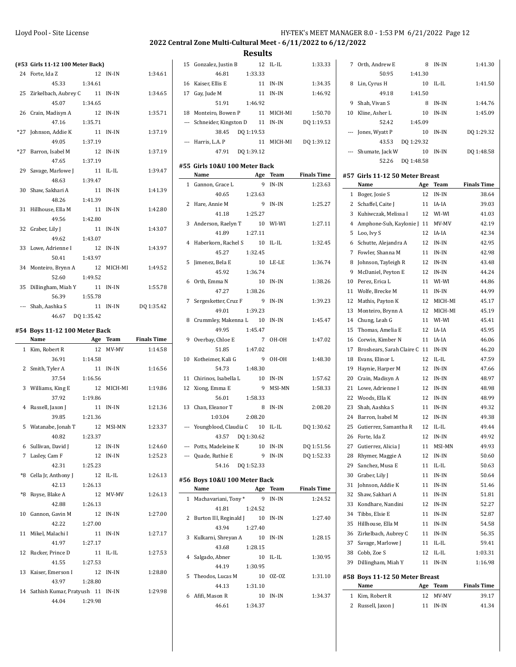### **2022 Central Zone Multi-Cultural Meet - 6/11/2022 to 6/12/2022**

**Results**

|       | (#53 Girls 11-12 100 Meter Back)             |          |            |                    |
|-------|----------------------------------------------|----------|------------|--------------------|
|       | 24 Forte, Ida Z                              |          | 12 IN-IN   | 1:34.61            |
|       | 45.33 1:34.61                                |          |            |                    |
|       | 25 Zirkelbach, Aubrey C 11 IN-IN             |          |            | 1:34.65            |
|       | 45.07                                        | 1:34.65  |            |                    |
|       | 26 Crain, Madisyn A                          | 12 IN-IN |            | 1:35.71            |
|       | 47.16                                        | 1:35.71  |            |                    |
|       | *27 Johnson, Addie K                         |          | 11 IN-IN   | 1:37.19            |
|       | 49.05                                        | 1:37.19  |            |                    |
| $*27$ | Barron, Isabel M                             | 12       | IN-IN      | 1:37.19            |
|       | 47.65                                        | 1:37.19  |            |                    |
|       | 29 Savage, Marlowe J                         |          | 11 IL-IL   | 1:39.47            |
|       | 48.63                                        | 1:39.47  |            |                    |
| 30    | Shaw, Sakhari A                              | 11       | IN-IN      | 1:41.39            |
|       | 48.26                                        | 1:41.39  |            |                    |
| 31    | Hillhouse, Ella M                            | 11 IN-IN |            | 1:42.80            |
|       | 49.56                                        | 1:42.80  |            |                    |
| 32    | Graber, Lily J                               |          | 11 IN-IN   | 1:43.07            |
|       | 49.62 1:43.07                                |          |            |                    |
|       | 33 Lowe, Adrienne I                          | 12 IN-IN |            | 1:43.97            |
|       | 50.41                                        | 1:43.97  |            |                    |
|       | 34 Monteiro, Brynn A                         |          | 12 MICH-MI | 1:49.52            |
|       | 52.60                                        | 1:49.52  |            |                    |
|       | 35 Dillingham, Miah Y                        |          | 11 IN-IN   | 1:55.78            |
|       | 56.39                                        | 1:55.78  |            |                    |
|       | --- Shah, Aashka S                           | 11 IN-IN |            | DQ 1:35.42         |
|       | 46.67 DQ 1:35.42                             |          |            |                    |
|       |                                              |          |            |                    |
|       | #54 Boys 11-12 100 Meter Back                |          |            |                    |
|       |                                              |          |            |                    |
|       | Name Age Team                                |          |            | <b>Finals Time</b> |
|       | 1 Kim, Robert R                              |          | 12 MV-MV   | 1:14.58            |
|       | 36.91                                        | 1:14.58  |            |                    |
|       | 2 Smith, Tyler A                             |          | 11 IN-IN   | 1:16.56            |
|       | 37.54                                        | 1:16.56  |            |                    |
|       | 3 Williams, King E                           |          | 12 MICH-MI | 1:19.86            |
|       | 37.92                                        | 1:19.86  |            |                    |
|       | 4 Russell, Jaxon J                           |          | 11 IN-IN   | 1:21.36            |
|       | 39.85                                        | 1:21.36  |            |                    |
|       | 5 Watanabe, Jonah T 12 MSI-MN                |          |            | 1:23.37            |
|       | 40.82                                        | 1:23.37  |            |                    |
|       | 6 Sullivan, David J                          |          | 12 IN-IN   | 1:24.60            |
|       | 7 Lasley, Cam F                              |          | 12 IN-IN   | 1:25.23            |
|       | 42.31                                        | 1:25.23  |            |                    |
| *8    | Cella Jr, Anthony J                          |          | $12$ IL-IL | 1:26.13            |
|       | 42.13                                        | 1:26.13  |            |                    |
| *8    |                                              |          | 12 MV-MV   | 1:26.13            |
|       | Royse, Blake A<br>42.88                      | 1:26.13  |            |                    |
|       | 10 Gannon, Gavin M                           |          | 12 IN-IN   | 1:27.00            |
|       |                                              | 1:27.00  |            |                    |
| 11    | 42.22<br>Mikel, Malachi I                    |          | 11 IN-IN   | 1:27.17            |
|       | 41.97                                        |          |            |                    |
|       |                                              | 1:27.17  |            |                    |
| 12    | Rucker, Prince D                             |          | 11 IL-IL   | 1:27.53            |
|       | 41.55                                        | 1:27.53  |            |                    |
| 13    | Kaiser, Emerson I                            |          | 12 IN-IN   | 1:28.80            |
|       | 43.97                                        | 1:28.80  |            |                    |
|       | 14 Sathish Kumar, Pratyush 11 IN-IN<br>44.04 | 1:29.98  |            | 1:29.98            |

|    | 15 Gonzalez, Justin B<br>12 IL-IL                                |                 | 1:33.33            |
|----|------------------------------------------------------------------|-----------------|--------------------|
|    | 46.81<br>1:33.33                                                 |                 |                    |
| 16 | Kaiser, Ellis E                                                  | 11 IN-IN        | 1:34.35            |
|    | 17 Gay, Jude M<br>11                                             | IN-IN           | 1:46.92            |
|    | 51.91<br>1:46.92                                                 |                 |                    |
|    | 18 Monteiro, Bowen P                                             | 11 MICH-MI      | 1:50.70            |
|    | --- Schneider, Kingston D 11 IN-IN                               |                 | DQ 1:19.53         |
|    | 38.45 DQ 1:19.53                                                 |                 |                    |
|    | --- Harris, L.A. P                                               | 11 MICH-MI      | DQ 1:39.12         |
|    | 47.91 DQ 1:39.12                                                 |                 |                    |
|    | #55 Girls 10&U 100 Meter Back                                    |                 |                    |
|    | Name                                                             | Age Team        | <b>Finals Time</b> |
|    | 9<br>1 Gannon, Grace L                                           | $IN-IN$         | 1:23.63            |
|    | 40.65<br>1:23.63                                                 |                 |                    |
|    | 2 Hare, Annie M<br>9                                             | IN-IN           | 1:25.27            |
|    | 41.18<br>1:25.27                                                 |                 |                    |
|    | 3 Anderson, Raelyn T<br>10 WI-WI                                 |                 | 1:27.11            |
|    | 41.89<br>1:27.11                                                 |                 |                    |
| 4  | Haberkorn, Rachel S 10                                           | $IL$ - $IL$     | 1:32.45            |
|    | 45.27 1:32.45                                                    |                 |                    |
| 5  | Jimenez, Bela E<br>10                                            | LE-LE           | 1:36.74            |
|    | 45.92<br>1:36.74                                                 |                 |                    |
|    | 6 Orth, Emma N<br>10 IN-IN                                       |                 | 1:38.26            |
|    | 47.27<br>1:38.26                                                 |                 |                    |
| 7  | Sergesketter, Cruz F 9                                           | IN-IN           | 1:39.23            |
|    | 49.01<br>1:39.23                                                 |                 |                    |
| 8  | Crummley, Makenna L 10                                           | IN-IN           | 1:45.47            |
|    | 49.95<br>1:45.47                                                 |                 |                    |
| 9  | Overbay, Chloe E<br>$7\overline{ }$                              | OH-OH           | 1:47.02            |
|    | 1:47.02<br>51.85                                                 |                 |                    |
|    | 10 Kotheimer, Kali G<br>9                                        | OH-OH           | 1:48.30            |
|    | 1:48.30<br>54.73                                                 |                 |                    |
|    | 11 Chirinos, Isabella L 10<br>12 Xiong, Emma E<br>$\overline{9}$ | IN-IN<br>MSI-MN | 1:57.62<br>1:58.33 |
|    | 56.01<br>1:58.33                                                 |                 |                    |
|    | 13 Chan, Eleanor T<br>8                                          | $IN-IN$         | 2:08.20            |
|    | 1:03.04<br>2:08.20                                               |                 |                    |
|    | --- Youngblood, Claudia C 10 IL-IL                               |                 | DQ 1:30.62         |
|    | 43.57 DQ 1:30.62                                                 |                 |                    |
|    | --- Potts, Madeleine K                                           | 10 IN-IN        | DQ 1:51.56         |
|    | --- Quade, Ruthie E<br>9                                         | IN-IN           | DQ 1:52.33         |
|    | 54.16 DQ 1:52.33                                                 |                 |                    |
|    |                                                                  |                 |                    |
|    | #56 Boys 10&U 100 Meter Back                                     |                 |                    |
|    | Name<br>Age                                                      | Team            | <b>Finals Time</b> |
|    | 1 Machavariani, Tony*<br>9                                       | $IN-IN$         | 1:24.52            |
| 2  | 41.81<br>1:24.52                                                 | IN-IN           | 1:27.40            |
|    | Burton III, Reginald J 10<br>43.94<br>1:27.40                    |                 |                    |
| 3  | Kulkarni, Shreyan A<br>10                                        | IN-IN           | 1:28.15            |
|    | 43.68<br>1:28.15                                                 |                 |                    |
| 4  | Salgado, Abner<br>10                                             | IL-IL           | 1:30.95            |
|    | 1:30.95<br>44.19                                                 |                 |                    |
| 5  | Theodos, Lucas M<br>10                                           | 0Z-0Z           | 1:31.10            |
|    | 1:31.10<br>44.13                                                 |                 |                    |
| 6  | Afifi, Mason R<br>10                                             | IN-IN           | 1:34.37            |
|    |                                                                  |                 |                    |
|    | 46.61 1:34.37                                                    |                 |                    |

| 7                        | Orth. Andrew E  | 8          | IN-IN     | 1:41.30    |
|--------------------------|-----------------|------------|-----------|------------|
|                          | 50.95           | 1:41.30    |           |            |
| 8                        | Lin, Cyrus H    | 10         | $II - II$ | 1:41.50    |
|                          | 49.18           | 1:41.50    |           |            |
| 9                        | Shah, Vivan S   | 8          | IN-IN     | 1:44.76    |
| 10                       | Kline, Asher L  | 10         | IN-IN     | 1:45.09    |
|                          | 52.42           | 1:45.09    |           |            |
| $\overline{\phantom{a}}$ | Jones, Wyatt P  | 10         | IN-IN     | DQ 1:29.32 |
|                          | 43.53           | DQ 1:29.32 |           |            |
| $\cdots$                 | Shumate, Jack W | 10         | IN-IN     | DQ 1:48.58 |
|                          | 52.26           | DO 1:48.58 |           |            |

### **#57 Girls 11-12 50 Meter Breast**

|                | Name                           | Age | Team        | <b>Finals Time</b> |
|----------------|--------------------------------|-----|-------------|--------------------|
| $\mathbf{1}$   | Boger, Josie S                 | 12  | $IN-IN$     | 38.64              |
| $\overline{c}$ | Schaffel, Caite J              | 11  | IA-IA       | 39.03              |
| 3              | Kuhiwczak, Melissa I           | 12  | WI-WI       | 41.03              |
| $\overline{4}$ | Amphone-Suh, Kaylonie J 11     |     | MV-MV       | 42.19              |
| 5              | Loo, Ivy S                     | 12  | IA-IA       | 42.34              |
| 6              | Schutte, Alejandra A           | 12  | $IN-IN$     | 42.95              |
| 7              | Fowler, Shanna M               | 11  | IN-IN       | 42.98              |
| 8              | Johnson, Tayleigh R            | 12  | IN-IN       | 43.48              |
| 9              | McDaniel, Peyton E             | 12  | $IN-IN$     | 44.24              |
| 10             | Perez, Erica L                 | 11  | WI-WI       | 44.86              |
| 11             | Wolfe, Brecke M                | 11  | $IN-IN$     | 44.99              |
| 12             | Mathis, Payton K               | 12  | MICH-MI     | 45.17              |
| 13             | Monteiro, Brynn A              | 12  | MICH-MI     | 45.19              |
| 14             | Chung, Leah G                  | 11  | WI-WI       | 45.41              |
| 15             | Thomas, Amelia E               | 12  | IA-IA       | 45.95              |
| 16             | Corwin, Kimber N               | 11  | IA-IA       | 46.06              |
| 17             | Broshears, Sarah Claire C 11   |     | $IN-IN$     | 46.20              |
| 18             | Evans, Elinor L                | 12  | IL-IL       | 47.59              |
| 19             | Haynie, Harper M               | 12  | IN-IN       | 47.66              |
| 20             | Crain, Madisyn A               | 12  | IN-IN       | 48.97              |
| 21             | Lowe, Adrienne I               | 12  | IN-IN       | 48.98              |
| 22             | Woods, Ella K                  | 12  | IN-IN       | 48.99              |
| 23             | Shah, Aashka S                 | 11  | IN-IN       | 49.32              |
| 24             | Barron, Isabel M               | 12  | IN-IN       | 49.38              |
| 25             | Gutierrez, Samantha R          | 12  | $IL$ - $IL$ | 49.44              |
| 26             | Forte, Ida Z                   | 12  | $IN-IN$     | 49.92              |
| 27             | Gutierrez, Alicia J            | 11  | MSI-MN      | 49.93              |
| 28             | Rhymer, Maggie A               | 12  | IN-IN       | 50.60              |
| 29             | Sanchez, Musa E                | 11  | $IL$ - $IL$ | 50.63              |
| 30             | Graber, Lily J                 | 11  | IN-IN       | 50.64              |
| 31             | Johnson, Addie K               | 11  | IN-IN       | 51.46              |
| 32             | Shaw, Sakhari A                | 11  | $IN-IN$     | 51.81              |
| 33             | Kondhare, Nandini              | 12  | IN-IN       | 52.27              |
| 34             | Tibbs, Elsie E                 | 11  | IN-IN       | 52.87              |
| 35             | Hillhouse, Ella M              | 11  | IN-IN       | 54.58              |
| 36             | Zirkelbach, Aubrey C           | 11  | $IN-IN$     | 56.35              |
| 37             | Savage, Marlowe J              | 11  | $IL$ - $IL$ | 59.41              |
| 38             | Cobb, Zoe S                    | 12  | $IL$ - $IL$ | 1:03.31            |
| 39             | Dillingham, Miah Y             | 11  | $IN-IN$     | 1:16.98            |
|                | #58 Boys 11-12 50 Meter Breast |     |             |                    |
|                | Name                           | Age | Team        | <b>Finals Time</b> |
| 1              | Kim, Robert R                  | 12  | MV-MV       | 39.17              |
| $\overline{2}$ | Russell, Jaxon J               | 11  | $IN-IN$     | 41.34              |
|                |                                |     |             |                    |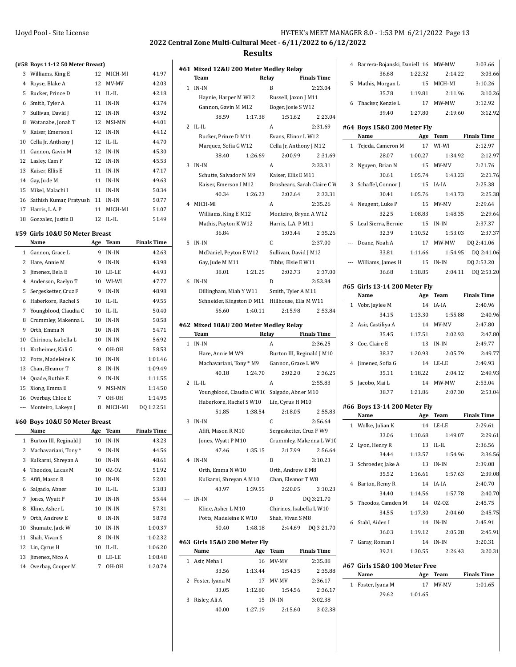**Team Relay Finals Time** 1 IN-IN B 2:23.04 Haynie, Harper M W12 Russell, Jaxon J M11 Gannon, Gavin M M12 Boger, Josie S W12

2 IL-IL A 2:31.69 Rucker, Prince D M11 Evans, Elinor L W12 Marquez, Sofia G W12 Cella Jr, Anthony J M12 38.40 1:26.69 2:00.99 2:31.69

3 IN-IN A 2:33.31 Schutte, Salvador N M9 Kaiser, Ellis E M11

4 MICH-MI A 2:35.26 Williams, King E M12 Monteiro, Brynn A W12 Mathis, Payton K W12 Harris, L.A. P M11

5 IN-IN C 2:37.00 McDaniel, Peyton E W12 Sullivan, David J M12 Gay, Jude M M11 Tibbs, Elsie E W11

6 IN-IN D 2:53.84 Dillingham, Miah Y W11 Smith, Tyler A M11 Schneider, Kingston D M11 Hillhouse, Ella M W11

**Team Relay Finals Time** 1 IN-IN A 2:36.25

2 IL-IL A 2:55.83 Youngblood, Claudia C W10 Salgado, Abner M10 Haberkorn, Rachel S W10 Lin, Cyrus H M10

3 IN-IN C 2:56.64 Afifi, Mason R M10 Sergesketter, Cruz F W9

4 IN-IN B 3:10.23 Orth, Emma N W10 Orth, Andrew E M8 Kulkarni, Shreyan A M10 Chan, Eleanor T W8

--- IN-IN D DQ 3:21.70 Kline, Asher L M10 Chirinos, Isabella L W10 Potts, Madeleine K W10 Shah, Vivan S M8

**#62 Mixed 10&U 200 Meter Medley Relay**

#### **Results**

**#61 Mixed 12&U 200 Meter Medley Relay**

|                          | (#58 Boys 11-12 50 Meter Breast) |     |             |                    |
|--------------------------|----------------------------------|-----|-------------|--------------------|
| 3                        | Williams, King E                 | 12  | MICH-MI     | 41.97              |
| 4                        | Royse, Blake A                   | 12  | MV-MV       | 42.03              |
| 5                        | Rucker, Prince D                 | 11  | $II - II$   | 42.18              |
| 6                        | Smith, Tyler A                   | 11  | $IN-IN$     | 43.74              |
| 7                        | Sullivan, David J                | 12  | $IN-IN$     | 43.92              |
| 8                        | Watanabe, Jonah T                | 12  | MSI-MN      | 44.01              |
| 9                        | Kaiser, Emerson I                | 12  | IN-IN       | 44.12              |
| 10                       | Cella Jr, Anthony J              | 12  | IL-IL       | 44.70              |
| 11                       | Gannon, Gavin M                  | 12  | IN-IN       | 45.30              |
| 12                       | Lasley, Cam F                    | 12  | IN-IN       | 45.53              |
| 13                       | Kaiser, Ellis E                  | 11  | IN-IN       | 47.17              |
| 14                       | Gay, Jude M                      | 11  | IN-IN       | 49.63              |
| 15                       | Mikel, Malachi I                 | 11  | IN-IN       | 50.34              |
| 16                       | Sathish Kumar, Pratyush 11       |     | IN-IN       | 50.77              |
| 17                       | Harris, L.A. P                   | 11  | MICH-MI     | 51.07              |
| 18                       | Gonzalez, Justin B               | 12  | IL-IL       | 51.49              |
|                          | #59 Girls 10&U 50 Meter Breast   |     |             |                    |
|                          | Name                             | Age | Team        | <b>Finals Time</b> |
| $\mathbf 1$              | Gannon, Grace L                  | 9   | IN-IN       | 42.63              |
| 2                        | Hare, Annie M                    | 9   | IN-IN       | 43.98              |
| 3                        | Jimenez, Bela E                  | 10  | LE-LE       | 44.93              |
| 4                        | Anderson, Raelyn T               | 10  | WI-WI       | 47.77              |
| 5                        | Sergesketter, Cruz F             | 9   | IN-IN       | 48.98              |
| 6                        | Haberkorn, Rachel S              | 10  | $IL$ - $IL$ | 49.55              |
| 7                        | Youngblood, Claudia C            | 10  | $IL$ - $IL$ | 50.40              |
| 8                        | Crummley, Makenna L              | 10  | IN-IN       | 50.58              |
| 9                        | Orth, Emma N                     | 10  | IN-IN       | 54.71              |
| 10                       | Chirinos, Isabella L             | 10  | IN-IN       | 56.92              |
| 11                       | Kotheimer, Kali G                | 9   | OH-OH       | 58.53              |
| 12                       | Potts, Madeleine K               | 10  | IN-IN       | 1:01.46            |
| 13                       | Chan, Eleanor T                  | 8   | IN-IN       | 1:09.49            |
| 14                       | Quade, Ruthie E                  | 9   | IN-IN       | 1:11.55            |
| 15                       | Xiong, Emma E                    | 9   | MSI-MN      | 1:14.50            |
| 16                       | Overbay, Chloe E                 | 7   | OH-OH       | 1:14.95            |
| $\overline{\phantom{a}}$ | Monteiro, Lakeyn J               | 8   | MICH-MI     | DQ 1:22.51         |
|                          | #60 Boys 10&U 50 Meter Breast    |     |             |                    |
|                          | Name                             | Age | Team        | Finals Time        |
| 1                        | Burton III, Reginald J           | 10  | IN-IN       | 43.23              |
| 2                        | Machavariani, Tony*              | 9   | IN-IN       | 44.56              |
| 3                        | Kulkarni, Shreyan A              | 10  | IN-IN       | 48.61              |
| 4                        | Theodos, Lucas M                 | 10  | OZ-OZ       | 51.92              |
| 5                        | Afifi, Mason R                   | 10  | IN-IN       | 52.01              |
| 6                        | Salgado, Abner                   | 10  | IL-IL       | 53.83              |
| 7                        | Jones, Wyatt P                   | 10  | IN-IN       | 55.44              |
| 8                        | Kline, Asher L                   | 10  | IN-IN       | 57.31              |
| 9                        | Orth, Andrew E                   | 8   | IN-IN       | 58.78              |
| 10                       | Shumate, Jack W                  | 10  | IN-IN       | 1:00.37            |
| 11                       | Shah, Vivan S                    | 8   | IN-IN       | 1:02.32            |
| 12                       | Lin, Cyrus H                     | 10  | IL-IL       | 1:06.20            |
| 13                       | Jimenez, Nico A                  | 8   | LE-LE       | 1:08.48            |

14 Overbay, Cooper M 7 OH-OH 1:20.74

50.40 1:48.18 2:44.69 DQ 3:21.70 **#63 Girls 15&O 200 Meter Fly Name Age Team Finals Time** 1 Asir, Meha I 16 MV-MV 2:35.88 33.56 1:13.44 1:54.35 2:35.88 2 Foster, Iyana M 17 MV-MV 2:36.17 33.05 1:12.80 1:54.56 2:36.17 3 Risley, Ali A 15 IN-IN 3:02.38 40.00 1:27.19 2:15.60 3:02.38

|                                                 |         |                             |                    | 4 Barrera-Bojanski, Daniell 16 MW-MW |         |                     | 3:03.66            |
|-------------------------------------------------|---------|-----------------------------|--------------------|--------------------------------------|---------|---------------------|--------------------|
| lixed 12&U 200 Meter Medley Relay               |         |                             |                    | 36.68                                | 1:22.32 | 2:14.22             | 3:03.66            |
| eam                                             | Relay   |                             | <b>Finals Time</b> | 5 Mathis, Morgan L                   |         | 15 MICH-MI          | 3:10.26            |
| N-IN                                            |         | B                           | 2:23.04            | 35.78                                | 1:19.81 | 2:11.96             | 3:10.26            |
| Haynie, Harper M W12                            |         | Russell, Jaxon J M11        |                    | 6 Thacker, Kenzie L                  | 17      | MW-MW               | 3:12.92            |
| Gannon, Gavin M M12                             |         | Boger, Josie S W12          |                    | 39.40                                | 1:27.80 | 2:19.60             | 3:12.92            |
| 38.59                                           | 1:17.38 | 1:51.62                     | 2:23.04            |                                      |         |                     |                    |
| L-IL                                            |         | A                           | 2:31.69            | #64 Boys 15&0 200 Meter Fly          |         |                     |                    |
| Rucker, Prince D M11                            |         | Evans, Elinor L W12         |                    | Name                                 |         | Age Team            | <b>Finals Time</b> |
| Marquez, Sofia G W12                            |         | Cella Jr, Anthony J M12     |                    | 1 Tejeda, Cameron M                  |         | 17 WI-WI            | 2:12.97            |
| 38.40                                           | 1:26.69 | 2:00.99                     | 2:31.69            | 28.07                                | 1:00.27 | 1:34.92             | 2:12.97            |
| V-IN                                            |         | A                           | 2:33.31            | 2 Nguyen, Brian N                    |         | 15 MV-MV            | 2:21.76            |
| Schutte, Salvador N M9                          |         | Kaiser, Ellis E M11         |                    | 30.61                                | 1:05.74 | 1:43.23             | 2:21.76            |
| Kaiser, Emerson I M12                           |         | Broshears, Sarah Claire C W |                    | 3 Schaffel, Connor J                 |         | 15 IA-IA            | 2:25.38            |
| 40.34                                           | 1:26.23 | 2:02.64                     | 2:33.31            | 30.41                                | 1:05.76 | 1:43.73             | 2:25.38            |
| IICH-MI                                         |         | A                           | 2:35.26            | 4 Neugent, Luke P                    |         | 15 MV-MV            | 2:29.64            |
| Williams, King E M12                            |         | Monteiro, Brynn A W12       |                    | 32.25                                | 1:08.83 | 1:48.35             | 2:29.64            |
| Mathis, Payton K W12                            |         | Harris, L.A. P M11          |                    | 5 Leal Sierra, Bernie                |         | 15 IN-IN            | 2:37.37            |
| 36.84                                           |         | 1:03.44                     | 2:35.26            | 32.39                                | 1:10.52 | 1:53.03             | 2:37.37            |
| N-IN                                            |         | C                           | 2:37.00            | --- Doane, Noah A                    | 17      | MW-MW               | DQ 2:41.06         |
| McDaniel, Peyton E W12                          |         | Sullivan, David J M12       |                    | 33.81                                | 1:11.66 | 1:54.95             | DQ 2:41.06         |
| Gay, Jude M M11                                 |         | Tibbs, Elsie E W11          |                    | --- Williams, James H                |         | 15 IN-IN            | DQ 2:53.20         |
| 38.01                                           | 1:21.25 | 2:02.73                     | 2:37.00            | 36.68                                | 1:18.85 | 2:04.11             | DQ 2:53.20         |
| N-IN                                            |         | D                           | 2:53.84            | #65 Girls 13-14 200 Meter Fly        |         |                     |                    |
| Dillingham, Miah Y W11                          |         | Smith, Tyler A M11          |                    | Name                                 |         | Age Team            | <b>Finals Time</b> |
| Schneider, Kingston D M11 Hillhouse, Ella M W11 |         |                             |                    | 1 Vobr, Jaylee M                     |         | 14 IA-IA            | 2:40.96            |
| 56.60                                           | 1:40.11 | 2:15.98                     | 2:53.84            | 34.15                                | 1:13.30 | 1:55.88             | 2:40.96            |
| lixed 10&U 200 Meter Medley Relay               |         |                             |                    | 2 Asir, Castiliya A                  |         | 14 MV-MV            | 2:47.80            |
| 'eam                                            | Relay   |                             | <b>Finals Time</b> | 35.45                                | 1:17.51 | 2:02.93             | 2:47.80            |
| $V-IN$                                          |         | A                           | 2:36.25            | 3 Coe, Claire E                      |         | 13 IN-IN            | 2:49.77            |
| Hare, Annie M W9                                |         | Burton III, Reginald J M10  |                    | 38.37                                | 1:20.93 | 2:05.79             | 2:49.77            |
| Machavariani, Tony * M9                         |         | Gannon, Grace L W9          |                    | 4 Jimenez, Sofia G                   |         | 14 LE-LE            | 2:49.93            |
| 40.18                                           | 1:24.70 | 2:02.20                     | 2:36.25            | 35.11                                | 1:18.22 | 2:04.12             | 2:49.93            |
| L-IL.                                           |         | A                           | 2:55.83            | 5 Jacobo, Mai L                      |         | 14 MW-MW            | 2:53.04            |
| Youngblood, Claudia C W1C Salgado, Abner M10    |         |                             |                    | 38.77                                | 1:21.86 | 2:07.30             | 2:53.04            |
| Haberkorn, Rachel S W10                         |         | Lin, Cyrus H M10            |                    |                                      |         |                     |                    |
| 51.85                                           | 1:38.54 | 2:18.05                     | 2:55.83            | #66 Boys 13-14 200 Meter Fly<br>Name |         | Age Team            | <b>Finals Time</b> |
| N-IN                                            |         | C                           | 2:56.64            |                                      |         |                     | 2:29.61            |
| Afifi, Mason R M10                              |         | Sergesketter, Cruz F W9     |                    | 1 Wolke, Julian K                    |         | 14 LE-LE            | 2:29.61            |
| Jones, Wyatt P M10 Crummley, Makenna L W10      |         |                             |                    | 33.06<br>2 Lyon, Henry R             | 1:10.68 | 1:49.07<br>13 IL-IL | 2:36.56            |
| 47.46                                           | 1:35.15 | 2:17.99                     | 2:56.64            |                                      |         |                     |                    |
| V-IN                                            |         | B                           | 3:10.23            | 34.44<br>3 Schroeder, Jake A         | 1:13.57 | 1:54.96             | 2:36.56<br>2:39.08 |
| Orth, Emma N W10                                |         | Orth, Andrew E M8           |                    |                                      |         | 13 IN-IN            |                    |
| Kulkarni, Shreyan A M10                         |         | Chan, Eleanor T W8          |                    | 35.52                                | 1:16.61 | 1:57.63             | 2:39.08            |
| 43.97                                           | 1:39.55 | 2:20.05                     | 3:10.23            | 4 Barton, Remy R                     |         | 14 IA-IA            | 2:40.70            |
| V-IN                                            |         | D                           | DQ 3:21.70         | 34.40<br>5 Theodos, Camden M         | 1:14.56 | 1:57.78<br>14 OZ-OZ | 2:40.70<br>2:45.75 |
| Kline, Asher L M10                              |         | Chirinos, Isabella L W10    |                    |                                      |         |                     |                    |
| Potts, Madeleine K W10                          |         | Shah, Vivan SM8             |                    | 34.55<br>6 Stahl, Aiden I            | 1:17.30 | 2:04.60             | 2:45.75            |
| 50.40                                           | 1:48.18 |                             | 2.44.69 DQ 3.21.70 |                                      | 1:19.12 | 14 IN-IN            | 2:45.91            |
|                                                 |         |                             |                    | 36.03                                |         | 2:05.28             | 2:45.91            |
| irls 15&0 200 Meter Fly                         |         |                             |                    | 7 Garay, Roman I                     |         | 14 IN-IN            | 3:20.31            |
| lame                                            |         | Age Team                    | <b>Finals Time</b> | 39.21                                | 1:30.55 | 2:26.43             | 3:20.31            |
| sir, Meha I                                     |         | 16 MV-MV                    | 2:35.88            | #67 Girls 15&0 100 Meter Free        |         |                     |                    |
| 33.56                                           | 1:13.44 | 1.54.35                     | 2:35.88            | Name                                 |         | Age Team            | <b>Finals Time</b> |
| oster, Iyana M<br>33.05                         | 1:12.80 | 17 MV-MV                    | 2:36.17<br>2:36.17 | 1 Foster, Iyana M                    |         | 17 MV-MV            | 1:01.65            |
|                                                 |         | 1:54.56                     |                    | $2962$ $1.0165$                      |         |                     |                    |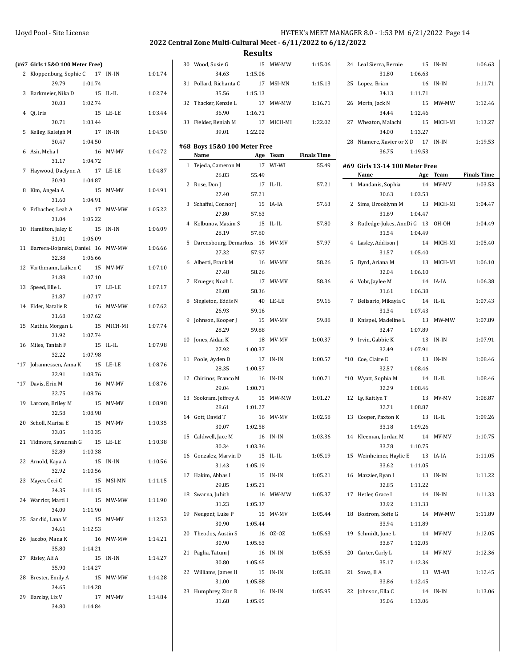|     | (#67 Girls 15&0 100 Meter Free)             |                     |                |         |
|-----|---------------------------------------------|---------------------|----------------|---------|
| 2   | Kloppenburg, Sophie C                       | 17 IN-IN            |                | 1:01.74 |
|     | 29.79                                       | 1:01.74             |                |         |
|     | 3 Barkmeier, Nika D                         | 15                  | IL-IL          | 1:02.74 |
|     | 30.03                                       | 1:02.74             |                |         |
|     | 4 Qi, Iris                                  | 15                  | LE-LE          | 1:03.44 |
| 5   | 30.71<br>Kelley, Kaleigh M                  | 1:03.44<br>17 IN-IN |                | 1:04.50 |
|     | 30.47                                       | 1:04.50             |                |         |
|     | 6 Asir, Meha I                              | 16                  | MV-MV          | 1:04.72 |
|     | 31.17                                       | 1:04.72             |                |         |
| 7   | Haywood, Daelynn A                          | 17                  | LE-LE          | 1:04.87 |
|     | 30.90                                       | 1:04.87             |                |         |
| 8   | Kim, Angela A                               | 15                  | MV-MV          | 1:04.91 |
|     | 31.60                                       | 1:04.91             |                |         |
| 9   | Erlbacher, Leah A                           |                     | 17 MW-MW       | 1:05.22 |
|     | 31.04                                       | 1:05.22             |                |         |
| 10  | Hamilton, Jaley E                           | 15                  | $\text{IN-IN}$ | 1:06.09 |
| 11  | 31.01<br>Barrera-Bojanski, Daniell 16 MW-MW | 1:06.09             |                | 1:06.66 |
|     | 32.38                                       | 1:06.66             |                |         |
|     | 12 Vorthmann, Laiken C 15 MV-MV             |                     |                | 1:07.10 |
|     | 31.88                                       | 1:07.10             |                |         |
| 13  | Speed, Elle L                               | 17                  | LE-LE          | 1:07.17 |
|     | 31.87                                       | 1:07.17             |                |         |
|     | 14 Elder, Natalie R                         | 16                  | MW-MW          | 1:07.62 |
|     | 31.68                                       | 1:07.62             |                |         |
| 15  | Mathis, Morgan L                            | 15                  | MICH-MI        | 1:07.74 |
|     | 31.92                                       | 1:07.74             |                |         |
|     | 16 Miles, Taniah F<br>32.22                 | -15<br>1:07.98      | $IL$ - $IL$    | 1:07.98 |
| *17 | Johannessen, Anna K                         | 15                  | LE-LE          | 1:08.76 |
|     | 32.91                                       | 1:08.76             |                |         |
|     | *17 Davis, Erin M                           | 16                  | MV-MV          | 1:08.76 |
|     | 32.75                                       | 1:08.76             |                |         |
|     | 19 Larcom, Briley M                         | 15                  | MV-MV          | 1:08.98 |
|     | 32.58                                       | 1:08.98             |                |         |
|     | 20 Scholl, Marisa E                         |                     | 15 MV-MV       | 1:10.35 |
|     | 33.05 1:10.35                               |                     |                |         |
|     | 21 Tidmore, Savannah G 15 LE-LE<br>32.89    |                     |                | 1:10.38 |
|     | 22 Arnold, Kaya A                           | 1:10.38             | 15 IN-IN       | 1:10.56 |
|     | 32.92 1:10.56                               |                     |                |         |
| 23  | Mayer, Ceci C                               |                     | 15 MSI-MN      | 1:11.15 |
|     | 34.35 1:11.15                               |                     |                |         |
|     | 24 Warrior, Marti I                         |                     | 15 MW-MW       | 1:11.90 |
|     | 34.09                                       | 1:11.90             |                |         |
|     | 25 Sandid, Lana M                           |                     | 15 MV-MV       | 1:12.53 |
|     | 34.61                                       | 1:12.53             |                |         |
| 26  | Jacobo, Mana K                              |                     | 16 MW-MW       | 1:14.21 |
|     | 35.80                                       | 1:14.21             |                |         |
|     | 27 Risley, Ali A<br>35.90                   | 1:14.27             | 15 IN-IN       | 1:14.27 |
|     | 28 Brester, Emily A                         |                     | 15 MW-MW       | 1:14.28 |
|     | 34.65                                       | 1:14.28             |                |         |
|     | 29 Barclay, Liz V                           |                     | 17 MV-MV       | 1:14.84 |
|     | 34.80                                       | 1:14.84             |                |         |
|     |                                             |                     |                |         |

| 34.63<br>1:15.06<br>31<br>Pollard, Richanta C<br>17<br>1:15.13<br>MSI-MN<br>35.56<br>1:15.13<br>32<br>Thacker, Kenzie L<br>17 MW-MW<br>1:16.71<br>36.90<br>1:16.71<br>33 Fielder, Reniah M<br>17 MICH-MI<br>1:22.02<br>39.01<br>1:22.02<br>#68 Boys 15&0 100 Meter Free<br>Name<br>Age Team Finals Time |       |
|---------------------------------------------------------------------------------------------------------------------------------------------------------------------------------------------------------------------------------------------------------------------------------------------------------|-------|
|                                                                                                                                                                                                                                                                                                         |       |
|                                                                                                                                                                                                                                                                                                         |       |
|                                                                                                                                                                                                                                                                                                         |       |
|                                                                                                                                                                                                                                                                                                         |       |
|                                                                                                                                                                                                                                                                                                         |       |
|                                                                                                                                                                                                                                                                                                         |       |
|                                                                                                                                                                                                                                                                                                         |       |
|                                                                                                                                                                                                                                                                                                         |       |
|                                                                                                                                                                                                                                                                                                         |       |
|                                                                                                                                                                                                                                                                                                         |       |
| Tejeda, Cameron M<br>17<br>WI-WI<br>$\mathbf{1}$                                                                                                                                                                                                                                                        | 55.49 |
| 26.83<br>55.49                                                                                                                                                                                                                                                                                          |       |
| 2<br>Rose, Don J<br>17<br>IL-IL                                                                                                                                                                                                                                                                         | 57.21 |
| 27.40                                                                                                                                                                                                                                                                                                   |       |
| 57.21                                                                                                                                                                                                                                                                                                   |       |
| 3 Schaffel, Connor J<br>15 IA-IA                                                                                                                                                                                                                                                                        | 57.63 |
| 27.80<br>57.63                                                                                                                                                                                                                                                                                          |       |
| 4 Kolbunov, Maxim S<br>15<br>IL-IL                                                                                                                                                                                                                                                                      | 57.80 |
| 28.19<br>57.80                                                                                                                                                                                                                                                                                          |       |
| Darensbourg, Demarkus 16 MV-MV<br>5                                                                                                                                                                                                                                                                     | 57.97 |
| 57.97<br>27.32                                                                                                                                                                                                                                                                                          |       |
| 16 MV-MV<br>6 Alberti, Frank M                                                                                                                                                                                                                                                                          | 58.26 |
| 27.48<br>58.26                                                                                                                                                                                                                                                                                          |       |
| 7 Krueger, Noah L<br>17 MV-MV                                                                                                                                                                                                                                                                           | 58.36 |
| 28.08<br>58.36                                                                                                                                                                                                                                                                                          |       |
|                                                                                                                                                                                                                                                                                                         |       |
| 8<br>Singleton, Eddis N<br>40 LE-LE                                                                                                                                                                                                                                                                     | 59.16 |
| 26.93<br>59.16                                                                                                                                                                                                                                                                                          |       |
| 9<br>Johnson, Kooper J<br>15 MV-MV                                                                                                                                                                                                                                                                      | 59.88 |
| 28.29<br>59.88                                                                                                                                                                                                                                                                                          |       |
| 10 Jones, Aidan K<br>18 MV-MV<br>1:00.37                                                                                                                                                                                                                                                                |       |
| 27.92<br>1:00.37                                                                                                                                                                                                                                                                                        |       |
| Poole, Ayden D<br>11<br>17<br>IN-IN<br>1:00.57                                                                                                                                                                                                                                                          |       |
| 28.35<br>1:00.57                                                                                                                                                                                                                                                                                        |       |
| 12 Chirinos, Franco M<br>1:00.71<br>16<br>IN-IN                                                                                                                                                                                                                                                         |       |
| 29.04<br>1:00.71                                                                                                                                                                                                                                                                                        |       |
| 13 Sookram, Jeffrey A<br>15 MW-MW<br>1:01.27                                                                                                                                                                                                                                                            |       |
| 28.61<br>1:01.27                                                                                                                                                                                                                                                                                        |       |
|                                                                                                                                                                                                                                                                                                         |       |
| 14 Gott, David T<br>16 MV-MV<br>1:02.58                                                                                                                                                                                                                                                                 |       |
| 30.07<br>1:02.58                                                                                                                                                                                                                                                                                        |       |
|                                                                                                                                                                                                                                                                                                         |       |
| 1:03.36<br>15 Caldwell, Jace M 16 IN-IN                                                                                                                                                                                                                                                                 |       |
| 30.34<br>1:03.36                                                                                                                                                                                                                                                                                        |       |
| 16 Gonzalez, Marvin D<br>15<br>IL-IL<br>1:05.19                                                                                                                                                                                                                                                         |       |
| 31.43<br>1:05.19                                                                                                                                                                                                                                                                                        |       |
| 17 Hakim, Abbas I<br>15<br>IN-IN<br>1:05.21                                                                                                                                                                                                                                                             |       |
| 29.85<br>1:05.21                                                                                                                                                                                                                                                                                        |       |
| 18<br>16                                                                                                                                                                                                                                                                                                |       |
| Swarna, Juhith<br>MW-MW<br>1:05.37<br>31.23<br>1:05.37                                                                                                                                                                                                                                                  |       |
|                                                                                                                                                                                                                                                                                                         |       |
| 19<br>Neugent, Luke P<br>1:05.44<br>15 MV-MV                                                                                                                                                                                                                                                            |       |
| 30.90<br>1:05.44                                                                                                                                                                                                                                                                                        |       |
| 20<br>Theodos, Austin S<br>16 0Z-0Z<br>1:05.63                                                                                                                                                                                                                                                          |       |
| 30.90<br>1:05.63                                                                                                                                                                                                                                                                                        |       |
| 21<br>Paglia, Tatum J<br>16<br>IN-IN<br>1:05.65                                                                                                                                                                                                                                                         |       |
| 30.80<br>1:05.65                                                                                                                                                                                                                                                                                        |       |
| 22 Williams, James H<br>15<br>IN-IN<br>1:05.88                                                                                                                                                                                                                                                          |       |
| 31.00<br>1:05.88                                                                                                                                                                                                                                                                                        |       |
| 23<br>Humphrey, Zion R<br>16<br>IN-IN<br>1:05.95                                                                                                                                                                                                                                                        |       |
| 31.68<br>1:05.95                                                                                                                                                                                                                                                                                        |       |

| 06 |       | 24 Leal Sierra, Bernie           | 15      | IN-IN        | 1:06.63              |
|----|-------|----------------------------------|---------|--------------|----------------------|
|    |       | 31.80                            | 1:06.63 |              |                      |
| 13 | 25    | Lopez, Brian                     |         | 16 IN-IN     | 1:11.71              |
|    |       | 34.13 1:11.71                    |         |              |                      |
| 71 |       | 26 Morin, Jack N                 |         | 15 MW-MW     | 1:12.46              |
|    |       | 34.44                            | 1:12.46 |              |                      |
| 02 |       | 27 Wheaton, Malachi              | 15      | MICH-MI      | 1:13.27              |
|    |       | 34.00                            | 1:13.27 |              |                      |
|    | 28    | Ntamere, Xavier or X D 17 IN-IN  |         |              | 1:19.53              |
|    |       | 36.75                            | 1:19.53 |              |                      |
| ne |       |                                  |         |              |                      |
| 49 |       | #69 Girls 13-14 100 Meter Free   |         |              |                      |
|    |       | Name                             |         |              | Age Team Finals Time |
| 21 |       | 1 Mandanis, Sophia               |         | 14 MV-MV     | 1:03.53              |
|    |       | 30.63                            | 1:03.53 |              |                      |
| 63 |       | 2 Sims, Brooklynn M              |         | 13 MICH-MI   | 1:04.47              |
|    |       | 31.69                            | 1:04.47 |              |                      |
| 80 | 3     | Rutledge-Jukes, AnnDi G 13 OH-OH |         |              | 1:04.49              |
|    |       | 31.54                            | 1:04.49 |              |                      |
| 97 | 4     | Lasley, Addison J                |         | 14 MICH-MI   | 1:05.40              |
|    |       | 31.57                            | 1:05.40 |              |                      |
| 26 | 5     | Byrd, Ariana M                   | 13      | MICH-MI      | 1:06.10              |
|    |       | 32.04                            | 1:06.10 |              |                      |
| 36 |       | 6 Vobr, Jaylee M                 |         | $14$ $IA-IA$ | 1:06.38              |
|    |       | 31.61                            | 1:06.38 |              |                      |
| 16 | 7     | Belisario, Mikayla C 14 IL-IL    |         |              | 1:07.43              |
|    |       | 31.34                            | 1:07.43 |              |                      |
| 88 | 8     | Knispel, Madeline L 13 MW-MW     |         |              | 1:07.89              |
|    |       | 32.47                            | 1:07.89 |              |                      |
| 37 | 9     | Irvin, Gabbie K                  | 13      | IN-IN        | 1:07.91              |
|    |       | 32.49                            | 1:07.91 |              |                      |
| 57 | $*10$ | Coe, Claire E                    | 13      | IN-IN        | 1:08.46              |
|    |       | 32.57                            | 1:08.46 |              |                      |
| 71 |       |                                  |         | 14 IL-IL     | 1:08.46              |
|    |       | *10 Wyatt, Sophia M<br>32.29     | 1:08.46 |              |                      |
|    |       |                                  |         |              |                      |
| 27 |       | 12 Ly, Kaitlyn T                 |         | 13 MV-MV     | 1:08.87              |
|    |       | 32.71                            | 1:08.87 |              |                      |
| 58 | 13    | Cooper, Paxton K                 | 13      | IL-IL        | 1:09.26              |
|    |       | 33.18                            | 1:09.26 |              |                      |
| 36 |       | 14 Kleeman, Jordan M             | 14      | MV-MV        | 1:10.75              |
|    |       | 33.78                            | 1:10.75 |              |                      |
| 19 |       | 15 Weinheimer, Haylie E          | 13      | IA-IA        | 1:11.05              |
|    |       | 33.62                            | 1:11.05 |              |                      |
| 21 | 16    | Mazzier, Ryan I                  | 13      | IN-IN        | 1:11.22              |
|    |       | 32.85                            | 1:11.22 |              |                      |
| 37 |       | 17 Hetler, Grace I               | 14      | IN-IN        | 1:11.33              |
|    |       | 33.92                            | 1:11.33 |              |                      |
| 44 | 18    | Bostrom, Sofie G                 | 14      | MW-MW        | 1:11.89              |
|    |       | 33.94                            | 1:11.89 |              |                      |
| 63 | 19    | Schmidt, June L                  |         | 14 MV-MV     | 1:12.05              |
|    |       | 33.67 1:12.05                    |         |              |                      |
| 65 |       | 20 Carter, Carly L               | 14      | MV-MV        | 1:12.36              |
|    |       | 35.17 1:12.36                    |         |              |                      |
| 88 | 21    | Sowa, BA                         | 13      | WI-WI        | 1:12.45              |
|    |       | 33.86                            | 1:12.45 |              |                      |
| 95 | 22    | Johnson, Ella C                  | 14      | IN-IN        | 1:13.06              |
|    |       | 35.06                            | 1:13.06 |              |                      |
|    |       |                                  |         |              |                      |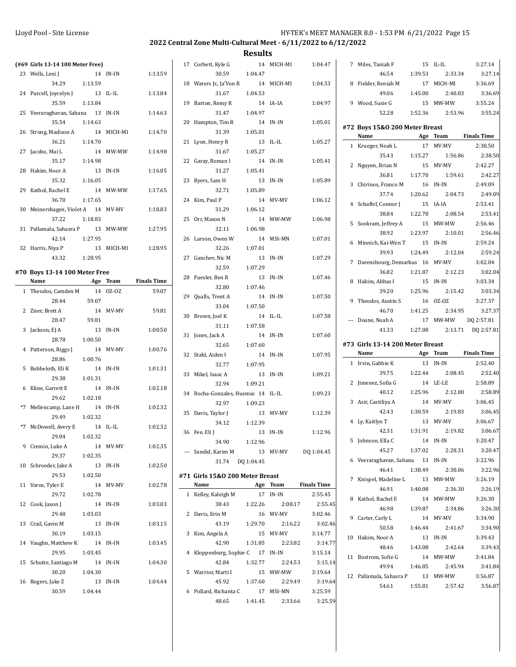| (#69 Girls 13-14 100 Meter Free)<br>17 Corbett, Kyle G<br>14 MICH-MI<br>1:04.47<br>7 Miles, Taniah F<br>15 IL-IL<br>1:13.59<br>30.59<br>1:04.47<br>1:39.53<br>23 Wells, Lexi J<br>14 IN-IN<br>46.54<br>34.29<br>1:13.59<br>18 Waters Jr., Ja'Von R<br>14 MICH-MI<br>1:04.53<br>8 Fielder, Reniah M<br>1:13.84<br>31.67<br>1:04.53<br>49.06<br>1:45.00<br>24 Purcell, Joycelyn J<br>13 IL-IL<br>35.59<br>1:13.84<br>14 IA-IA<br>1:04.97<br>9 Wood, Susie G<br>19 Barton, Remy R<br>25 Veeraraghavan, Sahana 13 IN-IN<br>1:14.63<br>31.47<br>1:04.97<br>52.28<br>1:52.36<br>35.54<br>1:14.63<br>20 Hampton, Tim R<br>14 IN-IN<br>1:05.01<br>#72 Boys 15&0 200 Meter Breast<br>31.39<br>1:05.01<br>26 Strong, Madison A<br>14 MICH-MI<br>1:14.70<br>Name<br>Age Team<br>1:05.27<br>36.21<br>1:14.70<br>21 Lyon, Henry R<br>13 IL-IL<br>17 MV-MV<br>1 Krueger, Noah L<br>1:05.27<br>27 Jacobo, Mai L<br>14 MW-MW<br>1:14.98<br>31.67<br>35.43<br>1:15.27<br>1:14.98<br>1:05.41<br>35.17<br>22 Garay, Roman I<br>14 IN-IN<br>2 Nguyen, Brian N<br>28 Hakim, Noor A<br>13 IN-IN<br>1:16.05<br>31.27<br>1:05.41<br>1:17.70<br>36.81<br>1:05.89<br>35.32<br>1:16.05<br>23 Byers, Sam H<br>13 IN-IN<br>3 Chirinos, Franco M<br>16 IN-IN<br>32.71<br>1:05.89<br>29 Kathol, Rachel E<br>14 MW-MW<br>1:17.65<br>37.74<br>1:20.62<br>1:06.12<br>36.70<br>1:17.65<br>24 Kim, Paul P<br>14 MV-MV<br>4 Schaffel, Connor J<br>15 IA-IA<br>31.29<br>1:06.12<br>30 Meinershagen, Violet A 14 MV-MV<br>1:18.83<br>38.84<br>1:22.78<br>37.22<br>1:18.83<br>1:06.98<br>25 Orr, Mason N<br>14 MW-MW<br>5 Sookram, Jeffrey A<br>31 Pallamala, Sahasra P 13 MW-MW<br>1:27.95<br>32.11<br>1:06.98<br>38.92<br>1:23.97<br>42.14<br>1:27.95<br>26 Larson, Owen W<br>14 MSI-MN<br>1:07.01<br>6 Minnich, Kai-Wen T<br>15 IN-IN<br>32 Harris, Niya P<br>1:28.95<br>32.26<br>1:07.01<br>13 MICH-MI<br>39.93<br>1:24.49<br>1:28.95<br>43.32<br>27 Ganchev, Nic M<br>13 IN-IN<br>1:07.29<br>7 Darensbourg, Demarkus 16 MV-MV<br>1:07.29<br>32.59<br>36.82<br>1:21.87<br>#70 Boys 13-14 100 Meter Free<br>28 Fuesler, Ben R<br>13 IN-IN<br>1:07.46<br><b>Finals Time</b><br>15 IN-IN<br>Name<br>Age Team<br>8 Hakim, Abbas I<br>1:07.46<br>32.80<br>1 Theodos, Camden M 14 0Z-0Z<br>59.07<br>39.20<br>1:25.96<br>29 Qualls, Trent A<br>14 IN-IN<br>1:07.50<br>16 OZ-OZ<br>28.44<br>59.07<br>9 Theodos, Austin S<br>33.04<br>1:07.50<br>59.81<br>46.70<br>2 Ziser, Brett A<br>14 MV-MV<br>1:41.25<br>1:07.58<br>30 Brown, Joel K<br>14 IL-IL<br>59.81<br>28.47<br>--- Doane, Noah A<br>1:07.58<br>31.11<br>1:00.50<br>3 Jackson, EJ A<br>13 IN-IN<br>41.33<br>1:27.08<br>1:07.60<br>31 Jones, Jack A<br>14 IN-IN<br>28.78<br>1:00.50<br>#73 Girls 13-14 200 Meter Breast<br>32.65<br>1:07.60<br>1:00.76<br>4 Patterson, Riggs J<br>14 MV-MV<br>Name<br>Age Team<br>1:07.95<br>32 Stahl, Aiden I<br>14 IN-IN<br>28.86<br>1:00.76<br>1 Irvin, Gabbie K<br>13 IN-IN<br>32.77<br>1:07.95<br>5 Robbeloth, Eli K<br>14 IN-IN<br>1:01.31<br>39.75<br>1:22.44<br>33 Mikel, Isaac A<br>13 IN-IN<br>1:09.21<br>29.38<br>1:01.31<br>14 LE-LE<br>2 Jimenez, Sofia G<br>32.94<br>1:09.21<br>1:02.18<br>6 Kline, Garrett E<br>14 IN-IN<br>1:25.96<br>40.12<br>1:09.23<br>34 Rocha-Gonzales, Huemac 14 IL-IL<br>1:02.18<br>29.62<br>3 Asir, Castiliya A<br>32.97<br>1:09.23<br>1:02.32<br>*7 Mellencamp, Lane H<br>14 IN-IN<br>1:30.59<br>42.43<br>1:12.39<br>35 Davis, Taylor J<br>13 MV-MV<br>29.49<br>1:02.32<br>4 Ly, Kaitlyn T<br>1:12.39<br>34.12<br>1:02.32<br>*7 McDowell, Avery E<br>14 IL-IL<br>42.31<br>1:31.91<br>1:12.96<br>36 Fee, Eli J<br>13 IN-IN<br>1:02.32<br>29.04<br>5 Johnson, Ella C<br>14 IN-IN<br>34.90<br>1:12.96<br>1:02.35<br>9 Cremin, Luke A<br>14 MV-MV<br>45.27<br>1:37.02<br>--- Sandid, Karim M<br>13 MV-MV<br>DQ 1:04.45<br>29.37<br>1:02.35<br>6 Veeraraghavan, Sahana 13 IN-IN<br>31.74 DQ 1:04.45<br>1:02.50<br>10 Schroeder, Jake A<br>13 IN-IN<br>46.41<br>1:38.49<br>29.53<br>1:02.50<br>#71 Girls 15&0 200 Meter Breast<br>7 Knispel, Madeline L<br>1:02.78<br><b>Finals Time</b><br>11 Voros, Tyler E<br>14 MV-MV<br>Name<br>Age Team<br>46.91<br>1:40.08<br>29.72<br>1:02.78<br>1 Kelley, Kaleigh M<br>17 IN-IN<br>2:55.45<br>8 Kathol, Rachel E<br>1:03.03<br>12 Cook, Jaxon J<br>14 IN-IN<br>38.43<br>1:22.26<br>2:08.17<br>2:55.45<br>46.98<br>1:39.87<br>29.48<br>1:03.03<br>16 MV-MV<br>3:02.46<br>2 Davis, Erin M<br>9 Carter, Carly L<br>14 MV-MV<br>1:03.15<br>43.19<br>1:29.70<br>3:02.46<br>13 Crail, Gavin M<br>13 IN-IN<br>2:16.22<br>50.58<br>1:46.44<br>1:03.15<br>3:14.77<br>30.19<br>3 Kim, Angela A<br>15 MV-MV<br>10 Hakim, Noor A<br>13 IN-IN<br>1:03.45<br>42.90<br>1:31.85<br>2:23.82<br>14 Vaughn, Matthew K<br>14 IN-IN<br>3:14.77<br>48.46<br>1:43.08<br>29.95<br>1:03.45<br>4 Kloppenburg, Sophie C 17 IN-IN<br>3:15.14<br>11 Bostrom, Sofie G<br>14 MW-MW<br>15 Schutte, Santiago M<br>14 IN-IN<br>1:04.30<br>42.84<br>1:32.77<br>2:24.53<br>3:15.14<br>49.94<br>1:46.85<br>30.20<br>1:04.30<br>3:19.64<br>5 Warrior, Marti I<br>15 MW-MW<br>12 Pallamala, Sahasra P<br>13 MW-MW<br>16 Rogers, Jake Z<br>45.92<br>1:37.60<br>2:29.49<br>13 IN-IN<br>1:04.44<br>3:19.64<br>1:55.81<br>54.61<br>30.59<br>3:25.59<br>1:04.44<br>6 Pollard, Richanta C<br>17 MSI-MN<br>48.65<br>1:41.45<br>2:33.66<br>3:25.59 |  |  |  | ncourts |  |  |            |                    |
|------------------------------------------------------------------------------------------------------------------------------------------------------------------------------------------------------------------------------------------------------------------------------------------------------------------------------------------------------------------------------------------------------------------------------------------------------------------------------------------------------------------------------------------------------------------------------------------------------------------------------------------------------------------------------------------------------------------------------------------------------------------------------------------------------------------------------------------------------------------------------------------------------------------------------------------------------------------------------------------------------------------------------------------------------------------------------------------------------------------------------------------------------------------------------------------------------------------------------------------------------------------------------------------------------------------------------------------------------------------------------------------------------------------------------------------------------------------------------------------------------------------------------------------------------------------------------------------------------------------------------------------------------------------------------------------------------------------------------------------------------------------------------------------------------------------------------------------------------------------------------------------------------------------------------------------------------------------------------------------------------------------------------------------------------------------------------------------------------------------------------------------------------------------------------------------------------------------------------------------------------------------------------------------------------------------------------------------------------------------------------------------------------------------------------------------------------------------------------------------------------------------------------------------------------------------------------------------------------------------------------------------------------------------------------------------------------------------------------------------------------------------------------------------------------------------------------------------------------------------------------------------------------------------------------------------------------------------------------------------------------------------------------------------------------------------------------------------------------------------------------------------------------------------------------------------------------------------------------------------------------------------------------------------------------------------------------------------------------------------------------------------------------------------------------------------------------------------------------------------------------------------------------------------------------------------------------------------------------------------------------------------------------------------------------------------------------------------------------------------------------------------------------------------------------------------------------------------------------------------------------------------------------------------------------------------------------------------------------------------------------------------------------------------------------------------------------------------------------------------------------------------------------------------------------------------------------------------------------------------------------------------------------------------------------------------------------------------------------------------------------------------------------------------------------------------------------------------------------------------------------------------------------------------------------------------------------------------------------------------------------------------------------------------------------------------------------------------------------------------------------------------------------------------------------------------------------------------------------------------------------------------------------------------------------------------------------------------------------------------------------------------------------------------------------------------------------------------------------------------------------------------------------------------------------------------------------------------------------------------------------------------------------------------------------------------------------|--|--|--|---------|--|--|------------|--------------------|
|                                                                                                                                                                                                                                                                                                                                                                                                                                                                                                                                                                                                                                                                                                                                                                                                                                                                                                                                                                                                                                                                                                                                                                                                                                                                                                                                                                                                                                                                                                                                                                                                                                                                                                                                                                                                                                                                                                                                                                                                                                                                                                                                                                                                                                                                                                                                                                                                                                                                                                                                                                                                                                                                                                                                                                                                                                                                                                                                                                                                                                                                                                                                                                                                                                                                                                                                                                                                                                                                                                                                                                                                                                                                                                                                                                                                                                                                                                                                                                                                                                                                                                                                                                                                                                                                                                                                                                                                                                                                                                                                                                                                                                                                                                                                                                                                                                                                                                                                                                                                                                                                                                                                                                                                                                                                                                                              |  |  |  |         |  |  |            | 3:27.14            |
|                                                                                                                                                                                                                                                                                                                                                                                                                                                                                                                                                                                                                                                                                                                                                                                                                                                                                                                                                                                                                                                                                                                                                                                                                                                                                                                                                                                                                                                                                                                                                                                                                                                                                                                                                                                                                                                                                                                                                                                                                                                                                                                                                                                                                                                                                                                                                                                                                                                                                                                                                                                                                                                                                                                                                                                                                                                                                                                                                                                                                                                                                                                                                                                                                                                                                                                                                                                                                                                                                                                                                                                                                                                                                                                                                                                                                                                                                                                                                                                                                                                                                                                                                                                                                                                                                                                                                                                                                                                                                                                                                                                                                                                                                                                                                                                                                                                                                                                                                                                                                                                                                                                                                                                                                                                                                                                              |  |  |  |         |  |  | 2:33.34    | 3:27.14            |
|                                                                                                                                                                                                                                                                                                                                                                                                                                                                                                                                                                                                                                                                                                                                                                                                                                                                                                                                                                                                                                                                                                                                                                                                                                                                                                                                                                                                                                                                                                                                                                                                                                                                                                                                                                                                                                                                                                                                                                                                                                                                                                                                                                                                                                                                                                                                                                                                                                                                                                                                                                                                                                                                                                                                                                                                                                                                                                                                                                                                                                                                                                                                                                                                                                                                                                                                                                                                                                                                                                                                                                                                                                                                                                                                                                                                                                                                                                                                                                                                                                                                                                                                                                                                                                                                                                                                                                                                                                                                                                                                                                                                                                                                                                                                                                                                                                                                                                                                                                                                                                                                                                                                                                                                                                                                                                                              |  |  |  |         |  |  | 17 MICH-MI | 3:36.69            |
|                                                                                                                                                                                                                                                                                                                                                                                                                                                                                                                                                                                                                                                                                                                                                                                                                                                                                                                                                                                                                                                                                                                                                                                                                                                                                                                                                                                                                                                                                                                                                                                                                                                                                                                                                                                                                                                                                                                                                                                                                                                                                                                                                                                                                                                                                                                                                                                                                                                                                                                                                                                                                                                                                                                                                                                                                                                                                                                                                                                                                                                                                                                                                                                                                                                                                                                                                                                                                                                                                                                                                                                                                                                                                                                                                                                                                                                                                                                                                                                                                                                                                                                                                                                                                                                                                                                                                                                                                                                                                                                                                                                                                                                                                                                                                                                                                                                                                                                                                                                                                                                                                                                                                                                                                                                                                                                              |  |  |  |         |  |  | 2:40.83    | 3:36.69            |
|                                                                                                                                                                                                                                                                                                                                                                                                                                                                                                                                                                                                                                                                                                                                                                                                                                                                                                                                                                                                                                                                                                                                                                                                                                                                                                                                                                                                                                                                                                                                                                                                                                                                                                                                                                                                                                                                                                                                                                                                                                                                                                                                                                                                                                                                                                                                                                                                                                                                                                                                                                                                                                                                                                                                                                                                                                                                                                                                                                                                                                                                                                                                                                                                                                                                                                                                                                                                                                                                                                                                                                                                                                                                                                                                                                                                                                                                                                                                                                                                                                                                                                                                                                                                                                                                                                                                                                                                                                                                                                                                                                                                                                                                                                                                                                                                                                                                                                                                                                                                                                                                                                                                                                                                                                                                                                                              |  |  |  |         |  |  | 15 MW-MW   | 3:55.24            |
|                                                                                                                                                                                                                                                                                                                                                                                                                                                                                                                                                                                                                                                                                                                                                                                                                                                                                                                                                                                                                                                                                                                                                                                                                                                                                                                                                                                                                                                                                                                                                                                                                                                                                                                                                                                                                                                                                                                                                                                                                                                                                                                                                                                                                                                                                                                                                                                                                                                                                                                                                                                                                                                                                                                                                                                                                                                                                                                                                                                                                                                                                                                                                                                                                                                                                                                                                                                                                                                                                                                                                                                                                                                                                                                                                                                                                                                                                                                                                                                                                                                                                                                                                                                                                                                                                                                                                                                                                                                                                                                                                                                                                                                                                                                                                                                                                                                                                                                                                                                                                                                                                                                                                                                                                                                                                                                              |  |  |  |         |  |  | 2:53.96    | 3:55.24            |
|                                                                                                                                                                                                                                                                                                                                                                                                                                                                                                                                                                                                                                                                                                                                                                                                                                                                                                                                                                                                                                                                                                                                                                                                                                                                                                                                                                                                                                                                                                                                                                                                                                                                                                                                                                                                                                                                                                                                                                                                                                                                                                                                                                                                                                                                                                                                                                                                                                                                                                                                                                                                                                                                                                                                                                                                                                                                                                                                                                                                                                                                                                                                                                                                                                                                                                                                                                                                                                                                                                                                                                                                                                                                                                                                                                                                                                                                                                                                                                                                                                                                                                                                                                                                                                                                                                                                                                                                                                                                                                                                                                                                                                                                                                                                                                                                                                                                                                                                                                                                                                                                                                                                                                                                                                                                                                                              |  |  |  |         |  |  |            |                    |
|                                                                                                                                                                                                                                                                                                                                                                                                                                                                                                                                                                                                                                                                                                                                                                                                                                                                                                                                                                                                                                                                                                                                                                                                                                                                                                                                                                                                                                                                                                                                                                                                                                                                                                                                                                                                                                                                                                                                                                                                                                                                                                                                                                                                                                                                                                                                                                                                                                                                                                                                                                                                                                                                                                                                                                                                                                                                                                                                                                                                                                                                                                                                                                                                                                                                                                                                                                                                                                                                                                                                                                                                                                                                                                                                                                                                                                                                                                                                                                                                                                                                                                                                                                                                                                                                                                                                                                                                                                                                                                                                                                                                                                                                                                                                                                                                                                                                                                                                                                                                                                                                                                                                                                                                                                                                                                                              |  |  |  |         |  |  |            |                    |
|                                                                                                                                                                                                                                                                                                                                                                                                                                                                                                                                                                                                                                                                                                                                                                                                                                                                                                                                                                                                                                                                                                                                                                                                                                                                                                                                                                                                                                                                                                                                                                                                                                                                                                                                                                                                                                                                                                                                                                                                                                                                                                                                                                                                                                                                                                                                                                                                                                                                                                                                                                                                                                                                                                                                                                                                                                                                                                                                                                                                                                                                                                                                                                                                                                                                                                                                                                                                                                                                                                                                                                                                                                                                                                                                                                                                                                                                                                                                                                                                                                                                                                                                                                                                                                                                                                                                                                                                                                                                                                                                                                                                                                                                                                                                                                                                                                                                                                                                                                                                                                                                                                                                                                                                                                                                                                                              |  |  |  |         |  |  |            | <b>Finals Time</b> |
|                                                                                                                                                                                                                                                                                                                                                                                                                                                                                                                                                                                                                                                                                                                                                                                                                                                                                                                                                                                                                                                                                                                                                                                                                                                                                                                                                                                                                                                                                                                                                                                                                                                                                                                                                                                                                                                                                                                                                                                                                                                                                                                                                                                                                                                                                                                                                                                                                                                                                                                                                                                                                                                                                                                                                                                                                                                                                                                                                                                                                                                                                                                                                                                                                                                                                                                                                                                                                                                                                                                                                                                                                                                                                                                                                                                                                                                                                                                                                                                                                                                                                                                                                                                                                                                                                                                                                                                                                                                                                                                                                                                                                                                                                                                                                                                                                                                                                                                                                                                                                                                                                                                                                                                                                                                                                                                              |  |  |  |         |  |  |            | 2:38.50            |
|                                                                                                                                                                                                                                                                                                                                                                                                                                                                                                                                                                                                                                                                                                                                                                                                                                                                                                                                                                                                                                                                                                                                                                                                                                                                                                                                                                                                                                                                                                                                                                                                                                                                                                                                                                                                                                                                                                                                                                                                                                                                                                                                                                                                                                                                                                                                                                                                                                                                                                                                                                                                                                                                                                                                                                                                                                                                                                                                                                                                                                                                                                                                                                                                                                                                                                                                                                                                                                                                                                                                                                                                                                                                                                                                                                                                                                                                                                                                                                                                                                                                                                                                                                                                                                                                                                                                                                                                                                                                                                                                                                                                                                                                                                                                                                                                                                                                                                                                                                                                                                                                                                                                                                                                                                                                                                                              |  |  |  |         |  |  | 1:56.86    | 2:38.50            |
|                                                                                                                                                                                                                                                                                                                                                                                                                                                                                                                                                                                                                                                                                                                                                                                                                                                                                                                                                                                                                                                                                                                                                                                                                                                                                                                                                                                                                                                                                                                                                                                                                                                                                                                                                                                                                                                                                                                                                                                                                                                                                                                                                                                                                                                                                                                                                                                                                                                                                                                                                                                                                                                                                                                                                                                                                                                                                                                                                                                                                                                                                                                                                                                                                                                                                                                                                                                                                                                                                                                                                                                                                                                                                                                                                                                                                                                                                                                                                                                                                                                                                                                                                                                                                                                                                                                                                                                                                                                                                                                                                                                                                                                                                                                                                                                                                                                                                                                                                                                                                                                                                                                                                                                                                                                                                                                              |  |  |  |         |  |  | 15 MV-MV   | 2:42.27            |
|                                                                                                                                                                                                                                                                                                                                                                                                                                                                                                                                                                                                                                                                                                                                                                                                                                                                                                                                                                                                                                                                                                                                                                                                                                                                                                                                                                                                                                                                                                                                                                                                                                                                                                                                                                                                                                                                                                                                                                                                                                                                                                                                                                                                                                                                                                                                                                                                                                                                                                                                                                                                                                                                                                                                                                                                                                                                                                                                                                                                                                                                                                                                                                                                                                                                                                                                                                                                                                                                                                                                                                                                                                                                                                                                                                                                                                                                                                                                                                                                                                                                                                                                                                                                                                                                                                                                                                                                                                                                                                                                                                                                                                                                                                                                                                                                                                                                                                                                                                                                                                                                                                                                                                                                                                                                                                                              |  |  |  |         |  |  | 1:59.61    | 2:42.27            |
|                                                                                                                                                                                                                                                                                                                                                                                                                                                                                                                                                                                                                                                                                                                                                                                                                                                                                                                                                                                                                                                                                                                                                                                                                                                                                                                                                                                                                                                                                                                                                                                                                                                                                                                                                                                                                                                                                                                                                                                                                                                                                                                                                                                                                                                                                                                                                                                                                                                                                                                                                                                                                                                                                                                                                                                                                                                                                                                                                                                                                                                                                                                                                                                                                                                                                                                                                                                                                                                                                                                                                                                                                                                                                                                                                                                                                                                                                                                                                                                                                                                                                                                                                                                                                                                                                                                                                                                                                                                                                                                                                                                                                                                                                                                                                                                                                                                                                                                                                                                                                                                                                                                                                                                                                                                                                                                              |  |  |  |         |  |  |            | 2:49.09            |
|                                                                                                                                                                                                                                                                                                                                                                                                                                                                                                                                                                                                                                                                                                                                                                                                                                                                                                                                                                                                                                                                                                                                                                                                                                                                                                                                                                                                                                                                                                                                                                                                                                                                                                                                                                                                                                                                                                                                                                                                                                                                                                                                                                                                                                                                                                                                                                                                                                                                                                                                                                                                                                                                                                                                                                                                                                                                                                                                                                                                                                                                                                                                                                                                                                                                                                                                                                                                                                                                                                                                                                                                                                                                                                                                                                                                                                                                                                                                                                                                                                                                                                                                                                                                                                                                                                                                                                                                                                                                                                                                                                                                                                                                                                                                                                                                                                                                                                                                                                                                                                                                                                                                                                                                                                                                                                                              |  |  |  |         |  |  | 2:04.73    | 2:49.09            |
|                                                                                                                                                                                                                                                                                                                                                                                                                                                                                                                                                                                                                                                                                                                                                                                                                                                                                                                                                                                                                                                                                                                                                                                                                                                                                                                                                                                                                                                                                                                                                                                                                                                                                                                                                                                                                                                                                                                                                                                                                                                                                                                                                                                                                                                                                                                                                                                                                                                                                                                                                                                                                                                                                                                                                                                                                                                                                                                                                                                                                                                                                                                                                                                                                                                                                                                                                                                                                                                                                                                                                                                                                                                                                                                                                                                                                                                                                                                                                                                                                                                                                                                                                                                                                                                                                                                                                                                                                                                                                                                                                                                                                                                                                                                                                                                                                                                                                                                                                                                                                                                                                                                                                                                                                                                                                                                              |  |  |  |         |  |  |            | 2:53.41            |
|                                                                                                                                                                                                                                                                                                                                                                                                                                                                                                                                                                                                                                                                                                                                                                                                                                                                                                                                                                                                                                                                                                                                                                                                                                                                                                                                                                                                                                                                                                                                                                                                                                                                                                                                                                                                                                                                                                                                                                                                                                                                                                                                                                                                                                                                                                                                                                                                                                                                                                                                                                                                                                                                                                                                                                                                                                                                                                                                                                                                                                                                                                                                                                                                                                                                                                                                                                                                                                                                                                                                                                                                                                                                                                                                                                                                                                                                                                                                                                                                                                                                                                                                                                                                                                                                                                                                                                                                                                                                                                                                                                                                                                                                                                                                                                                                                                                                                                                                                                                                                                                                                                                                                                                                                                                                                                                              |  |  |  |         |  |  | 2:08.54    | 2:53.41            |
|                                                                                                                                                                                                                                                                                                                                                                                                                                                                                                                                                                                                                                                                                                                                                                                                                                                                                                                                                                                                                                                                                                                                                                                                                                                                                                                                                                                                                                                                                                                                                                                                                                                                                                                                                                                                                                                                                                                                                                                                                                                                                                                                                                                                                                                                                                                                                                                                                                                                                                                                                                                                                                                                                                                                                                                                                                                                                                                                                                                                                                                                                                                                                                                                                                                                                                                                                                                                                                                                                                                                                                                                                                                                                                                                                                                                                                                                                                                                                                                                                                                                                                                                                                                                                                                                                                                                                                                                                                                                                                                                                                                                                                                                                                                                                                                                                                                                                                                                                                                                                                                                                                                                                                                                                                                                                                                              |  |  |  |         |  |  | 15 MW-MW   | 2:56.46            |
|                                                                                                                                                                                                                                                                                                                                                                                                                                                                                                                                                                                                                                                                                                                                                                                                                                                                                                                                                                                                                                                                                                                                                                                                                                                                                                                                                                                                                                                                                                                                                                                                                                                                                                                                                                                                                                                                                                                                                                                                                                                                                                                                                                                                                                                                                                                                                                                                                                                                                                                                                                                                                                                                                                                                                                                                                                                                                                                                                                                                                                                                                                                                                                                                                                                                                                                                                                                                                                                                                                                                                                                                                                                                                                                                                                                                                                                                                                                                                                                                                                                                                                                                                                                                                                                                                                                                                                                                                                                                                                                                                                                                                                                                                                                                                                                                                                                                                                                                                                                                                                                                                                                                                                                                                                                                                                                              |  |  |  |         |  |  | 2:10.01    | 2:56.46            |
|                                                                                                                                                                                                                                                                                                                                                                                                                                                                                                                                                                                                                                                                                                                                                                                                                                                                                                                                                                                                                                                                                                                                                                                                                                                                                                                                                                                                                                                                                                                                                                                                                                                                                                                                                                                                                                                                                                                                                                                                                                                                                                                                                                                                                                                                                                                                                                                                                                                                                                                                                                                                                                                                                                                                                                                                                                                                                                                                                                                                                                                                                                                                                                                                                                                                                                                                                                                                                                                                                                                                                                                                                                                                                                                                                                                                                                                                                                                                                                                                                                                                                                                                                                                                                                                                                                                                                                                                                                                                                                                                                                                                                                                                                                                                                                                                                                                                                                                                                                                                                                                                                                                                                                                                                                                                                                                              |  |  |  |         |  |  |            | 2:59.24            |
|                                                                                                                                                                                                                                                                                                                                                                                                                                                                                                                                                                                                                                                                                                                                                                                                                                                                                                                                                                                                                                                                                                                                                                                                                                                                                                                                                                                                                                                                                                                                                                                                                                                                                                                                                                                                                                                                                                                                                                                                                                                                                                                                                                                                                                                                                                                                                                                                                                                                                                                                                                                                                                                                                                                                                                                                                                                                                                                                                                                                                                                                                                                                                                                                                                                                                                                                                                                                                                                                                                                                                                                                                                                                                                                                                                                                                                                                                                                                                                                                                                                                                                                                                                                                                                                                                                                                                                                                                                                                                                                                                                                                                                                                                                                                                                                                                                                                                                                                                                                                                                                                                                                                                                                                                                                                                                                              |  |  |  |         |  |  | 2:12.04    | 2:59.24            |
|                                                                                                                                                                                                                                                                                                                                                                                                                                                                                                                                                                                                                                                                                                                                                                                                                                                                                                                                                                                                                                                                                                                                                                                                                                                                                                                                                                                                                                                                                                                                                                                                                                                                                                                                                                                                                                                                                                                                                                                                                                                                                                                                                                                                                                                                                                                                                                                                                                                                                                                                                                                                                                                                                                                                                                                                                                                                                                                                                                                                                                                                                                                                                                                                                                                                                                                                                                                                                                                                                                                                                                                                                                                                                                                                                                                                                                                                                                                                                                                                                                                                                                                                                                                                                                                                                                                                                                                                                                                                                                                                                                                                                                                                                                                                                                                                                                                                                                                                                                                                                                                                                                                                                                                                                                                                                                                              |  |  |  |         |  |  |            | 3:02.04            |
|                                                                                                                                                                                                                                                                                                                                                                                                                                                                                                                                                                                                                                                                                                                                                                                                                                                                                                                                                                                                                                                                                                                                                                                                                                                                                                                                                                                                                                                                                                                                                                                                                                                                                                                                                                                                                                                                                                                                                                                                                                                                                                                                                                                                                                                                                                                                                                                                                                                                                                                                                                                                                                                                                                                                                                                                                                                                                                                                                                                                                                                                                                                                                                                                                                                                                                                                                                                                                                                                                                                                                                                                                                                                                                                                                                                                                                                                                                                                                                                                                                                                                                                                                                                                                                                                                                                                                                                                                                                                                                                                                                                                                                                                                                                                                                                                                                                                                                                                                                                                                                                                                                                                                                                                                                                                                                                              |  |  |  |         |  |  | 2:12.23    | 3:02.04            |
|                                                                                                                                                                                                                                                                                                                                                                                                                                                                                                                                                                                                                                                                                                                                                                                                                                                                                                                                                                                                                                                                                                                                                                                                                                                                                                                                                                                                                                                                                                                                                                                                                                                                                                                                                                                                                                                                                                                                                                                                                                                                                                                                                                                                                                                                                                                                                                                                                                                                                                                                                                                                                                                                                                                                                                                                                                                                                                                                                                                                                                                                                                                                                                                                                                                                                                                                                                                                                                                                                                                                                                                                                                                                                                                                                                                                                                                                                                                                                                                                                                                                                                                                                                                                                                                                                                                                                                                                                                                                                                                                                                                                                                                                                                                                                                                                                                                                                                                                                                                                                                                                                                                                                                                                                                                                                                                              |  |  |  |         |  |  |            | 3:03.34            |
|                                                                                                                                                                                                                                                                                                                                                                                                                                                                                                                                                                                                                                                                                                                                                                                                                                                                                                                                                                                                                                                                                                                                                                                                                                                                                                                                                                                                                                                                                                                                                                                                                                                                                                                                                                                                                                                                                                                                                                                                                                                                                                                                                                                                                                                                                                                                                                                                                                                                                                                                                                                                                                                                                                                                                                                                                                                                                                                                                                                                                                                                                                                                                                                                                                                                                                                                                                                                                                                                                                                                                                                                                                                                                                                                                                                                                                                                                                                                                                                                                                                                                                                                                                                                                                                                                                                                                                                                                                                                                                                                                                                                                                                                                                                                                                                                                                                                                                                                                                                                                                                                                                                                                                                                                                                                                                                              |  |  |  |         |  |  | 2:15.42    | 3:03.34            |
|                                                                                                                                                                                                                                                                                                                                                                                                                                                                                                                                                                                                                                                                                                                                                                                                                                                                                                                                                                                                                                                                                                                                                                                                                                                                                                                                                                                                                                                                                                                                                                                                                                                                                                                                                                                                                                                                                                                                                                                                                                                                                                                                                                                                                                                                                                                                                                                                                                                                                                                                                                                                                                                                                                                                                                                                                                                                                                                                                                                                                                                                                                                                                                                                                                                                                                                                                                                                                                                                                                                                                                                                                                                                                                                                                                                                                                                                                                                                                                                                                                                                                                                                                                                                                                                                                                                                                                                                                                                                                                                                                                                                                                                                                                                                                                                                                                                                                                                                                                                                                                                                                                                                                                                                                                                                                                                              |  |  |  |         |  |  |            | 3:27.37            |
|                                                                                                                                                                                                                                                                                                                                                                                                                                                                                                                                                                                                                                                                                                                                                                                                                                                                                                                                                                                                                                                                                                                                                                                                                                                                                                                                                                                                                                                                                                                                                                                                                                                                                                                                                                                                                                                                                                                                                                                                                                                                                                                                                                                                                                                                                                                                                                                                                                                                                                                                                                                                                                                                                                                                                                                                                                                                                                                                                                                                                                                                                                                                                                                                                                                                                                                                                                                                                                                                                                                                                                                                                                                                                                                                                                                                                                                                                                                                                                                                                                                                                                                                                                                                                                                                                                                                                                                                                                                                                                                                                                                                                                                                                                                                                                                                                                                                                                                                                                                                                                                                                                                                                                                                                                                                                                                              |  |  |  |         |  |  | 2:34.95    | 3:27.37            |
|                                                                                                                                                                                                                                                                                                                                                                                                                                                                                                                                                                                                                                                                                                                                                                                                                                                                                                                                                                                                                                                                                                                                                                                                                                                                                                                                                                                                                                                                                                                                                                                                                                                                                                                                                                                                                                                                                                                                                                                                                                                                                                                                                                                                                                                                                                                                                                                                                                                                                                                                                                                                                                                                                                                                                                                                                                                                                                                                                                                                                                                                                                                                                                                                                                                                                                                                                                                                                                                                                                                                                                                                                                                                                                                                                                                                                                                                                                                                                                                                                                                                                                                                                                                                                                                                                                                                                                                                                                                                                                                                                                                                                                                                                                                                                                                                                                                                                                                                                                                                                                                                                                                                                                                                                                                                                                                              |  |  |  |         |  |  | 17 MW-MW   | DQ 2:57.81         |
|                                                                                                                                                                                                                                                                                                                                                                                                                                                                                                                                                                                                                                                                                                                                                                                                                                                                                                                                                                                                                                                                                                                                                                                                                                                                                                                                                                                                                                                                                                                                                                                                                                                                                                                                                                                                                                                                                                                                                                                                                                                                                                                                                                                                                                                                                                                                                                                                                                                                                                                                                                                                                                                                                                                                                                                                                                                                                                                                                                                                                                                                                                                                                                                                                                                                                                                                                                                                                                                                                                                                                                                                                                                                                                                                                                                                                                                                                                                                                                                                                                                                                                                                                                                                                                                                                                                                                                                                                                                                                                                                                                                                                                                                                                                                                                                                                                                                                                                                                                                                                                                                                                                                                                                                                                                                                                                              |  |  |  |         |  |  |            | 2:13.71 DQ 2:57.81 |
|                                                                                                                                                                                                                                                                                                                                                                                                                                                                                                                                                                                                                                                                                                                                                                                                                                                                                                                                                                                                                                                                                                                                                                                                                                                                                                                                                                                                                                                                                                                                                                                                                                                                                                                                                                                                                                                                                                                                                                                                                                                                                                                                                                                                                                                                                                                                                                                                                                                                                                                                                                                                                                                                                                                                                                                                                                                                                                                                                                                                                                                                                                                                                                                                                                                                                                                                                                                                                                                                                                                                                                                                                                                                                                                                                                                                                                                                                                                                                                                                                                                                                                                                                                                                                                                                                                                                                                                                                                                                                                                                                                                                                                                                                                                                                                                                                                                                                                                                                                                                                                                                                                                                                                                                                                                                                                                              |  |  |  |         |  |  |            |                    |
|                                                                                                                                                                                                                                                                                                                                                                                                                                                                                                                                                                                                                                                                                                                                                                                                                                                                                                                                                                                                                                                                                                                                                                                                                                                                                                                                                                                                                                                                                                                                                                                                                                                                                                                                                                                                                                                                                                                                                                                                                                                                                                                                                                                                                                                                                                                                                                                                                                                                                                                                                                                                                                                                                                                                                                                                                                                                                                                                                                                                                                                                                                                                                                                                                                                                                                                                                                                                                                                                                                                                                                                                                                                                                                                                                                                                                                                                                                                                                                                                                                                                                                                                                                                                                                                                                                                                                                                                                                                                                                                                                                                                                                                                                                                                                                                                                                                                                                                                                                                                                                                                                                                                                                                                                                                                                                                              |  |  |  |         |  |  |            |                    |
|                                                                                                                                                                                                                                                                                                                                                                                                                                                                                                                                                                                                                                                                                                                                                                                                                                                                                                                                                                                                                                                                                                                                                                                                                                                                                                                                                                                                                                                                                                                                                                                                                                                                                                                                                                                                                                                                                                                                                                                                                                                                                                                                                                                                                                                                                                                                                                                                                                                                                                                                                                                                                                                                                                                                                                                                                                                                                                                                                                                                                                                                                                                                                                                                                                                                                                                                                                                                                                                                                                                                                                                                                                                                                                                                                                                                                                                                                                                                                                                                                                                                                                                                                                                                                                                                                                                                                                                                                                                                                                                                                                                                                                                                                                                                                                                                                                                                                                                                                                                                                                                                                                                                                                                                                                                                                                                              |  |  |  |         |  |  |            | <b>Finals Time</b> |
|                                                                                                                                                                                                                                                                                                                                                                                                                                                                                                                                                                                                                                                                                                                                                                                                                                                                                                                                                                                                                                                                                                                                                                                                                                                                                                                                                                                                                                                                                                                                                                                                                                                                                                                                                                                                                                                                                                                                                                                                                                                                                                                                                                                                                                                                                                                                                                                                                                                                                                                                                                                                                                                                                                                                                                                                                                                                                                                                                                                                                                                                                                                                                                                                                                                                                                                                                                                                                                                                                                                                                                                                                                                                                                                                                                                                                                                                                                                                                                                                                                                                                                                                                                                                                                                                                                                                                                                                                                                                                                                                                                                                                                                                                                                                                                                                                                                                                                                                                                                                                                                                                                                                                                                                                                                                                                                              |  |  |  |         |  |  |            | 2:52.40            |
|                                                                                                                                                                                                                                                                                                                                                                                                                                                                                                                                                                                                                                                                                                                                                                                                                                                                                                                                                                                                                                                                                                                                                                                                                                                                                                                                                                                                                                                                                                                                                                                                                                                                                                                                                                                                                                                                                                                                                                                                                                                                                                                                                                                                                                                                                                                                                                                                                                                                                                                                                                                                                                                                                                                                                                                                                                                                                                                                                                                                                                                                                                                                                                                                                                                                                                                                                                                                                                                                                                                                                                                                                                                                                                                                                                                                                                                                                                                                                                                                                                                                                                                                                                                                                                                                                                                                                                                                                                                                                                                                                                                                                                                                                                                                                                                                                                                                                                                                                                                                                                                                                                                                                                                                                                                                                                                              |  |  |  |         |  |  | 2:08.45    | 2:52.40            |
|                                                                                                                                                                                                                                                                                                                                                                                                                                                                                                                                                                                                                                                                                                                                                                                                                                                                                                                                                                                                                                                                                                                                                                                                                                                                                                                                                                                                                                                                                                                                                                                                                                                                                                                                                                                                                                                                                                                                                                                                                                                                                                                                                                                                                                                                                                                                                                                                                                                                                                                                                                                                                                                                                                                                                                                                                                                                                                                                                                                                                                                                                                                                                                                                                                                                                                                                                                                                                                                                                                                                                                                                                                                                                                                                                                                                                                                                                                                                                                                                                                                                                                                                                                                                                                                                                                                                                                                                                                                                                                                                                                                                                                                                                                                                                                                                                                                                                                                                                                                                                                                                                                                                                                                                                                                                                                                              |  |  |  |         |  |  |            | 2:58.89            |
|                                                                                                                                                                                                                                                                                                                                                                                                                                                                                                                                                                                                                                                                                                                                                                                                                                                                                                                                                                                                                                                                                                                                                                                                                                                                                                                                                                                                                                                                                                                                                                                                                                                                                                                                                                                                                                                                                                                                                                                                                                                                                                                                                                                                                                                                                                                                                                                                                                                                                                                                                                                                                                                                                                                                                                                                                                                                                                                                                                                                                                                                                                                                                                                                                                                                                                                                                                                                                                                                                                                                                                                                                                                                                                                                                                                                                                                                                                                                                                                                                                                                                                                                                                                                                                                                                                                                                                                                                                                                                                                                                                                                                                                                                                                                                                                                                                                                                                                                                                                                                                                                                                                                                                                                                                                                                                                              |  |  |  |         |  |  | 2:12.00    | 2:58.89            |
|                                                                                                                                                                                                                                                                                                                                                                                                                                                                                                                                                                                                                                                                                                                                                                                                                                                                                                                                                                                                                                                                                                                                                                                                                                                                                                                                                                                                                                                                                                                                                                                                                                                                                                                                                                                                                                                                                                                                                                                                                                                                                                                                                                                                                                                                                                                                                                                                                                                                                                                                                                                                                                                                                                                                                                                                                                                                                                                                                                                                                                                                                                                                                                                                                                                                                                                                                                                                                                                                                                                                                                                                                                                                                                                                                                                                                                                                                                                                                                                                                                                                                                                                                                                                                                                                                                                                                                                                                                                                                                                                                                                                                                                                                                                                                                                                                                                                                                                                                                                                                                                                                                                                                                                                                                                                                                                              |  |  |  |         |  |  | 14 MV-MV   | 3:06.45            |
|                                                                                                                                                                                                                                                                                                                                                                                                                                                                                                                                                                                                                                                                                                                                                                                                                                                                                                                                                                                                                                                                                                                                                                                                                                                                                                                                                                                                                                                                                                                                                                                                                                                                                                                                                                                                                                                                                                                                                                                                                                                                                                                                                                                                                                                                                                                                                                                                                                                                                                                                                                                                                                                                                                                                                                                                                                                                                                                                                                                                                                                                                                                                                                                                                                                                                                                                                                                                                                                                                                                                                                                                                                                                                                                                                                                                                                                                                                                                                                                                                                                                                                                                                                                                                                                                                                                                                                                                                                                                                                                                                                                                                                                                                                                                                                                                                                                                                                                                                                                                                                                                                                                                                                                                                                                                                                                              |  |  |  |         |  |  | 2:19.83    | 3:06.45            |
|                                                                                                                                                                                                                                                                                                                                                                                                                                                                                                                                                                                                                                                                                                                                                                                                                                                                                                                                                                                                                                                                                                                                                                                                                                                                                                                                                                                                                                                                                                                                                                                                                                                                                                                                                                                                                                                                                                                                                                                                                                                                                                                                                                                                                                                                                                                                                                                                                                                                                                                                                                                                                                                                                                                                                                                                                                                                                                                                                                                                                                                                                                                                                                                                                                                                                                                                                                                                                                                                                                                                                                                                                                                                                                                                                                                                                                                                                                                                                                                                                                                                                                                                                                                                                                                                                                                                                                                                                                                                                                                                                                                                                                                                                                                                                                                                                                                                                                                                                                                                                                                                                                                                                                                                                                                                                                                              |  |  |  |         |  |  | 13 MV-MV   | 3:06.67            |
|                                                                                                                                                                                                                                                                                                                                                                                                                                                                                                                                                                                                                                                                                                                                                                                                                                                                                                                                                                                                                                                                                                                                                                                                                                                                                                                                                                                                                                                                                                                                                                                                                                                                                                                                                                                                                                                                                                                                                                                                                                                                                                                                                                                                                                                                                                                                                                                                                                                                                                                                                                                                                                                                                                                                                                                                                                                                                                                                                                                                                                                                                                                                                                                                                                                                                                                                                                                                                                                                                                                                                                                                                                                                                                                                                                                                                                                                                                                                                                                                                                                                                                                                                                                                                                                                                                                                                                                                                                                                                                                                                                                                                                                                                                                                                                                                                                                                                                                                                                                                                                                                                                                                                                                                                                                                                                                              |  |  |  |         |  |  | 2:19.82    | 3:06.67            |
|                                                                                                                                                                                                                                                                                                                                                                                                                                                                                                                                                                                                                                                                                                                                                                                                                                                                                                                                                                                                                                                                                                                                                                                                                                                                                                                                                                                                                                                                                                                                                                                                                                                                                                                                                                                                                                                                                                                                                                                                                                                                                                                                                                                                                                                                                                                                                                                                                                                                                                                                                                                                                                                                                                                                                                                                                                                                                                                                                                                                                                                                                                                                                                                                                                                                                                                                                                                                                                                                                                                                                                                                                                                                                                                                                                                                                                                                                                                                                                                                                                                                                                                                                                                                                                                                                                                                                                                                                                                                                                                                                                                                                                                                                                                                                                                                                                                                                                                                                                                                                                                                                                                                                                                                                                                                                                                              |  |  |  |         |  |  |            | 3:20.47            |
|                                                                                                                                                                                                                                                                                                                                                                                                                                                                                                                                                                                                                                                                                                                                                                                                                                                                                                                                                                                                                                                                                                                                                                                                                                                                                                                                                                                                                                                                                                                                                                                                                                                                                                                                                                                                                                                                                                                                                                                                                                                                                                                                                                                                                                                                                                                                                                                                                                                                                                                                                                                                                                                                                                                                                                                                                                                                                                                                                                                                                                                                                                                                                                                                                                                                                                                                                                                                                                                                                                                                                                                                                                                                                                                                                                                                                                                                                                                                                                                                                                                                                                                                                                                                                                                                                                                                                                                                                                                                                                                                                                                                                                                                                                                                                                                                                                                                                                                                                                                                                                                                                                                                                                                                                                                                                                                              |  |  |  |         |  |  | 2:28.31    | 3:20.47            |
|                                                                                                                                                                                                                                                                                                                                                                                                                                                                                                                                                                                                                                                                                                                                                                                                                                                                                                                                                                                                                                                                                                                                                                                                                                                                                                                                                                                                                                                                                                                                                                                                                                                                                                                                                                                                                                                                                                                                                                                                                                                                                                                                                                                                                                                                                                                                                                                                                                                                                                                                                                                                                                                                                                                                                                                                                                                                                                                                                                                                                                                                                                                                                                                                                                                                                                                                                                                                                                                                                                                                                                                                                                                                                                                                                                                                                                                                                                                                                                                                                                                                                                                                                                                                                                                                                                                                                                                                                                                                                                                                                                                                                                                                                                                                                                                                                                                                                                                                                                                                                                                                                                                                                                                                                                                                                                                              |  |  |  |         |  |  |            | 3:22.96            |
|                                                                                                                                                                                                                                                                                                                                                                                                                                                                                                                                                                                                                                                                                                                                                                                                                                                                                                                                                                                                                                                                                                                                                                                                                                                                                                                                                                                                                                                                                                                                                                                                                                                                                                                                                                                                                                                                                                                                                                                                                                                                                                                                                                                                                                                                                                                                                                                                                                                                                                                                                                                                                                                                                                                                                                                                                                                                                                                                                                                                                                                                                                                                                                                                                                                                                                                                                                                                                                                                                                                                                                                                                                                                                                                                                                                                                                                                                                                                                                                                                                                                                                                                                                                                                                                                                                                                                                                                                                                                                                                                                                                                                                                                                                                                                                                                                                                                                                                                                                                                                                                                                                                                                                                                                                                                                                                              |  |  |  |         |  |  | 2:30.06    | 3:22.96            |
|                                                                                                                                                                                                                                                                                                                                                                                                                                                                                                                                                                                                                                                                                                                                                                                                                                                                                                                                                                                                                                                                                                                                                                                                                                                                                                                                                                                                                                                                                                                                                                                                                                                                                                                                                                                                                                                                                                                                                                                                                                                                                                                                                                                                                                                                                                                                                                                                                                                                                                                                                                                                                                                                                                                                                                                                                                                                                                                                                                                                                                                                                                                                                                                                                                                                                                                                                                                                                                                                                                                                                                                                                                                                                                                                                                                                                                                                                                                                                                                                                                                                                                                                                                                                                                                                                                                                                                                                                                                                                                                                                                                                                                                                                                                                                                                                                                                                                                                                                                                                                                                                                                                                                                                                                                                                                                                              |  |  |  |         |  |  | 13 MW-MW   | 3:26.19            |
|                                                                                                                                                                                                                                                                                                                                                                                                                                                                                                                                                                                                                                                                                                                                                                                                                                                                                                                                                                                                                                                                                                                                                                                                                                                                                                                                                                                                                                                                                                                                                                                                                                                                                                                                                                                                                                                                                                                                                                                                                                                                                                                                                                                                                                                                                                                                                                                                                                                                                                                                                                                                                                                                                                                                                                                                                                                                                                                                                                                                                                                                                                                                                                                                                                                                                                                                                                                                                                                                                                                                                                                                                                                                                                                                                                                                                                                                                                                                                                                                                                                                                                                                                                                                                                                                                                                                                                                                                                                                                                                                                                                                                                                                                                                                                                                                                                                                                                                                                                                                                                                                                                                                                                                                                                                                                                                              |  |  |  |         |  |  | 2:36.30    | 3:26.19            |
|                                                                                                                                                                                                                                                                                                                                                                                                                                                                                                                                                                                                                                                                                                                                                                                                                                                                                                                                                                                                                                                                                                                                                                                                                                                                                                                                                                                                                                                                                                                                                                                                                                                                                                                                                                                                                                                                                                                                                                                                                                                                                                                                                                                                                                                                                                                                                                                                                                                                                                                                                                                                                                                                                                                                                                                                                                                                                                                                                                                                                                                                                                                                                                                                                                                                                                                                                                                                                                                                                                                                                                                                                                                                                                                                                                                                                                                                                                                                                                                                                                                                                                                                                                                                                                                                                                                                                                                                                                                                                                                                                                                                                                                                                                                                                                                                                                                                                                                                                                                                                                                                                                                                                                                                                                                                                                                              |  |  |  |         |  |  | 14 MW-MW   | 3:26.30            |
|                                                                                                                                                                                                                                                                                                                                                                                                                                                                                                                                                                                                                                                                                                                                                                                                                                                                                                                                                                                                                                                                                                                                                                                                                                                                                                                                                                                                                                                                                                                                                                                                                                                                                                                                                                                                                                                                                                                                                                                                                                                                                                                                                                                                                                                                                                                                                                                                                                                                                                                                                                                                                                                                                                                                                                                                                                                                                                                                                                                                                                                                                                                                                                                                                                                                                                                                                                                                                                                                                                                                                                                                                                                                                                                                                                                                                                                                                                                                                                                                                                                                                                                                                                                                                                                                                                                                                                                                                                                                                                                                                                                                                                                                                                                                                                                                                                                                                                                                                                                                                                                                                                                                                                                                                                                                                                                              |  |  |  |         |  |  | 2:34.86    | 3:26.30            |
|                                                                                                                                                                                                                                                                                                                                                                                                                                                                                                                                                                                                                                                                                                                                                                                                                                                                                                                                                                                                                                                                                                                                                                                                                                                                                                                                                                                                                                                                                                                                                                                                                                                                                                                                                                                                                                                                                                                                                                                                                                                                                                                                                                                                                                                                                                                                                                                                                                                                                                                                                                                                                                                                                                                                                                                                                                                                                                                                                                                                                                                                                                                                                                                                                                                                                                                                                                                                                                                                                                                                                                                                                                                                                                                                                                                                                                                                                                                                                                                                                                                                                                                                                                                                                                                                                                                                                                                                                                                                                                                                                                                                                                                                                                                                                                                                                                                                                                                                                                                                                                                                                                                                                                                                                                                                                                                              |  |  |  |         |  |  |            | 3:34.90            |
|                                                                                                                                                                                                                                                                                                                                                                                                                                                                                                                                                                                                                                                                                                                                                                                                                                                                                                                                                                                                                                                                                                                                                                                                                                                                                                                                                                                                                                                                                                                                                                                                                                                                                                                                                                                                                                                                                                                                                                                                                                                                                                                                                                                                                                                                                                                                                                                                                                                                                                                                                                                                                                                                                                                                                                                                                                                                                                                                                                                                                                                                                                                                                                                                                                                                                                                                                                                                                                                                                                                                                                                                                                                                                                                                                                                                                                                                                                                                                                                                                                                                                                                                                                                                                                                                                                                                                                                                                                                                                                                                                                                                                                                                                                                                                                                                                                                                                                                                                                                                                                                                                                                                                                                                                                                                                                                              |  |  |  |         |  |  | 2:41.67    | 3:34.90            |
|                                                                                                                                                                                                                                                                                                                                                                                                                                                                                                                                                                                                                                                                                                                                                                                                                                                                                                                                                                                                                                                                                                                                                                                                                                                                                                                                                                                                                                                                                                                                                                                                                                                                                                                                                                                                                                                                                                                                                                                                                                                                                                                                                                                                                                                                                                                                                                                                                                                                                                                                                                                                                                                                                                                                                                                                                                                                                                                                                                                                                                                                                                                                                                                                                                                                                                                                                                                                                                                                                                                                                                                                                                                                                                                                                                                                                                                                                                                                                                                                                                                                                                                                                                                                                                                                                                                                                                                                                                                                                                                                                                                                                                                                                                                                                                                                                                                                                                                                                                                                                                                                                                                                                                                                                                                                                                                              |  |  |  |         |  |  |            | 3:39.43            |
|                                                                                                                                                                                                                                                                                                                                                                                                                                                                                                                                                                                                                                                                                                                                                                                                                                                                                                                                                                                                                                                                                                                                                                                                                                                                                                                                                                                                                                                                                                                                                                                                                                                                                                                                                                                                                                                                                                                                                                                                                                                                                                                                                                                                                                                                                                                                                                                                                                                                                                                                                                                                                                                                                                                                                                                                                                                                                                                                                                                                                                                                                                                                                                                                                                                                                                                                                                                                                                                                                                                                                                                                                                                                                                                                                                                                                                                                                                                                                                                                                                                                                                                                                                                                                                                                                                                                                                                                                                                                                                                                                                                                                                                                                                                                                                                                                                                                                                                                                                                                                                                                                                                                                                                                                                                                                                                              |  |  |  |         |  |  | 2:42.64    | 3:39.43            |
|                                                                                                                                                                                                                                                                                                                                                                                                                                                                                                                                                                                                                                                                                                                                                                                                                                                                                                                                                                                                                                                                                                                                                                                                                                                                                                                                                                                                                                                                                                                                                                                                                                                                                                                                                                                                                                                                                                                                                                                                                                                                                                                                                                                                                                                                                                                                                                                                                                                                                                                                                                                                                                                                                                                                                                                                                                                                                                                                                                                                                                                                                                                                                                                                                                                                                                                                                                                                                                                                                                                                                                                                                                                                                                                                                                                                                                                                                                                                                                                                                                                                                                                                                                                                                                                                                                                                                                                                                                                                                                                                                                                                                                                                                                                                                                                                                                                                                                                                                                                                                                                                                                                                                                                                                                                                                                                              |  |  |  |         |  |  |            | 3:41.84            |
|                                                                                                                                                                                                                                                                                                                                                                                                                                                                                                                                                                                                                                                                                                                                                                                                                                                                                                                                                                                                                                                                                                                                                                                                                                                                                                                                                                                                                                                                                                                                                                                                                                                                                                                                                                                                                                                                                                                                                                                                                                                                                                                                                                                                                                                                                                                                                                                                                                                                                                                                                                                                                                                                                                                                                                                                                                                                                                                                                                                                                                                                                                                                                                                                                                                                                                                                                                                                                                                                                                                                                                                                                                                                                                                                                                                                                                                                                                                                                                                                                                                                                                                                                                                                                                                                                                                                                                                                                                                                                                                                                                                                                                                                                                                                                                                                                                                                                                                                                                                                                                                                                                                                                                                                                                                                                                                              |  |  |  |         |  |  |            | 3:41.84            |
|                                                                                                                                                                                                                                                                                                                                                                                                                                                                                                                                                                                                                                                                                                                                                                                                                                                                                                                                                                                                                                                                                                                                                                                                                                                                                                                                                                                                                                                                                                                                                                                                                                                                                                                                                                                                                                                                                                                                                                                                                                                                                                                                                                                                                                                                                                                                                                                                                                                                                                                                                                                                                                                                                                                                                                                                                                                                                                                                                                                                                                                                                                                                                                                                                                                                                                                                                                                                                                                                                                                                                                                                                                                                                                                                                                                                                                                                                                                                                                                                                                                                                                                                                                                                                                                                                                                                                                                                                                                                                                                                                                                                                                                                                                                                                                                                                                                                                                                                                                                                                                                                                                                                                                                                                                                                                                                              |  |  |  |         |  |  | 2:45.94    |                    |
|                                                                                                                                                                                                                                                                                                                                                                                                                                                                                                                                                                                                                                                                                                                                                                                                                                                                                                                                                                                                                                                                                                                                                                                                                                                                                                                                                                                                                                                                                                                                                                                                                                                                                                                                                                                                                                                                                                                                                                                                                                                                                                                                                                                                                                                                                                                                                                                                                                                                                                                                                                                                                                                                                                                                                                                                                                                                                                                                                                                                                                                                                                                                                                                                                                                                                                                                                                                                                                                                                                                                                                                                                                                                                                                                                                                                                                                                                                                                                                                                                                                                                                                                                                                                                                                                                                                                                                                                                                                                                                                                                                                                                                                                                                                                                                                                                                                                                                                                                                                                                                                                                                                                                                                                                                                                                                                              |  |  |  |         |  |  |            | 3:56.87            |
|                                                                                                                                                                                                                                                                                                                                                                                                                                                                                                                                                                                                                                                                                                                                                                                                                                                                                                                                                                                                                                                                                                                                                                                                                                                                                                                                                                                                                                                                                                                                                                                                                                                                                                                                                                                                                                                                                                                                                                                                                                                                                                                                                                                                                                                                                                                                                                                                                                                                                                                                                                                                                                                                                                                                                                                                                                                                                                                                                                                                                                                                                                                                                                                                                                                                                                                                                                                                                                                                                                                                                                                                                                                                                                                                                                                                                                                                                                                                                                                                                                                                                                                                                                                                                                                                                                                                                                                                                                                                                                                                                                                                                                                                                                                                                                                                                                                                                                                                                                                                                                                                                                                                                                                                                                                                                                                              |  |  |  |         |  |  | 2:57.42    | 3:56.87            |
|                                                                                                                                                                                                                                                                                                                                                                                                                                                                                                                                                                                                                                                                                                                                                                                                                                                                                                                                                                                                                                                                                                                                                                                                                                                                                                                                                                                                                                                                                                                                                                                                                                                                                                                                                                                                                                                                                                                                                                                                                                                                                                                                                                                                                                                                                                                                                                                                                                                                                                                                                                                                                                                                                                                                                                                                                                                                                                                                                                                                                                                                                                                                                                                                                                                                                                                                                                                                                                                                                                                                                                                                                                                                                                                                                                                                                                                                                                                                                                                                                                                                                                                                                                                                                                                                                                                                                                                                                                                                                                                                                                                                                                                                                                                                                                                                                                                                                                                                                                                                                                                                                                                                                                                                                                                                                                                              |  |  |  |         |  |  |            |                    |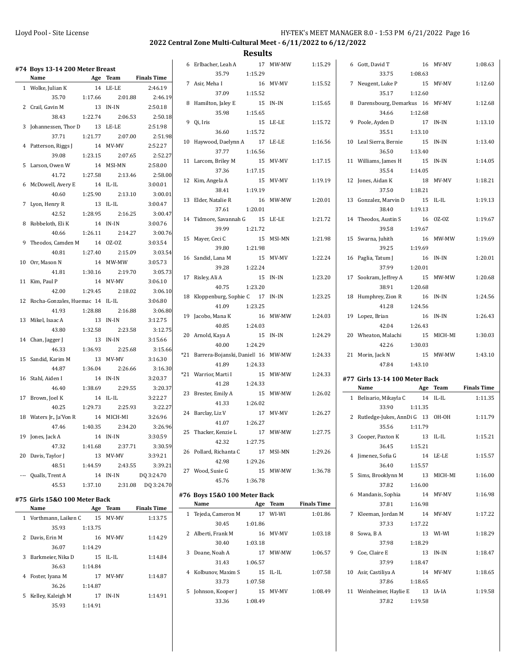| #74 Boys 13-14 200 Meter Breast<br>Name |         | Age Team            | <b>Finals Time</b> | 6 Erlbacher, Leah A<br>35.79           | 1:15.29 | 17 MW-MW  | 1:15.29            | 6 Gott, David T<br>33.75           | 1:08.63 | 16 MV-MV        | 1:08.63            |
|-----------------------------------------|---------|---------------------|--------------------|----------------------------------------|---------|-----------|--------------------|------------------------------------|---------|-----------------|--------------------|
| 1 Wolke, Julian K                       |         | 14 LE-LE            | 2:46.19            | 7 Asir, Meha I<br>37.09                | 1:15.52 | 16 MV-MV  | 1:15.52            | 7 Neugent, Luke P<br>35.17         | 1:12.60 | 15 MV-MV        | 1:12.60            |
| 35.70                                   | 1:17.66 | 2:01.88             | 2:46.19            | 8 Hamilton, Jaley E                    |         | 15 IN-IN  | 1:15.65            | 8 Darensbourg, Demarkus 16 MV-MV   |         |                 | 1:12.68            |
| 2 Crail, Gavin M                        |         | 13 IN-IN            | 2:50.18            | 35.98                                  | 1:15.65 |           |                    | 34.66                              | 1:12.68 |                 |                    |
| 38.43                                   | 1:22.74 | 2:06.53             | 2:50.18            | 9 Qi, Iris                             |         | 15 LE-LE  | 1:15.72            | 9 Poole, Ayden D                   |         | 17 IN-IN        | 1:13.10            |
| 3 Johannessen, Thor D                   |         | 13 LE-LE            | 2:51.98            | 36.60                                  | 1:15.72 |           |                    | 35.51                              | 1:13.10 |                 |                    |
| 37.71                                   | 1:21.77 | 2:07.00             | 2:51.98            | 10 Haywood, Daelynn A                  |         | 17 LE-LE  | 1:16.56            | 10 Leal Sierra, Bernie             |         | 15 IN-IN        | 1:13.40            |
| 4 Patterson, Riggs J                    |         | 14 MV-MV            | 2:52.27            | 37.77                                  | 1:16.56 |           |                    | 36.50                              | 1:13.40 |                 |                    |
| 39.08                                   | 1:23.15 | 2:07.65             | 2:52.27            | 11 Larcom, Briley M                    |         | 15 MV-MV  | 1:17.15            | 11 Williams, James H               |         | 15 IN-IN        | 1:14.05            |
| 5 Larson, Owen W                        |         | 14 MSI-MN           | 2:58.00            | 37.36                                  | 1:17.15 |           |                    | 35.54                              | 1:14.05 |                 |                    |
| 41.72                                   | 1:27.58 | 2:13.46             | 2:58.00            | 12 Kim, Angela A                       |         | 15 MV-MV  | 1:19.19            | 12 Jones, Aidan K                  |         | 18 MV-MV        | 1:18.21            |
| 6 McDowell, Avery E                     |         | 14 IL-IL<br>2:13.10 | 3:00.01            | 38.41                                  | 1:19.19 |           |                    | 37.50                              | 1:18.21 |                 |                    |
| 40.60                                   | 1:25.90 | 13 IL-IL            | 3:00.01<br>3:00.47 | 13 Elder, Natalie R                    |         | 16 MW-MW  | 1:20.01            | 13 Gonzalez, Marvin D              |         | 15 IL-IL        | 1:19.13            |
| 7 Lyon, Henry R<br>42.52                | 1:28.95 | 2:16.25             | 3:00.47            | 37.61                                  | 1:20.01 |           |                    | 38.40                              | 1:19.13 |                 |                    |
| 8 Robbeloth, Eli K                      |         | 14 IN-IN            | 3:00.76            | 14 Tidmore, Savannah G                 |         | 15 LE-LE  | 1:21.72            | 14 Theodos, Austin S               |         | 16 0Z-0Z        | 1:19.67            |
| 40.66                                   | 1:26.11 | 2:14.27             | 3:00.76            | 39.99                                  | 1:21.72 |           |                    | 39.58                              | 1:19.67 |                 |                    |
| 9 Theodos, Camden M                     |         | 14 OZ-OZ            | 3:03.54            | 15 Mayer, Ceci C                       |         | 15 MSI-MN | 1:21.98            | 15 Swarna, Juhith                  |         | 16 MW-MW        | 1:19.69            |
| 40.81                                   | 1:27.40 | 2:15.09             | 3:03.54            | 39.80                                  | 1:21.98 |           |                    | 39.25                              | 1:19.69 |                 |                    |
| 10 Orr, Mason N                         |         | 14 MW-MW            | 3:05.73            | 16 Sandid, Lana M                      |         | 15 MV-MV  | 1:22.24            | 16 Paglia, Tatum J                 |         | 16 IN-IN        | 1:20.01            |
| 41.81                                   | 1:30.16 | 2:19.70             | 3:05.73            | 39.28                                  | 1:22.24 |           |                    | 37.99                              | 1:20.01 |                 |                    |
| 11 Kim, Paul P                          |         | 14 MV-MV            | 3:06.10            | 17 Risley, Ali A                       |         | 15 IN-IN  | 1:23.20            | 17 Sookram, Jeffrey A              |         | 15 MW-MW        | 1:20.68            |
| 42.00                                   | 1:29.45 | 2:18.02             | 3:06.10            | 40.75                                  | 1:23.20 |           |                    | 38.91                              | 1:20.68 |                 |                    |
| 12 Rocha-Gonzales, Huemac 14 IL-IL      |         |                     | 3:06.80            | 18 Kloppenburg, Sophie C 17 IN-IN      |         |           | 1:23.25            | 18 Humphrey, Zion R                |         | 16 IN-IN        | 1:24.56            |
| 41.93                                   | 1:28.88 | 2:16.88             | 3:06.80            | 41.09                                  | 1:23.25 |           |                    | 41.28                              | 1:24.56 |                 |                    |
| 13 Mikel, Isaac A                       |         | 13 IN-IN            | 3:12.75            | 19 Jacobo, Mana K                      |         | 16 MW-MW  | 1:24.03            | 19 Lopez, Brian                    |         | 16 IN-IN        | 1:26.43            |
| 43.80                                   | 1:32.58 | 2:23.58             | 3:12.75            | 40.85                                  | 1:24.03 |           |                    | 42.04                              | 1:26.43 |                 |                    |
| 14 Chan, Jagger J                       |         |                     |                    | 20 Arnold, Kaya A                      |         | 15 IN-IN  | 1:24.29            | 20 Wheaton, Malachi                |         | 15 MICH-MI      | 1:30.03            |
|                                         |         | 13 IN-IN            | 3:15.66            |                                        |         |           |                    |                                    |         |                 |                    |
| 46.33                                   | 1:36.93 | 2:25.68             | 3:15.66            | 40.00                                  | 1:24.29 |           |                    | 42.26                              | 1:30.03 |                 |                    |
| 15 Sandid, Karim M                      |         | 13 MV-MV            | 3:16.30            | *21 Barrera-Bojanski, Daniell 16 MW-MW |         |           | 1:24.33            | 21 Morin, Jack N                   |         | 15 MW-MW        | 1:43.10            |
| 44.87                                   | 1:36.04 | 2:26.66             | 3:16.30            | 41.89                                  | 1:24.33 |           |                    | 47.84                              | 1:43.10 |                 |                    |
| 16 Stahl, Aiden I                       |         | 14 IN-IN            | 3:20.37            | *21 Warrior, Marti I                   |         | 15 MW-MW  | 1:24.33            | #77 Girls 13-14 100 Meter Back     |         |                 |                    |
| 46.40                                   | 1:38.69 | 2:29.55             | 3:20.37            | 41.28                                  | 1:24.33 |           |                    | Name                               |         | Age Team        | <b>Finals Time</b> |
| 17 Brown, Joel K                        |         | 14 IL-IL            | 3:22.27            | 23 Brester, Emily A                    |         | 15 MW-MW  | 1:26.02            | 1 Belisario, Mikayla C             |         | 14 IL-IL        | 1:11.35            |
| 40.25                                   | 1:29.73 | 2:25.93             | 3:22.27            | 41.33                                  | 1:26.02 | 17 MV-MV  |                    | 33.90                              | 1:11.35 |                 |                    |
| 18 Waters Jr., Ja'Von R                 |         | 14 MICH-MI          | 3:26.96            | 24 Barclay, Liz V<br>41.07             | 1:26.27 |           | 1:26.27            | 2 Rutledge-Jukes, AnnDi G 13 OH-OH |         |                 | 1:11.79            |
| 47.46                                   | 1:40.35 | 2:34.20             | 3:26.96            | 25 Thacker, Kenzie L                   |         | 17 MW-MW  | 1:27.75            | 35.56                              | 1:11.79 |                 |                    |
| 19 Jones, Jack A                        |         | 14 IN-IN            | 3:30.59            | 42.32                                  | 1:27.75 |           |                    | 3 Cooper, Paxton K                 |         | $13$ $\,$ IL-IL | 1:15.21            |
| 47.32                                   | 1:41.68 | 2:37.71             | 3:30.59            | 26 Pollard, Richanta C                 |         | 17 MSI-MN | 1:29.26            | 36.45                              | 1:15.21 |                 |                    |
| 20 Davis, Taylor J                      |         | 13 MV-MV            | 3:39.21            | 42.98                                  | 1:29.26 |           |                    | 4 Jimenez, Sofia G                 |         | 14 LE-LE        | 1:15.57            |
| 48.51                                   | 1:44.59 | 2:43.55             | 3:39.21            | 27 Wood, Susie G                       |         | 15 MW-MW  | 1:36.78            | 36.40                              | 1:15.57 |                 |                    |
| --- Qualls, Trent A                     |         | 14 IN-IN            | DQ 3:24.70         | 45.76                                  | 1:36.78 |           |                    | 5 Sims, Brooklynn M                |         | 13 MICH-MI      | 1:16.00            |
| 45.53                                   | 1:37.10 |                     | 2:31.08 DQ 3:24.70 |                                        |         |           |                    | 37.82                              | 1:16.00 |                 |                    |
| #75  Girls 15&0 100 Meter Back          |         |                     |                    | #76 Boys 15&0 100 Meter Back           |         |           |                    | 6 Mandanis, Sophia                 |         | 14 MV-MV        | 1:16.98            |
| Name                                    |         | Age Team            | <b>Finals Time</b> | Name                                   |         | Age Team  | <b>Finals Time</b> | 37.81                              | 1:16.98 |                 |                    |
| 1 Vorthmann, Laiken C                   |         | 15 MV-MV            | 1:13.75            | 1 Tejeda, Cameron M                    |         | 17 WI-WI  | 1:01.86            | 7 Kleeman, Jordan M                |         | 14 MV-MV        | 1:17.22            |
| 35.93                                   | 1:13.75 |                     |                    | 30.45<br>2 Alberti, Frank M            | 1:01.86 | 16 MV-MV  | 1:03.18            | 37.33<br>8 Sowa, B A               | 1:17.22 | 13 WI-WI        | 1:18.29            |
| 2 Davis, Erin M                         |         | 16 MV-MV            | 1:14.29            | 30.40                                  | 1:03.18 |           |                    | 37.98                              | 1:18.29 |                 |                    |
| 36.07                                   | 1:14.29 |                     |                    | 3 Doane, Noah A                        |         | 17 MW-MW  | 1:06.57            | 9 Coe, Claire E                    |         | 13 IN-IN        | 1:18.47            |
| 3 Barkmeier, Nika D                     |         | 15 IL-IL            | 1:14.84            | 31.43                                  | 1:06.57 |           |                    | 37.99                              | 1:18.47 |                 |                    |
| 36.63                                   | 1:14.84 |                     |                    | 4 Kolbunov, Maxim S                    |         | 15 IL-IL  | 1:07.58            | 10 Asir, Castiliya A               |         | 14 MV-MV        | 1:18.65            |
| 4 Foster, Iyana M                       |         | 17 MV-MV            | 1:14.87            | 33.73                                  | 1:07.58 |           |                    | 37.86                              | 1:18.65 |                 |                    |
| 36.26                                   | 1:14.87 |                     |                    | 5 Johnson, Kooper J                    |         | 15 MV-MV  | 1:08.49            | 11 Weinheimer, Haylie E            |         | 13 IA-IA        | 1:19.58            |
| 5 Kelley, Kaleigh M<br>35.93            | 1:14.91 | 17 IN-IN            | 1:14.91            | 33.36                                  | 1:08.49 |           |                    | 37.82                              | 1:19.58 |                 |                    |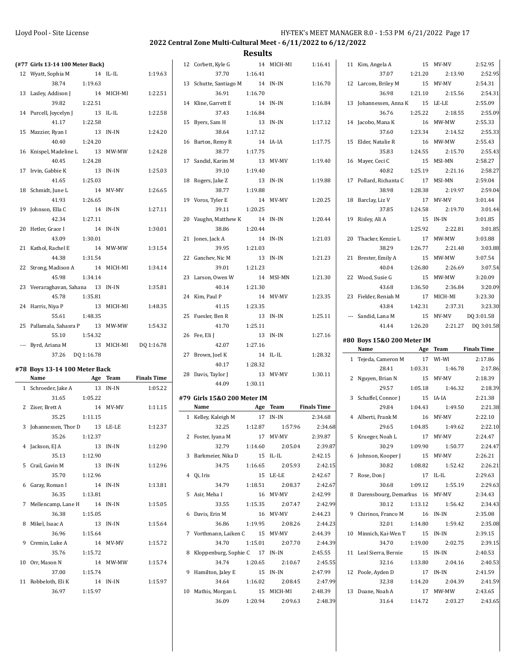| (#77 Girls 13-14 100 Meter Back)  |                     |            |                    | 12 Corbett, Kyle G               |         | 14 MICH-MI            | 1:16.41            | 11 Kim, Angela A                 |          | 15 MV-MV            | 2:52.95            |
|-----------------------------------|---------------------|------------|--------------------|----------------------------------|---------|-----------------------|--------------------|----------------------------------|----------|---------------------|--------------------|
| 12 Wyatt, Sophia M                |                     | 14 IL-IL   | 1:19.63            | 37.70                            | 1:16.41 |                       |                    | 37.07                            | 1:21.20  | 2:13.90             | 2:52.95            |
| 38.74                             | 1:19.63             |            |                    | 13 Schutte, Santiago M           |         | 14 IN-IN              | 1:16.70            | 12 Larcom, Briley M              |          | 15 MV-MV            | 2:54.31            |
| 13 Lasley, Addison J              |                     | 14 MICH-MI | 1:22.51            | 36.91                            | 1:16.70 |                       |                    | 36.98                            | 1:21.10  | 2:15.56             | 2:54.31            |
| 39.82                             | 1:22.51             |            |                    | 14 Kline, Garrett E              |         | 14 IN-IN              | 1:16.84            | 13 Johannessen, Anna K           |          | 15 LE-LE            | 2:55.09            |
| 14 Purcell, Joycelyn J            |                     | 13 IL-IL   | 1:22.58            | 37.43                            | 1:16.84 |                       |                    | 36.76                            | 1:25.22  | 2:18.55             | 2:55.09            |
| 41.17                             | 1:22.58             |            |                    | 15 Byers, Sam H                  |         | 13 IN-IN              | 1:17.12            | 14 Jacobo, Mana K                |          | 16 MW-MW            | 2:55.33            |
| 15 Mazzier, Ryan I                |                     | 13 IN-IN   | 1:24.20            | 38.64                            | 1:17.12 |                       |                    | 37.60                            | 1:23.34  | 2:14.52             | 2:55.33            |
| 40.40                             | 1:24.20             |            |                    | 16 Barton, Remy R                |         | 14 IA-IA              | 1:17.75            | 15 Elder, Natalie R              |          | 16 MW-MW            | 2:55.43            |
| 16 Knispel, Madeline L            |                     | 13 MW-MW   | 1:24.28            | 38.77                            | 1:17.75 |                       |                    | 35.83                            | 1:24.55  | 2:15.70             | 2:55.43            |
| 40.45                             | 1:24.28             |            |                    | 17 Sandid, Karim M               |         | 13 MV-MV              | 1:19.40            | 16 Mayer, Ceci C                 |          | 15 MSI-MN           | 2:58.27            |
| 17 Irvin, Gabbie K                |                     | 13 IN-IN   | 1:25.03            | 39.10                            | 1:19.40 |                       |                    | 40.82                            | 1:25.19  | 2:21.16             | 2:58.27            |
| 41.65                             | 1:25.03             |            |                    |                                  |         | 13 IN-IN              | 1:19.88            | 17 Pollard, Richanta C           |          | 17 MSI-MN           | 2:59.04            |
|                                   |                     |            |                    | 18 Rogers, Jake Z<br>38.77       | 1:19.88 |                       |                    | 38.98                            |          | 2:19.97             |                    |
| 18 Schmidt, June L                |                     | 14 MV-MV   | 1:26.65            |                                  |         |                       |                    |                                  | 1:28.38  |                     | 2:59.04            |
| 41.93                             | 1:26.65             |            |                    | 19 Voros, Tyler E                |         | 14 MV-MV              | 1:20.25            | 18 Barclay, Liz V                |          | 17 MV-MV            | 3:01.44            |
| 19 Johnson, Ella C                |                     | 14 IN-IN   | 1:27.11            | 39.11                            | 1:20.25 |                       |                    | 37.85                            | 1:24.58  | 2:19.70             | 3:01.44            |
| 42.34                             | 1:27.11             |            |                    | 20 Vaughn, Matthew K             |         | 14 IN-IN              | 1:20.44            | 19 Risley, Ali A                 |          | 15 IN-IN            | 3:01.85            |
| 20 Hetler, Grace I                |                     | 14 IN-IN   | 1:30.01            | 38.86                            | 1:20.44 |                       |                    |                                  | 1:25.92  | 2:22.81             | 3:01.85            |
| 43.09                             | 1:30.01             |            |                    | 21 Jones, Jack A                 |         | 14 IN-IN              | 1:21.03            | 20 Thacker, Kenzie L             |          | 17 MW-MW            | 3:03.88            |
| 21 Kathol, Rachel E               |                     | 14 MW-MW   | 1:31.54            | 39.95                            | 1:21.03 |                       |                    | 38.29                            | 1:26.77  | 2:21.48             | 3:03.88            |
| 44.38                             | 1:31.54             |            |                    | 22 Ganchev, Nic M                |         | 13 IN-IN              | 1:21.23            | 21 Brester, Emily A              |          | 15 MW-MW            | 3:07.54            |
| 22 Strong, Madison A              |                     | 14 MICH-MI | 1:34.14            | 39.01                            | 1:21.23 |                       |                    | 40.04                            | 1:26.80  | 2:26.69             | 3:07.54            |
| 45.98                             | 1:34.14             |            |                    | 23 Larson, Owen W                |         | 14 MSI-MN             | 1:21.30            | 22 Wood, Susie G                 |          | 15 MW-MW            | 3:20.09            |
| 23 Veeraraghavan, Sahana 13 IN-IN |                     |            | 1:35.81            | 40.14                            | 1:21.30 |                       |                    | 43.68                            | 1:36.50  | 2:36.84             | 3:20.09            |
| 45.78                             | 1:35.81             |            |                    | 24 Kim, Paul P                   |         | 14 MV-MV              | 1:23.35            | 23 Fielder, Reniah M             |          | 17 MICH-MI          | 3:23.30            |
| 24 Harris, Niya P                 |                     | 13 MICH-MI | 1:48.35            | 41.15                            | 1:23.35 |                       |                    | 43.84                            | 1:42.31  | 2:37.31             | 3:23.30            |
| 55.61                             | 1:48.35             |            |                    | 25 Fuesler, Ben R                |         | 13 IN-IN              | 1:25.11            | --- Sandid, Lana M               |          | 15 MV-MV            | DQ 3:01.58         |
| 25 Pallamala, Sahasra P           |                     | 13 MW-MW   | 1:54.32            | 41.70                            | 1:25.11 |                       |                    | 41.44                            | 1:26.20  |                     | 2:21.27 DQ 3:01.58 |
|                                   |                     |            |                    |                                  |         |                       |                    |                                  |          |                     |                    |
| 55.10                             | 1:54.32             |            |                    | 26 Fee, Eli J                    |         | 13 IN-IN              | 1:27.16            |                                  |          |                     |                    |
| --- Byrd, Ariana M                |                     | 13 MICH-MI | DQ 1:16.78         | 42.07                            | 1:27.16 |                       |                    | #80 Boys 15&0 200 Meter IM       |          |                     |                    |
| 37.26 DQ 1:16.78                  |                     |            |                    | 27 Brown, Joel K                 |         | 14 IL-IL              | 1:28.32            | Name                             | Age Team |                     | <b>Finals Time</b> |
|                                   |                     |            |                    | 40.17                            | 1:28.32 |                       |                    | 1 Tejeda, Cameron M              |          | 17 WI-WI            | 2:17.86            |
| #78 Boys 13-14 100 Meter Back     |                     |            |                    | 28 Davis, Taylor J               |         | 13 MV-MV              | 1:30.11            | 28.41                            | 1:03.31  | 1:46.78             | 2:17.86            |
| Name                              |                     | Age Team   | <b>Finals Time</b> | 44.09                            | 1:30.11 |                       |                    | 2 Nguyen, Brian N                |          | 15 MV-MV            | 2:18.39            |
| 1 Schroeder, Jake A               |                     | 13 IN-IN   | 1:05.22            |                                  |         |                       |                    | 29.57                            | 1:05.18  | 1:46.32             | 2:18.39            |
| 31.65                             | 1:05.22             |            |                    | #79 Girls 15&0 200 Meter IM      |         |                       |                    | 3 Schaffel, Connor J             |          | 15 IA-IA            | 2:21.38            |
| 2 Ziser, Brett A                  |                     | 14 MV-MV   | 1:11.15            | Name                             |         | Age Team              | <b>Finals Time</b> | 29.84                            | 1:04.43  | 1:49.50             | 2:21.38            |
| 35.25                             | 1:11.15             |            |                    | 1 Kelley, Kaleigh M              |         | 17 IN-IN              | 2:34.68            | 4 Alberti, Frank M               |          | 16 MV-MV            | 2:22.10            |
| 3 Johannessen, Thor D             |                     | 13 LE-LE   | 1:12.37            | 32.25                            | 1:12.87 | 1:57.96               | 2:34.68            | 29.65                            | 1:04.85  | 1:49.62             | 2:22.10            |
| 35.26                             | 1:12.37             |            |                    | 2 Foster, Iyana M                |         | 17 MV-MV              | 2:39.87            | 5 Krueger, Noah L                |          | 17 MV-MV            | 2:24.47            |
| 4 Jackson, EJ A                   | 13 IN-IN            |            | 1:12.90            | 32.79                            | 1:14.60 | 2:05.04               | 2:39.87            | 30.29                            | 1:09.90  | 1:50.77             | 2:24.47            |
| 35.13                             | 1:12.90             |            |                    | 3 Barkmeier, Nika D              |         | 15 IL-IL              | 2:42.15            | 6 Johnson, Kooper J              |          | 15 MV-MV            | 2:26.21            |
| 5 Crail, Gavin M                  | 13 IN-IN            |            | 1:12.96            | 34.75                            | 1:16.65 | 2:05.93               | 2:42.15            | 30.82                            | 1:08.82  | 1:52.42             | 2:26.21            |
| 35.70                             | 1:12.96             |            |                    | 4 Qi, Iris                       |         | 15 LE-LE              | 2:42.67            | 7 Rose, Don J                    | 17 IL-IL |                     | 2:29.63            |
| 6 Garay, Roman I                  | 14 IN-IN            |            | 1:13.81            | 34.79                            | 1:18.51 | 2:08.37               | 2:42.67            | 30.68                            | 1:09.12  | 1:55.19             | 2:29.63            |
| 36.35                             | 1:13.81             |            |                    | 5 Asir, Meha I                   |         | 16 MV-MV              | 2:42.99            | 8 Darensbourg, Demarkus 16 MV-MV |          |                     | 2:34.43            |
| 7 Mellencamp, Lane H 14 IN-IN     |                     |            | 1:15.05            | 33.55                            | 1:15.35 | 2:07.47               | 2:42.99            | 30.12                            | 1:13.12  | 1:56.42             | 2:34.43            |
| 36.38                             | 1:15.05             |            |                    | 6 Davis, Erin M                  |         | 16 MV-MV              | 2:44.23            | 9 Chirinos, Franco M             |          | 16 IN-IN            | 2:35.08            |
| 8 Mikel, Isaac A                  |                     | 13 IN-IN   | 1:15.64            | 36.86                            | 1:19.95 | 2:08.26               | 2:44.23            | 32.01                            | 1:14.80  | 1:59.42             | 2:35.08            |
| 36.96                             | 1:15.64             |            |                    | 7 Vorthmann, Laiken C            |         | 15 MV-MV              | 2:44.39            | 10 Minnich, Kai-Wen T            |          | 15 IN-IN            | 2:39.15            |
| 9 Cremin, Luke A                  |                     | 14 MV-MV   | 1:15.72            | 34.70                            | 1:15.01 | 2:07.70               | 2:44.39            | 34.70                            | 1:19.00  | 2:02.75             | 2:39.15            |
| 35.76                             | 1:15.72             |            |                    | 8 Kloppenburg, Sophie C 17 IN-IN |         |                       | 2:45.55            | 11 Leal Sierra, Bernie           |          | 15 IN-IN            | 2:40.53            |
| 10 Orr, Mason N                   |                     | 14 MW-MW   | 1:15.74            | 34.74                            | 1:20.65 | 2:10.67               | 2:45.55            | 32.16                            | 1:13.80  | 2:04.16             | 2:40.53            |
| 37.00                             | 1:15.74             |            |                    | 9 Hamilton, Jaley E              |         | 15 IN-IN              | 2:47.99            | 12 Poole, Ayden D                |          | 17 IN-IN            | 2:41.59            |
|                                   |                     |            | 1:15.97            | 34.64                            |         | 2:08.45               | 2:47.99            | 32.38                            |          | 2:04.39             |                    |
| 11 Robbeloth, Eli K<br>36.97      | 14 IN-IN<br>1:15.97 |            |                    |                                  | 1:16.02 |                       | 2:48.39            |                                  | 1:14.20  |                     | 2:41.59            |
|                                   |                     |            |                    | 10 Mathis, Morgan L<br>36.09     | 1:20.94 | 15 MICH-MI<br>2:09.63 | 2:48.39            | 13 Doane, Noah A<br>31.64        | 1:14.72  | 17 MW-MW<br>2:03.27 | 2:43.65<br>2:43.65 |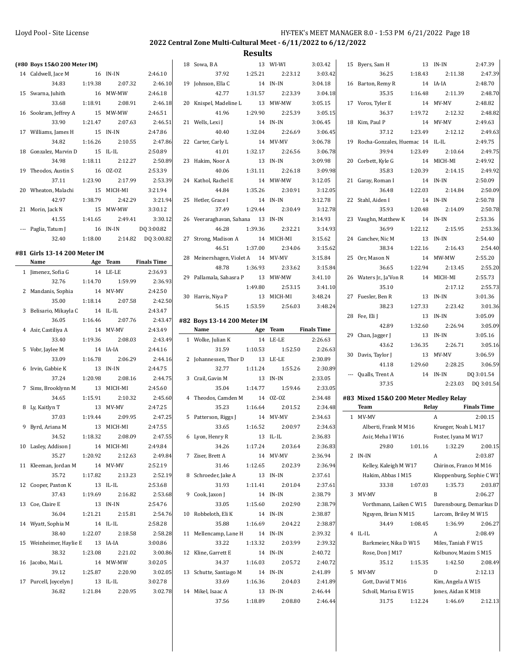| (#80 Boys 15&0 200 Meter IM) |         |                     |                    | 18 Sowa, B A                       |         | 13 WI-WI            | 3:03.42            | 15 Byers, Sam H                       |         | 13 IN-IN                      | 2:47.39                  |
|------------------------------|---------|---------------------|--------------------|------------------------------------|---------|---------------------|--------------------|---------------------------------------|---------|-------------------------------|--------------------------|
|                              |         |                     |                    | 37.92                              | 1:25.21 | 2:23.12             | 3:03.42            | 36.25                                 |         | 2:11.38                       | 2:47.39                  |
| 14 Caldwell, Jace M          |         | 16 IN-IN<br>2:07.32 | 2:46.10            |                                    |         | 14 IN-IN            |                    |                                       | 1:18.43 |                               | 2:48.70                  |
| 34.83                        | 1:19.38 |                     | 2:46.10            | 19 Johnson, Ella C                 |         |                     | 3:04.18            | 16 Barton, Remy R                     |         | 14 IA-IA                      |                          |
| 15 Swarna, Juhith            |         | 16 MW-MW            | 2:46.18            | 42.77                              | 1:31.57 | 2:23.39             | 3:04.18            | 35.35                                 | 1:16.48 | 2:11.39                       | 2:48.70                  |
| 33.68                        | 1:18.91 | 2:08.91             | 2:46.18            | 20 Knispel, Madeline L             |         | 13 MW-MW            | 3:05.15            | 17 Voros, Tyler E                     |         | 14 MV-MV                      | 2:48.82                  |
| 16 Sookram, Jeffrey A        |         | 15 MW-MW            | 2:46.51            | 41.96                              | 1:29.90 | 2:25.39             | 3:05.15            | 36.37                                 | 1:19.72 | 2:12.32                       | 2:48.82                  |
| 33.90                        | 1:21.47 | 2:07.63             | 2:46.51            | 21 Wells, Lexi J                   |         | 14 IN-IN            | 3:06.45            | 18 Kim, Paul P                        |         | 14 MV-MV                      | 2:49.63                  |
| 17 Williams, James H         |         | 15 IN-IN            | 2:47.86            | 40.40                              | 1:32.04 | 2:26.69             | 3:06.45            | 37.12                                 | 1:23.49 | 2:12.12                       | 2:49.63                  |
| 34.82                        | 1:16.26 | 2:10.55             | 2:47.86            | 22 Carter, Carly L                 |         | 14 MV-MV            | 3:06.78            | 19 Rocha-Gonzales, Huemac 14 IL-IL    |         |                               | 2:49.75                  |
| 18 Gonzalez, Marvin D        |         | 15 IL-IL            | 2:50.89            | 41.01                              | 1:32.17 | 2:26.56             | 3:06.78            | 39.94                                 | 1:23.49 | 2:10.64                       | 2:49.75                  |
| 34.98                        | 1:18.11 | 2:12.27             | 2:50.89            | 23 Hakim, Noor A                   |         | 13 IN-IN            | 3:09.98            | 20 Corbett, Kyle G                    |         | 14 MICH-MI                    | 2:49.92                  |
| 19 Theodos, Austin S         |         | 16 OZ-OZ            | 2:53.39            | 40.06                              | 1:31.11 | 2:26.18             | 3:09.98            | 35.83                                 | 1:20.39 | 2:14.15                       | 2:49.92                  |
| 37.11                        | 1:23.90 | 2:17.99             | 2:53.39            | 24 Kathol, Rachel E                |         | 14 MW-MW            | 3:12.05            | 21 Garay, Roman I                     |         | 14 IN-IN                      | 2:50.09                  |
| 20 Wheaton, Malachi          |         | 15 MICH-MI          | 3:21.94            | 44.84                              | 1:35.26 | 2:30.91             | 3:12.05            | 36.48                                 | 1:22.03 | 2:14.84                       | 2:50.09                  |
| 42.97                        | 1:38.79 | 2:42.29             | 3:21.94            | 25 Hetler, Grace I                 |         | 14 IN-IN            | 3:12.78            | 22 Stahl, Aiden I                     |         | 14 IN-IN                      | 2:50.78                  |
| 21 Morin, Jack N             |         | 15 MW-MW            | 3:30.12            | 37.49                              | 1:29.44 | 2:30.49             | 3:12.78            | 35.93                                 | 1:20.48 | 2:14.09                       | 2:50.78                  |
| 41.55                        | 1:41.65 | 2:49.41             | 3:30.12            | 26 Veeraraghavan, Sahana           |         | 13 IN-IN            | 3:14.93            | 23 Vaughn, Matthew K                  |         | 14 IN-IN                      | 2:53.36                  |
| --- Paglia, Tatum J          |         | 16 IN-IN            | DQ 3:00.82         | 46.28                              | 1:39.36 | 2:32.21             | 3:14.93            | 36.99                                 | 1:22.12 | 2:15.95                       | 2:53.36                  |
| 32.40                        | 1:18.00 | 2:14.82             | DQ 3:00.82         | 27 Strong, Madison A               |         | 14 MICH-MI          | 3:15.62            | 24 Ganchev, Nic M                     |         | 13 IN-IN                      | 2:54.40                  |
| #81 Girls 13-14 200 Meter IM |         |                     |                    | 46.51                              | 1:37.00 | 2:34.06             | 3:15.62            | 38.34                                 | 1:22.16 | 2:16.43                       | 2:54.40                  |
| Name                         |         | Age Team            | <b>Finals Time</b> | 28 Meinershagen, Violet A 14 MV-MV |         |                     | 3:15.84            | 25 Orr, Mason N                       |         | 14 MW-MW                      | 2:55.20                  |
| 1 Jimenez, Sofia G           |         | 14 LE-LE            | 2:36.93            | 48.78                              | 1:36.93 | 2:33.62             | 3:15.84            | 36.65                                 | 1:22.94 | 2:13.45                       | 2:55.20                  |
| 32.76                        | 1:14.70 | 1:59.99             | 2:36.93            | 29 Pallamala, Sahasra P            |         | 13 MW-MW            | 3:41.10            | 26 Waters Jr., Ja'Von R               |         | 14 MICH-MI                    | 2:55.73                  |
| 2 Mandanis, Sophia           |         | 14 MV-MV            | 2:42.50            |                                    | 1:49.80 | 2:53.15             | 3:41.10            | 35.10                                 |         | 2:17.12                       | 2:55.73                  |
| 35.00                        | 1:18.14 | 2:07.58             | 2:42.50            | 30 Harris, Niya P                  |         | 13 MICH-MI          | 3:48.24            | 27 Fuesler, Ben R                     |         | 13 IN-IN                      | 3:01.36                  |
| 3 Belisario, Mikayla C       |         | 14 IL-IL            | 2:43.47            | 56.15                              | 1:53.59 | 2:56.03             | 3:48.24            | 38.23                                 | 1:27.33 | 2:23.42                       | 3:01.36                  |
| 36.05                        | 1:16.46 | 2:07.76             | 2:43.47            | #82 Boys 13-14 200 Meter IM        |         |                     |                    | 28 Fee, Eli J                         |         | 13 IN-IN                      | 3:05.09                  |
| 4 Asir, Castiliya A          |         | 14 MV-MV            | 2:43.49            | Name                               |         | Age Team            | <b>Finals Time</b> | 42.89                                 | 1:32.60 | 2:26.94                       | 3:05.09                  |
| 33.40                        | 1:19.36 | 2:08.03             | 2:43.49            | 1 Wolke, Julian K                  |         | 14 LE-LE            | 2:26.63            | 29 Chan, Jagger J                     |         | 13 IN-IN                      | 3:05.16                  |
| 5 Vobr, Jaylee M             |         | 14 IA-IA            | 2:44.16            | 31.59                              | 1:10.53 | 1:52.50             | 2:26.63            | 43.62                                 | 1:36.35 | 2:26.71                       | 3:05.16                  |
| 33.09                        | 1:16.78 | 2:06.29             | 2:44.16            | 2 Johannessen, Thor D              |         | 13 LE-LE            | 2:30.89            | 30 Davis, Taylor J                    |         | 13 MV-MV                      | 3:06.59                  |
| 6 Irvin, Gabbie K            |         | 13 IN-IN            | 2:44.75            | 32.77                              | 1:11.24 | 1:55.26             | 2:30.89            | 41.18                                 | 1:29.60 | 2:28.25                       | 3:06.59                  |
| 37.24                        | 1:20.98 | 2:08.16             | 2:44.75            | 3 Crail, Gavin M                   |         | 13 IN-IN            | 2:33.05            | --- Qualls, Trent A                   |         | 14 IN-IN                      | DQ 3:01.54               |
| 7 Sims, Brooklynn M          |         | 13 MICH-MI          | 2:45.60            | 35.04                              | 1:14.77 | 1:59.46             | 2:33.05            | 37.35                                 |         | 2:23.03                       | DQ 3:01.54               |
| 34.65                        | 1:15.91 | 2:10.32             | 2:45.60            | 4 Theodos, Camden M                |         | 14 OZ-OZ            | 2:34.48            | #83 Mixed 15&0 200 Meter Medley Relay |         |                               |                          |
| 8 Ly, Kaitlyn T              |         | 13 MV-MV            | 2:47.25            | 35.23                              | 1:16.64 | 2:01.52             | 2:34.48            | Team                                  | Relay   |                               | <b>Finals Time</b>       |
| 37.03                        | 1:19.44 | 2:09.95             | 2:47.25            | 5 Patterson, Riggs J               |         | 14 MV-MV            | 2.34.63            | 1 MV-MV                               |         | A                             | 2:00.15                  |
| 9 Byrd, Ariana M             |         | 13 MICH-MI          | 2:47.55            | 33.65                              | 1:16.52 | 2:00.97             | 2:34.63            | Alberti, Frank M M16                  |         | Krueger, Noah L M17           |                          |
| 34.52                        | 1:18.32 | 2:08.09             | 2:47.55            | 6 Lyon, Henry R                    |         | $13\;$ IL-IL        | 2:36.83            | Asir, Meha I W16                      |         | Foster, Iyana M W17           |                          |
| 10 Lasley, Addison J         |         | 14 MICH-MI          | 2:49.84            | 34.26                              | 1:17.24 | 2:03.64             | 2:36.83            | 29.80                                 | 1:01.16 | 1:32.29                       | 2:00.15                  |
| 35.27                        | 1:20.92 | 2:12.63             | 2:49.84            | 7 Ziser, Brett A                   |         | 14 MV-MV            | 2:36.94            | $2$ IN-IN                             |         | A                             | 2:03.87                  |
| 11 Kleeman, Jordan M         |         | 14 MV-MV            | 2:52.19            | 31.46                              | 1:12.65 | 2:02.39             | 2:36.94            | Kelley, Kaleigh M W17                 |         | Chirinos, Franco M M16        |                          |
| 35.72                        | 1:17.82 | 2:13.23             | 2:52.19            | 8 Schroeder, Jake A                |         | 13 IN-IN            | 2:37.61            | Hakim, Abbas I M15                    |         |                               | Kloppenburg, Sophie C W1 |
| 12 Cooper, Paxton K          |         | 13 IL-IL            | 2:53.68            | 31.93                              | 1:11.41 | 2:01.04             | 2:37.61            | 33.38                                 | 1:07.03 | 1:35.73                       | 2:03.87                  |
| 37.43                        | 1:19.69 | 2:16.82             | 2:53.68            | 9 Cook, Jaxon J                    |         | 14 IN-IN            | 2:38.79            | 3 MV-MV                               |         | $\, {\bf B}$                  | 2:06.27                  |
| 13 Coe, Claire E             |         | 13 IN-IN            | 2:54.76            | 33.05                              | 1:15.60 | 2:02.90             | 2:38.79            | Vorthmann, Laiken C W15               |         | Darensbourg, Demarkus D       |                          |
| 36.04                        | 1:21.21 | 2:15.81             | 2:54.76            | 10 Robbeloth, Eli K                |         | 14 IN-IN            | 2:38.87            | Nguyen, Brian N M15                   |         | Larcom, Briley M W15          |                          |
| 14 Wyatt, Sophia M           |         | 14 IL-IL            | 2:58.28            | 35.88                              | 1:16.69 | 2:04.22             | 2:38.87            | 34.49                                 | 1:08.45 | 1:36.99                       | 2:06.27                  |
| 38.40                        | 1:22.07 | 2:18.58             | 2:58.28            | 11 Mellencamp, Lane H              |         | 14 IN-IN            | 2:39.32            | 4 IL-IL                               |         | A                             | 2:08.49                  |
| 15 Weinheimer, Haylie E      |         | 13 IA-IA            | 3:00.86            | 33.22                              | 1:13.32 | 2:03.99             | 2:39.32            | Barkmeier, Nika D W15                 |         | Miles, Taniah F W15           |                          |
| 38.32                        | 1:23.08 | 2:21.02             | 3:00.86            | 12 Kline, Garrett E                |         | 14 IN-IN            | 2:40.72            | Rose, Don J M17                       |         | Kolbunov, Maxim S M15         |                          |
| 16 Jacobo, Mai L             |         | 14 MW-MW            | 3:02.05            | 34.37                              | 1:16.03 | 2:05.72             | 2:40.72            | 35.12                                 | 1:15.35 | 1:42.50                       | 2:08.49                  |
|                              | 1:25.87 | 2:20.90             | 3:02.05            | 13 Schutte, Santiago M             |         | 14 IN-IN            | 2:41.89            | 5 MV-MV                               |         | $\mathbf D$                   | 2:12.13                  |
|                              |         |                     |                    |                                    |         |                     |                    |                                       |         |                               |                          |
| 39.12                        |         |                     |                    |                                    |         |                     |                    |                                       |         |                               |                          |
| 17 Purcell, Joycelyn J       |         | 13 IL-IL            | 3:02.78            | 33.69                              | 1:16.36 | 2:04.03             | 2:41.89            | Gott, David T M16                     |         | Kim, Angela A W15             |                          |
| 36.82                        | 1:21.84 | 2:20.95             | 3:02.78            | 14 Mikel, Isaac A<br>37.56         | 1:18.89 | 13 IN-IN<br>2:08.80 | 2:46.44<br>2:46.44 | Scholl, Marisa E W15<br>31.75         | 1:12.24 | Jones, Aidan K M18<br>1:46.69 | 2:12.13                  |